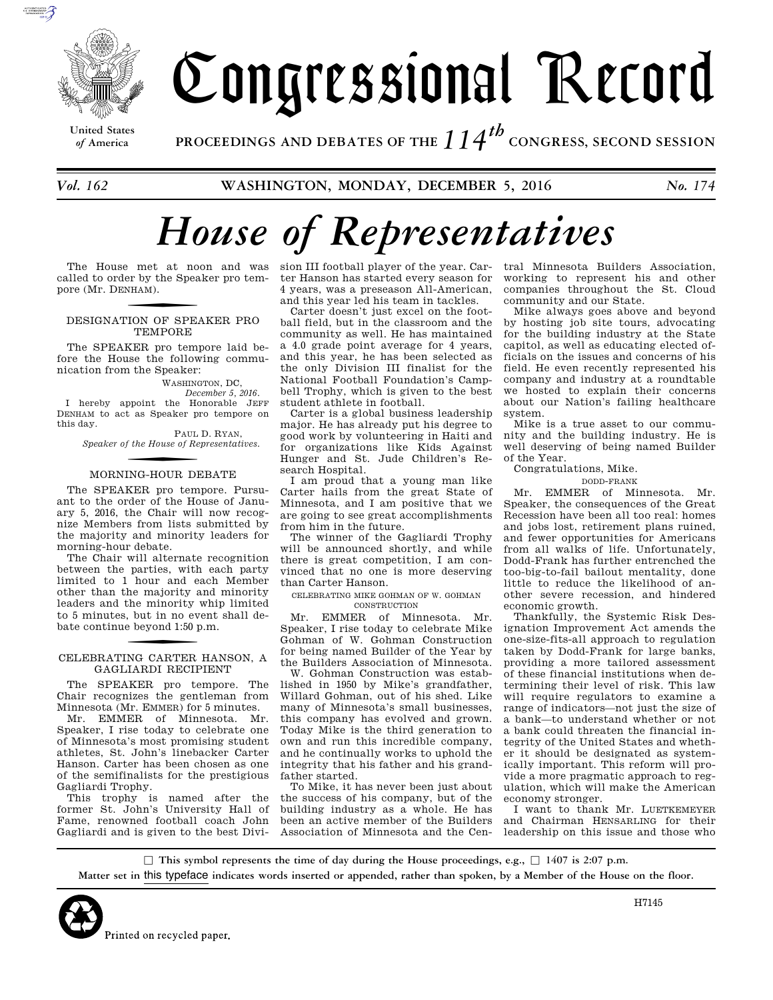

# Congressional Record

**United States**

*of* **America PROCEEDINGS AND DEBATES OF THE** *114th*  **CONGRESS, SECOND SESSION**

*Vol. 162* **WASHINGTON, MONDAY, DECEMBER 5, 2016** *No. 174* 

# *House of Representatives*

called to order by the Speaker pro tempore (Mr. DENHAM ).

# f DESIGNATION OF SPEAKER PRO TEMPORE

The SPEAKER pro tempore laid before the House the following communication from the Speaker:

### WASHINGTON, DC,

*December 5, 2016.*  I hereby appoint the Honorable JEFF DENHAM to act as Speaker pro tempore on this day.

> PAUL D. RYAN, *Speaker of the House of Representatives.*

# MORNING-HOUR DEBATE

The SPEAKER pro tempore. Pursuant to the order of the House of January 5, 2016, the Chair will now recognize Members from lists submitted by the majority and minority leaders for morning-hour debate.

The Chair will alternate recognition between the parties, with each party limited to 1 hour and each Member other than the majority and minority leaders and the minority whip limited to 5 minutes, but in no event shall debate continue beyond 1:50 p.m.

# f CELEBRATING CARTER HANSON, A GAGLIARDI RECIPIENT

The SPEAKER pro tempore. The Chair recognizes the gentleman from Minnesota (Mr. EMMER) for 5 minutes.

Mr. EMMER of Minnesota. Mr. Speaker, I rise today to celebrate one of Minnesota's most promising student athletes, St. John's linebacker Carter Hanson. Carter has been chosen as one of the semifinalists for the prestigious Gagliardi Trophy.

This trophy is named after the former St. John's University Hall of Fame, renowned football coach John Gagliardi and is given to the best Divi-

The House met at noon and was sion III football player of the year. Carter Hanson has started every season for 4 years, was a preseason All-American, and this year led his team in tackles.

Carter doesn't just excel on the football field, but in the classroom and the community as well. He has maintained a 4.0 grade point average for 4 years, and this year, he has been selected as the only Division III finalist for the National Football Foundation's Campbell Trophy, which is given to the best student athlete in football.

Carter is a global business leadership major. He has already put his degree to good work by volunteering in Haiti and for organizations like Kids Against Hunger and St. Jude Children's Research Hospital.

I am proud that a young man like Carter hails from the great State of Minnesota, and I am positive that we are going to see great accomplishments from him in the future.

The winner of the Gagliardi Trophy will be announced shortly, and while there is great competition, I am convinced that no one is more deserving than Carter Hanson.

CELEBRATING MIKE GOHMAN OF W. GOHMAN CONSTRUCTION

Mr. EMMER of Minnesota. Mr. Speaker, I rise today to celebrate Mike Gohman of W. Gohman Construction for being named Builder of the Year by the Builders Association of Minnesota.

W. Gohman Construction was established in 1950 by Mike's grandfather, Willard Gohman, out of his shed. Like many of Minnesota's small businesses, this company has evolved and grown. Today Mike is the third generation to own and run this incredible company, and he continually works to uphold the integrity that his father and his grandfather started.

To Mike, it has never been just about the success of his company, but of the building industry as a whole. He has been an active member of the Builders Association of Minnesota and the Central Minnesota Builders Association, working to represent his and other companies throughout the St. Cloud community and our State.

Mike always goes above and beyond by hosting job site tours, advocating for the building industry at the State capitol, as well as educating elected officials on the issues and concerns of his field. He even recently represented his company and industry at a roundtable we hosted to explain their concerns about our Nation's failing healthcare system.

Mike is a true asset to our community and the building industry. He is well deserving of being named Builder of the Year.

Congratulations, Mike.

### DODD-FRANK

Mr. EMMER of Minnesota. Mr. Speaker, the consequences of the Great Recession have been all too real: homes and jobs lost, retirement plans ruined, and fewer opportunities for Americans from all walks of life. Unfortunately, Dodd-Frank has further entrenched the too-big-to-fail bailout mentality, done little to reduce the likelihood of another severe recession, and hindered economic growth.

Thankfully, the Systemic Risk Designation Improvement Act amends the one-size-fits-all approach to regulation taken by Dodd-Frank for large banks, providing a more tailored assessment of these financial institutions when determining their level of risk. This law will require regulators to examine a range of indicators—not just the size of a bank—to understand whether or not a bank could threaten the financial integrity of the United States and whether it should be designated as systemically important. This reform will provide a more pragmatic approach to regulation, which will make the American economy stronger.

I want to thank Mr. LUETKEMEYER and Chairman HENSARLING for their leadership on this issue and those who

 $\Box$  This symbol represents the time of day during the House proceedings, e.g.,  $\Box$  1407 is 2:07 p.m. **Matter set in** this typeface **indicates words inserted or appended, rather than spoken, by a Member of the House on the floor.**



H7145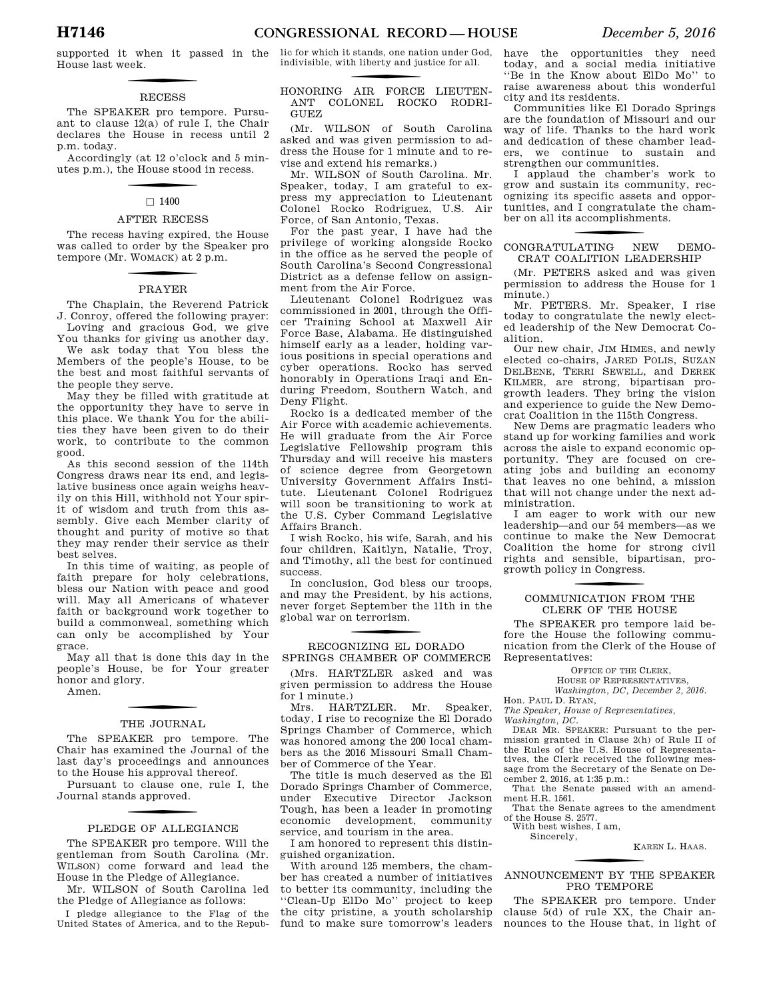supported it when it passed in the House last week.

# **RECESS**

The SPEAKER pro tempore. Pursuant to clause  $12(a)$  of rule I, the Chair declares the House in recess until 2 p.m. today.

Accordingly (at 12 o'clock and 5 minutes p.m.), the House stood in recess.

### $\square$  1400

### AFTER RECESS

The recess having expired, the House was called to order by the Speaker pro tempore (Mr. W OMACK) at 2 p.m.

# f PRAYER

The Chaplain, the Reverend Patrick J. Conroy, offered the following prayer:

Loving and gracious God, we give You thanks for giving us another day. We ask today that You bless the

Members of the people's House, to be the best and most faithful servants of the people they serve.

May they be filled with gratitude at the opportunity they have to serve in this place. We thank You for the abilities they have been given to do their work, to contribute to the common good.

As this second session of the 114th Congress draws near its end, and legislative business once again weighs heavily on this Hill, withhold not Your spirit of wisdom and truth from this assembly. Give each Member clarity of thought and purity of motive so that they may render their service as their best selves.

In this time of waiting, as people of faith prepare for holy celebrations, bless our Nation with peace and good will. May all Americans of whatever faith or background work together to build a commonweal, something which can only be accomplished by Your grace.

May all that is done this day in the people's House, be for Your greater honor and glory.

Amen.

### THE JOURNAL

The SPEAKER pro tempore. The Chair has examined the Journal of the last day's proceedings and announces to the House his approval thereof.

Pursuant to clause one, rule I, the Journal stands approved.

### PLEDGE OF ALLEGIANCE

The SPEAKER pro tempore. Will the gentleman from South Carolina (Mr. WILSON) come forward and lead the House in the Pledge of Allegiance.

Mr. WILSON of South Carolina led the Pledge of Allegiance as follows:

I pledge allegiance to the Flag of the United States of America, and to the Republic for which it stands, one nation under God, indivisible, with liberty and justice for all.

f HONORING AIR FORCE LIEUTEN-ANT COLONEL ROCKO RODRI-GUEZ

(Mr. WILSON of South Carolina asked and was given permission to address the House for 1 minute and to revise and extend his remarks.)

Mr. WILSON of South Carolina. Mr. Speaker, today, I am grateful to express my appreciation to Lieutenant Colonel Rocko Rodriguez, U.S. Air Force, of San Antonio, Texas.

For the past year, I have had the privilege of working alongside Rocko in the office as he served the people of South Carolina's Second Congressional District as a defense fellow on assignment from the Air Force.

Lieutenant Colonel Rodriguez was commissioned in 2001, through the Officer Training School at Maxwell Air Force Base, Alabama. He distinguished himself early as a leader, holding various positions in special operations and cyber operations. Rocko has served honorably in Operations Iraqi and Enduring Freedom, Southern Watch, and Deny Flight.

Rocko is a dedicated member of the Air Force with academic achievements. He will graduate from the Air Force Legislative Fellowship program this Thursday and will receive his masters of science degree from Georgetown University Government Affairs Institute. Lieutenant Colonel Rodriguez will soon be transitioning to work at the U.S. Cyber Command Legislative Affairs Branch.

I wish Rocko, his wife, Sarah, and his four children, Kaitlyn, Natalie, Troy, and Timothy, all the best for continued success.

In conclusion, God bless our troops, and may the President, by his actions, never forget September the 11th in the global war on terrorism.

# f RECOGNIZING EL DORADO

SPRINGS CHAMBER OF COMMERCE

(Mrs. HARTZLER asked and was given permission to address the House for 1 minute.)

Mrs. HARTZLER. Mr. Speaker, today, I rise to recognize the El Dorado Springs Chamber of Commerce, which was honored among the 200 local chambers as the 2016 Missouri Small Chamber of Commerce of the Year.

The title is much deserved as the El Dorado Springs Chamber of Commerce, under Executive Director Jackson Tough, has been a leader in promoting economic development, community service, and tourism in the area.

I am honored to represent this distinguished organization.

With around 125 members, the chamber has created a number of initiatives to better its community, including the ''Clean-Up ElDo Mo'' project to keep the city pristine, a youth scholarship fund to make sure tomorrow's leaders

have the opportunities they need today, and a social media initiative ''Be in the Know about ElDo Mo'' to raise awareness about this wonderful city and its residents.

Communities like El Dorado Springs are the foundation of Missouri and our way of life. Thanks to the hard work and dedication of these chamber leaders, we continue to sustain and strengthen our communities.

I applaud the chamber's work to grow and sustain its community, recognizing its specific assets and opportunities, and I congratulate the chamber on all its accomplishments.

# f CONGRATULATING NEW DEMO-CRAT COALITION LEADERSHIP

(Mr. PETERS asked and was given permission to address the House for 1 minute.)

Mr. PETERS. Mr. Speaker, I rise today to congratulate the newly elected leadership of the New Democrat Coalition.

Our new chair, JIM HIMES, and newly elected co-chairs, JARED POLIS, SUZAN DELBENE, TERRI SEWELL, and DEREK KILMER, are strong, bipartisan progrowth leaders. They bring the vision and experience to guide the New Democrat Coalition in the 115th Congress.

New Dems are pragmatic leaders who stand up for working families and work across the aisle to expand economic opportunity. They are focused on creating jobs and building an economy that leaves no one behind, a mission that will not change under the next administration.

I am eager to work with our new leadership—and our 54 members—as we continue to make the New Democrat Coalition the home for strong civil rights and sensible, bipartisan, progrowth policy in Congress.

# COMMUNICATION FROM THE CLERK OF THE HOUSE

The SPEAKER pro tempore laid before the House the following communication from the Clerk of the House of Representatives:

### OFFICE OF THE CLERK,

HOUSE OF REPRESENTATIVES,

*Washington, DC, December 2, 2016.*  Hon. PAUL D. RYAN,

*The Speaker, House of Representatives,* 

*Washington, DC.* 

DEAR MR. SPEAKER: Pursuant to the permission granted in Clause 2(h) of Rule II of the Rules of the U.S. House of Representatives, the Clerk received the following message from the Secretary of the Senate on December 2, 2016, at 1:35 p.m.:

That the Senate passed with an amendment H.R. 1561.

That the Senate agrees to the amendment of the House S. 2577.

With best wishes, I am,

Sincerely,

### KAREN L. HAAS.

# ANNOUNCEMENT BY THE SPEAKER PRO TEMPORE

The SPEAKER pro tempore. Under clause 5(d) of rule XX, the Chair announces to the House that, in light of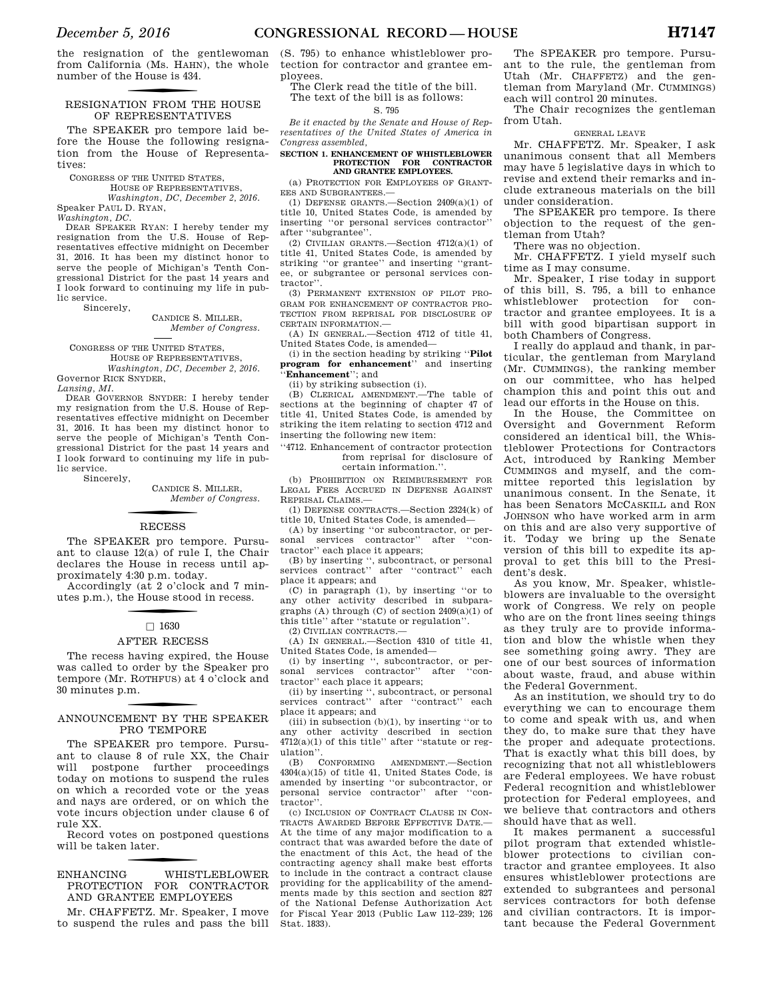the resignation of the gentlewoman from California (Ms. HAHN), the whole number of the House is 434.

# f RESIGNATION FROM THE HOUSE OF REPRESENTATIVES

The SPEAKER pro tempore laid before the House the following resignation from the House of Representatives:

CONGRESS OF THE UNITED STATES,

HOUSE OF REPRESENTATIVES, *Washington, DC, December 2, 2016.*  Speaker PAUL D. RYAN,

*Washington, DC.* 

DEAR SPEAKER RYAN: I hereby tender my resignation from the U.S. House of Representatives effective midnight on December 31, 2016. It has been my distinct honor to serve the people of Michigan's Tenth Congressional District for the past 14 years and I look forward to continuing my life in public service.

Sincerely,

CANDICE S. MILLER, *Member of Congress.* 

### CONGRESS OF THE UNITED STATES, HOUSE OF REPRESENTATIVES,

*Washington, DC, December 2, 2016.*  Governor RICK SNYDER,

*Lansing, MI.*  DEAR GOVERNOR SNYDER: I hereby tender my resignation from the U.S. House of Representatives effective midnight on December 31, 2016. It has been my distinct honor to serve the people of Michigan's Tenth Congressional District for the past 14 years and I look forward to continuing my life in public service.

Sincerely,

CANDICE S. MILLER, *Member of Congress.* 

# **RECESS**

The SPEAKER pro tempore. Pursuant to clause 12(a) of rule I, the Chair declares the House in recess until approximately 4:30 p.m. today.

Accordingly (at 2 o'clock and 7 minutes p.m.), the House stood in recess.

# $\begin{array}{c}\n\Box 1630 \\
\Box \text{DSE} \\
\end{array}$

### AFTER RECESS

The recess having expired, the House was called to order by the Speaker pro tempore (Mr. ROTHFUS) at 4 o'clock and 30 minutes p.m.

# ANNOUNCEMENT BY THE SPEAKER PRO TEMPORE

The SPEAKER pro tempore. Pursuant to clause 8 of rule XX, the Chair will postpone further proceedings today on motions to suspend the rules on which a recorded vote or the yeas and nays are ordered, or on which the vote incurs objection under clause 6 of rule XX.

Record votes on postponed questions will be taken later.

### f ENHANCING WHISTLEBLOWER PROTECTION FOR CONTRACTOR AND GRANTEE EMPLOYEES

Mr. CHAFFETZ. Mr. Speaker, I move to suspend the rules and pass the bill

(S. 795) to enhance whistleblower protection for contractor and grantee employees.

The Clerk read the title of the bill. The text of the bill is as follows:

### S. 795

*Be it enacted by the Senate and House of Representatives of the United States of America in Congress assembled,* 

# **SECTION 1. ENHANCEMENT OF WHISTLEBLOWER PROTECTION FOR CONTRACTOR PROTECTION FOR CONTRACTOR AND GRANTEE EMPLOYEES.**

(a) PROTECTION FOR EMPLOYEES OF GRANT-EES AND SUBGRANTEES.—

(1) DEFENSE GRANTS.—Section 2409(a)(1) of title 10, United States Code, is amended by inserting ''or personal services contractor'' after ''subgrantee''.

(2) CIVILIAN GRANTS.—Section 4712(a)(1) of title 41, United States Code, is amended by striking ''or grantee'' and inserting ''grantee, or subgrantee or personal services contractor''.

(3) PERMANENT EXTENSION OF PILOT PRO-GRAM FOR ENHANCEMENT OF CONTRACTOR PRO-TECTION FROM REPRISAL FOR DISCLOSURE OF CERTAIN INFORMATION.—

(A) IN GENERAL.—Section 4712 of title 41, United States Code, is amended—

(i) in the section heading by striking ''**Pilot program for enhancement**'' and inserting ''**Enhancement**''; and

(ii) by striking subsection (i).

(B) CLERICAL AMENDMENT.—The table of sections at the beginning of chapter 47 of title 41, United States Code, is amended by striking the item relating to section 4712 and inserting the following new item:

''4712. Enhancement of contractor protection from reprisal for disclosure of certain information.''.

(b) PROHIBITION ON REIMBURSEMENT FOR LEGAL FEES ACCRUED IN DEFENSE AGAINST REPRISAL CLAIMS.—

(1) DEFENSE CONTRACTS.—Section 2324(k) of title 10, United States Code, is amended—

(A) by inserting "or subcontractor, or per-<br>bnal services contractor" after "consonal services contractor" tractor'' each place it appears;

(B) by inserting '', subcontract, or personal services contract'' after ''contract'' each place it appears; and

(C) in paragraph (1), by inserting ''or to any other activity described in subparagraphs (A) through (C) of section  $2409(a)(1)$  of this title'' after ''statute or regulation''.

(2) CIVILIAN CONTRACTS.—

(A) IN GENERAL.—Section 4310 of title 41, United States Code, is amended—

(i) by inserting '', subcontractor, or personal services contractor'' after ''contractor'' each place it appears;

(ii) by inserting '', subcontract, or personal services contract'' after ''contract'' each place it appears; and

(iii) in subsection (b)(1), by inserting ''or to any other activity described in section 4712(a)(1) of this title'' after ''statute or regulation".<br> $(B)$  CONFORMING

AMENDMENT -Section 4304(a)(15) of title 41, United States Code, is amended by inserting ''or subcontractor, or personal service contractor'' after ''contractor''.

(c) INCLUSION OF CONTRACT CLAUSE IN CON-TRACTS AWARDED BEFORE EFFECTIVE DATE.— At the time of any major modification to a contract that was awarded before the date of the enactment of this Act, the head of the contracting agency shall make best efforts to include in the contract a contract clause providing for the applicability of the amendments made by this section and section 827 of the National Defense Authorization Act for Fiscal Year 2013 (Public Law 112–239; 126 Stat. 1833).

The SPEAKER pro tempore. Pursuant to the rule, the gentleman from Utah (Mr. CHAFFETZ) and the gentleman from Maryland (Mr. CUMMINGS) each will control 20 minutes.

The Chair recognizes the gentleman from Utah.

### GENERAL LEAVE

Mr. CHAFFETZ. Mr. Speaker, I ask unanimous consent that all Members may have 5 legislative days in which to revise and extend their remarks and include extraneous materials on the bill under consideration.

The SPEAKER pro tempore. Is there objection to the request of the gentleman from Utah?

There was no objection.

Mr. CHAFFETZ. I yield myself such time as I may consume.

Mr. Speaker, I rise today in support of this bill, S. 795, a bill to enhance whistleblower protection for contractor and grantee employees. It is a bill with good bipartisan support in both Chambers of Congress.

I really do applaud and thank, in particular, the gentleman from Maryland (Mr. CUMMINGS), the ranking member on our committee, who has helped champion this and point this out and lead our efforts in the House on this.

In the House, the Committee on Oversight and Government Reform considered an identical bill, the Whistleblower Protections for Contractors Act, introduced by Ranking Member CUMMINGS and myself, and the committee reported this legislation by unanimous consent. In the Senate, it has been Senators MCCASKILL and RON JOHNSON who have worked arm in arm on this and are also very supportive of it. Today we bring up the Senate version of this bill to expedite its approval to get this bill to the President's desk.

As you know, Mr. Speaker, whistleblowers are invaluable to the oversight work of Congress. We rely on people who are on the front lines seeing things as they truly are to provide information and blow the whistle when they see something going awry. They are one of our best sources of information about waste, fraud, and abuse within the Federal Government.

As an institution, we should try to do everything we can to encourage them to come and speak with us, and when they do, to make sure that they have the proper and adequate protections. That is exactly what this bill does, by recognizing that not all whistleblowers are Federal employees. We have robust Federal recognition and whistleblower protection for Federal employees, and we believe that contractors and others should have that as well.

It makes permanent a successful pilot program that extended whistleblower protections to civilian contractor and grantee employees. It also ensures whistleblower protections are extended to subgrantees and personal services contractors for both defense and civilian contractors. It is important because the Federal Government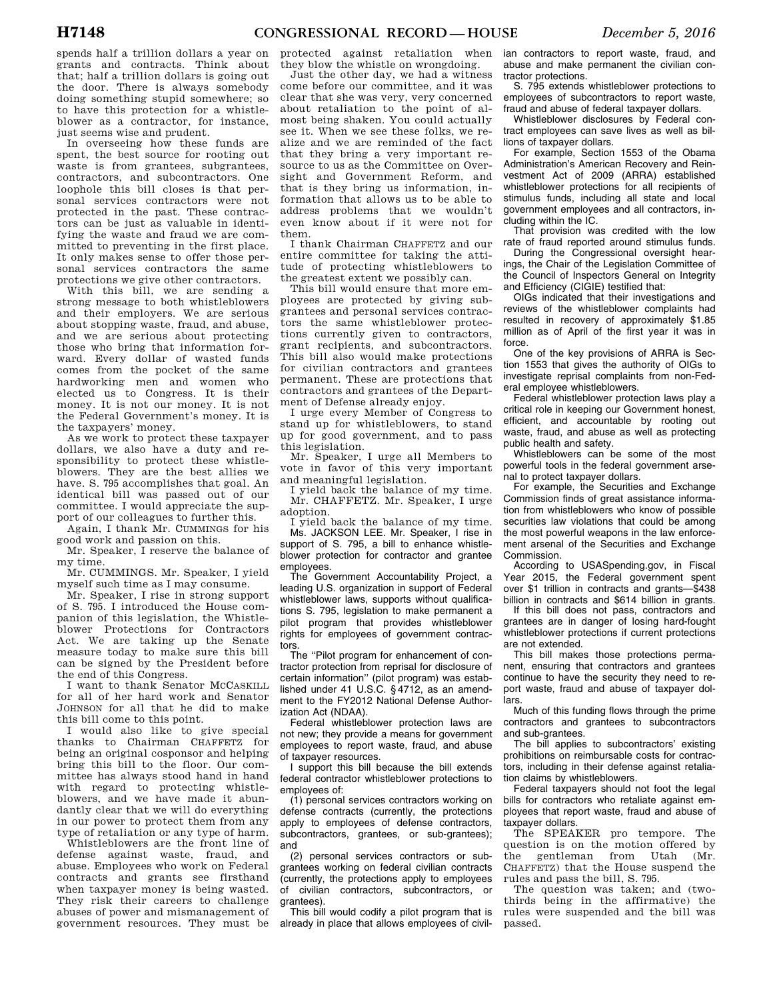spends half a trillion dollars a year on grants and contracts. Think about that; half a trillion dollars is going out the door. There is always somebody doing something stupid somewhere; so to have this protection for a whistleblower as a contractor, for instance, just seems wise and prudent.

In overseeing how these funds are spent, the best source for rooting out waste is from grantees, subgrantees, contractors, and subcontractors. One loophole this bill closes is that personal services contractors were not protected in the past. These contractors can be just as valuable in identifying the waste and fraud we are committed to preventing in the first place. It only makes sense to offer those personal services contractors the same protections we give other contractors.

With this bill, we are sending a strong message to both whistleblowers and their employers. We are serious about stopping waste, fraud, and abuse, and we are serious about protecting those who bring that information forward. Every dollar of wasted funds comes from the pocket of the same hardworking men and women who elected us to Congress. It is their money. It is not our money. It is not the Federal Government's money. It is the taxpayers' money.

As we work to protect these taxpayer dollars, we also have a duty and responsibility to protect these whistleblowers. They are the best allies we have. S. 795 accomplishes that goal. An identical bill was passed out of our committee. I would appreciate the support of our colleagues to further this.

Again, I thank Mr. CUMMINGS for his good work and passion on this.

Mr. Speaker, I reserve the balance of my time.

Mr. CUMMINGS. Mr. Speaker, I yield myself such time as I may consume.

Mr. Speaker, I rise in strong support of S. 795. I introduced the House companion of this legislation, the Whistleblower Protections for Contractors Act. We are taking up the Senate measure today to make sure this bill can be signed by the President before the end of this Congress.

I want to thank Senator MCCASKILL for all of her hard work and Senator JOHNSON for all that he did to make this bill come to this point.

I would also like to give special thanks to Chairman CHAFFETZ for being an original cosponsor and helping bring this bill to the floor. Our committee has always stood hand in hand with regard to protecting whistleblowers, and we have made it abundantly clear that we will do everything in our power to protect them from any type of retaliation or any type of harm.

Whistleblowers are the front line of defense against waste, fraud, and abuse. Employees who work on Federal contracts and grants see firsthand when taxpayer money is being wasted. They risk their careers to challenge abuses of power and mismanagement of government resources. They must be

protected against retaliation when they blow the whistle on wrongdoing.

Just the other day, we had a witness come before our committee, and it was clear that she was very, very concerned about retaliation to the point of almost being shaken. You could actually see it. When we see these folks, we realize and we are reminded of the fact that they bring a very important resource to us as the Committee on Oversight and Government Reform, and that is they bring us information, information that allows us to be able to address problems that we wouldn't even know about if it were not for them.

I thank Chairman CHAFFETZ and our entire committee for taking the attitude of protecting whistleblowers to the greatest extent we possibly can.

This bill would ensure that more employees are protected by giving subgrantees and personal services contractors the same whistleblower protections currently given to contractors, grant recipients, and subcontractors. This bill also would make protections for civilian contractors and grantees permanent. These are protections that contractors and grantees of the Department of Defense already enjoy.

I urge every Member of Congress to stand up for whistleblowers, to stand up for good government, and to pass this legislation.

Mr. Speaker, I urge all Members to vote in favor of this very important and meaningful legislation.

I yield back the balance of my time. Mr. CHAFFETZ. Mr. Speaker, I urge adoption.

I yield back the balance of my time. Ms. JACKSON LEE. Mr. Speaker, I rise in support of S. 795, a bill to enhance whistleblower protection for contractor and grantee employees.

The Government Accountability Project, a leading U.S. organization in support of Federal whistleblower laws, supports without qualifications S. 795, legislation to make permanent a pilot program that provides whistleblower rights for employees of government contractors.

The ''Pilot program for enhancement of contractor protection from reprisal for disclosure of certain information'' (pilot program) was established under 41 U.S.C. § 4712, as an amendment to the FY2012 National Defense Authorization Act (NDAA).

Federal whistleblower protection laws are not new; they provide a means for government employees to report waste, fraud, and abuse of taxpayer resources.

I support this bill because the bill extends federal contractor whistleblower protections to employees of:

(1) personal services contractors working on defense contracts (currently, the protections apply to employees of defense contractors, subcontractors, grantees, or sub-grantees); and

(2) personal services contractors or subgrantees working on federal civilian contracts (currently, the protections apply to employees of civilian contractors, subcontractors, or grantees).

This bill would codify a pilot program that is already in place that allows employees of civilian contractors to report waste, fraud, and abuse and make permanent the civilian contractor protections.

S. 795 extends whistleblower protections to employees of subcontractors to report waste, fraud and abuse of federal taxpayer dollars.

Whistleblower disclosures by Federal contract employees can save lives as well as billions of taxpayer dollars.

For example, Section 1553 of the Obama Administration's American Recovery and Reinvestment Act of 2009 (ARRA) established whistleblower protections for all recipients of stimulus funds, including all state and local government employees and all contractors, including within the IC.

That provision was credited with the low rate of fraud reported around stimulus funds.

During the Congressional oversight hearings, the Chair of the Legislation Committee of the Council of Inspectors General on Integrity and Efficiency (CIGIE) testified that:

OIGs indicated that their investigations and reviews of the whistleblower complaints had resulted in recovery of approximately \$1.85 million as of April of the first year it was in force.

One of the key provisions of ARRA is Section 1553 that gives the authority of OIGs to investigate reprisal complaints from non-Federal employee whistleblowers.

Federal whistleblower protection laws play a critical role in keeping our Government honest, efficient, and accountable by rooting out waste, fraud, and abuse as well as protecting public health and safety.

Whistleblowers can be some of the most powerful tools in the federal government arsenal to protect taxpayer dollars.

For example, the Securities and Exchange Commission finds of great assistance information from whistleblowers who know of possible securities law violations that could be among the most powerful weapons in the law enforcement arsenal of the Securities and Exchange Commission.

According to USASpending.gov, in Fiscal Year 2015, the Federal government spent over \$1 trillion in contracts and grants—\$438 billion in contracts and \$614 billion in grants.

If this bill does not pass, contractors and grantees are in danger of losing hard-fought whistleblower protections if current protections are not extended.

This bill makes those protections permanent, ensuring that contractors and grantees continue to have the security they need to report waste, fraud and abuse of taxpayer dollars.

Much of this funding flows through the prime contractors and grantees to subcontractors and sub-grantees.

The bill applies to subcontractors' existing prohibitions on reimbursable costs for contractors, including in their defense against retaliation claims by whistleblowers.

Federal taxpayers should not foot the legal bills for contractors who retaliate against employees that report waste, fraud and abuse of taxpayer dollars.

The SPEAKER pro tempore. The question is on the motion offered by the gentleman from Utah (Mr. CHAFFETZ) that the House suspend the rules and pass the bill, S. 795.

The question was taken; and (twothirds being in the affirmative) the rules were suspended and the bill was passed.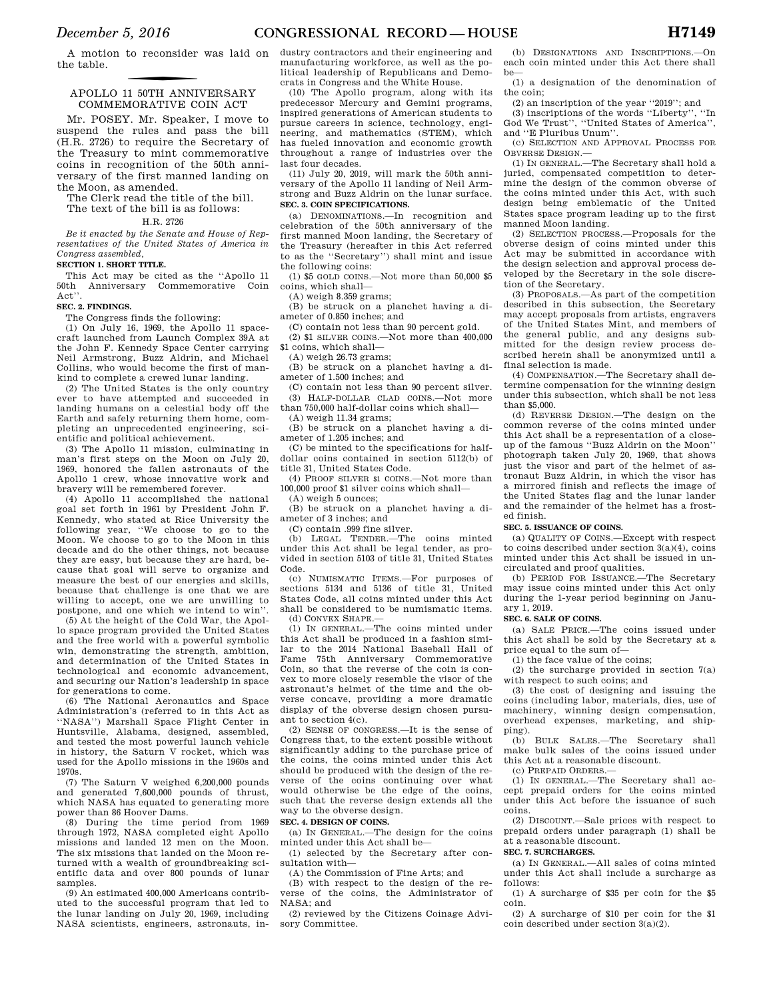A motion to reconsider was laid on the table.

# f APOLLO 11 50TH ANNIVERSARY COMMEMORATIVE COIN ACT

Mr. POSEY. Mr. Speaker, I move to suspend the rules and pass the bill (H.R. 2726) to require the Secretary of the Treasury to mint commemorative coins in recognition of the 50th anniversary of the first manned landing on the Moon, as amended.

The Clerk read the title of the bill. The text of the bill is as follows:

H.R. 2726

*Be it enacted by the Senate and House of Representatives of the United States of America in Congress assembled,* 

### **SECTION 1. SHORT TITLE.**

This Act may be cited as the ''Apollo 11 50th Anniversary Commemorative Coin Act''.

### **SEC. 2. FINDINGS.**

The Congress finds the following:

(1) On July 16, 1969, the Apollo 11 spacecraft launched from Launch Complex 39A at the John F. Kennedy Space Center carrying Neil Armstrong, Buzz Aldrin, and Michael Collins, who would become the first of mankind to complete a crewed lunar landing.

(2) The United States is the only country ever to have attempted and succeeded in landing humans on a celestial body off the Earth and safely returning them home, completing an unprecedented engineering, scientific and political achievement.

(3) The Apollo 11 mission, culminating in man's first steps on the Moon on July 20, 1969, honored the fallen astronauts of the Apollo 1 crew, whose innovative work and bravery will be remembered forever.

(4) Apollo 11 accomplished the national goal set forth in 1961 by President John F. Kennedy, who stated at Rice University the following year, ''We choose to go to the Moon. We choose to go to the Moon in this decade and do the other things, not because they are easy, but because they are hard, because that goal will serve to organize and measure the best of our energies and skills, because that challenge is one that we are willing to accept, one we are unwilling to postpone, and one which we intend to win''.

(5) At the height of the Cold War, the Apollo space program provided the United States and the free world with a powerful symbolic win, demonstrating the strength, ambition, and determination of the United States in technological and economic advancement, and securing our Nation's leadership in space for generations to come.

(6) The National Aeronautics and Space Administration's (referred to in this Act as ''NASA'') Marshall Space Flight Center in Huntsville, Alabama, designed, assembled, and tested the most powerful launch vehicle in history, the Saturn V rocket, which was used for the Apollo missions in the 1960s and 1970s.

(7) The Saturn V weighed 6,200,000 pounds and generated 7,600,000 pounds of thrust, which NASA has equated to generating more power than 86 Hoover Dams.

(8) During the time period from 1969 through 1972, NASA completed eight Apollo missions and landed 12 men on the Moon. The six missions that landed on the Moon returned with a wealth of groundbreaking scientific data and over 800 pounds of lunar samples.

(9) An estimated 400,000 Americans contributed to the successful program that led to the lunar landing on July 20, 1969, including NASA scientists, engineers, astronauts, industry contractors and their engineering and manufacturing workforce, as well as the political leadership of Republicans and Democrats in Congress and the White House.

(10) The Apollo program, along with its predecessor Mercury and Gemini programs, inspired generations of American students to pursue careers in science, technology, engineering, and mathematics (STEM), which has fueled innovation and economic growth throughout a range of industries over the last four decades.

(11) July 20, 2019, will mark the 50th anniversary of the Apollo 11 landing of Neil Armstrong and Buzz Aldrin on the lunar surface. **SEC. 3. COIN SPECIFICATIONS.** 

(a) DENOMINATIONS.—In recognition and celebration of the 50th anniversary of the first manned Moon landing, the Secretary of the Treasury (hereafter in this Act referred to as the ''Secretary'') shall mint and issue the following coins:

(1) \$5 GOLD COINS.—Not more than 50,000 \$5 coins, which shall—

(A) weigh 8.359 grams;

(B) be struck on a planchet having a diameter of 0.850 inches; and

(C) contain not less than 90 percent gold. (2) \$1 SILVER COINS.—Not more than 400,000

\$1 coins, which shall—

(A) weigh 26.73 grams;

(B) be struck on a planchet having a diameter of 1.500 inches; and

(C) contain not less than 90 percent silver. (3) HALF-DOLLAR CLAD COINS.—Not more than 750,000 half-dollar coins which shall—

(A) weigh 11.34 grams;

(B) be struck on a planchet having a diameter of 1.205 inches; and

(C) be minted to the specifications for halfdollar coins contained in section 5112(b) of title 31, United States Code.

(4) PROOF SILVER \$1 COINS.—Not more than 100,000 proof \$1 silver coins which shall—

(A) weigh 5 ounces;

(B) be struck on a planchet having a diameter of 3 inches; and

(C) contain .999 fine silver.

(b) LEGAL TENDER.—The coins minted under this Act shall be legal tender, as provided in section 5103 of title 31, United States Code.

(c) NUMISMATIC ITEMS.—For purposes of sections 5134 and 5136 of title 31, United States Code, all coins minted under this Act shall be considered to be numismatic items. (d) CONVEX SHAPE.—

(1) IN GENERAL.—The coins minted under this Act shall be produced in a fashion similar to the 2014 National Baseball Hall of Fame 75th Anniversary Commemorative Coin, so that the reverse of the coin is convex to more closely resemble the visor of the astronaut's helmet of the time and the obverse concave, providing a more dramatic display of the obverse design chosen pursuant to section 4(c).

(2) SENSE OF CONGRESS.—It is the sense of Congress that, to the extent possible without significantly adding to the purchase price of the coins, the coins minted under this Act should be produced with the design of the reverse of the coins continuing over what would otherwise be the edge of the coins, such that the reverse design extends all the way to the obverse design.

### **SEC. 4. DESIGN OF COINS.**

(a) IN GENERAL.—The design for the coins minted under this Act shall be—

(1) selected by the Secretary after consultation with—

(A) the Commission of Fine Arts; and

(B) with respect to the design of the reverse of the coins, the Administrator of NASA; and

(2) reviewed by the Citizens Coinage Advisory Committee.

(b) DESIGNATIONS AND INSCRIPTIONS.—On each coin minted under this Act there shall be-

(1) a designation of the denomination of the coin;

(2) an inscription of the year ''2019''; and

(3) inscriptions of the words ''Liberty'', ''In God We Trust'', ''United States of America'', and ''E Pluribus Unum''.

(c) SELECTION AND APPROVAL PROCESS FOR OBVERSE DESIGN.—

(1) IN GENERAL.—The Secretary shall hold a juried, compensated competition to determine the design of the common obverse of the coins minted under this Act, with such design being emblematic of the United States space program leading up to the first manned Moon landing.

(2) SELECTION PROCESS.—Proposals for the obverse design of coins minted under this Act may be submitted in accordance with the design selection and approval process developed by the Secretary in the sole discretion of the Secretary.

(3) PROPOSALS.—As part of the competition described in this subsection, the Secretary may accept proposals from artists, engravers of the United States Mint, and members of the general public, and any designs sub-mitted for the design review process described herein shall be anonymized until a final selection is made.

(4) COMPENSATION.—The Secretary shall determine compensation for the winning design under this subsection, which shall be not less than \$5,000.

(d) REVERSE DESIGN.—The design on the common reverse of the coins minted under this Act shall be a representation of a closeup of the famous ''Buzz Aldrin on the Moon'' photograph taken July 20, 1969, that shows just the visor and part of the helmet of astronaut Buzz Aldrin, in which the visor has a mirrored finish and reflects the image of the United States flag and the lunar lander and the remainder of the helmet has a frosted finish.

### **SEC. 5. ISSUANCE OF COINS.**

(a) QUALITY OF COINS.—Except with respect to coins described under section 3(a)(4), coins minted under this Act shall be issued in uncirculated and proof qualities.

(b) PERIOD FOR ISSUANCE.—The Secretary may issue coins minted under this Act only during the 1-year period beginning on January 1, 2019.

### **SEC. 6. SALE OF COINS.**

(a) SALE PRICE.—The coins issued under this Act shall be sold by the Secretary at a price equal to the sum of—

(1) the face value of the coins;

(2) the surcharge provided in section 7(a) with respect to such coins; and

(3) the cost of designing and issuing the coins (including labor, materials, dies, use of machinery, winning design compensation, overhead expenses, marketing, and shipping).

(b) BULK SALES.—The Secretary shall make bulk sales of the coins issued under this Act at a reasonable discount.

(c) PREPAID ORDERS.—

(1) IN GENERAL.—The Secretary shall accept prepaid orders for the coins minted under this Act before the issuance of such coins.

(2) DISCOUNT.—Sale prices with respect to prepaid orders under paragraph (1) shall be at a reasonable discount.

### **SEC. 7. SURCHARGES.**

(a) IN GENERAL.—All sales of coins minted under this Act shall include a surcharge as follows:

(1) A surcharge of \$35 per coin for the \$5 coin.

(2) A surcharge of \$10 per coin for the \$1 coin described under section 3(a)(2).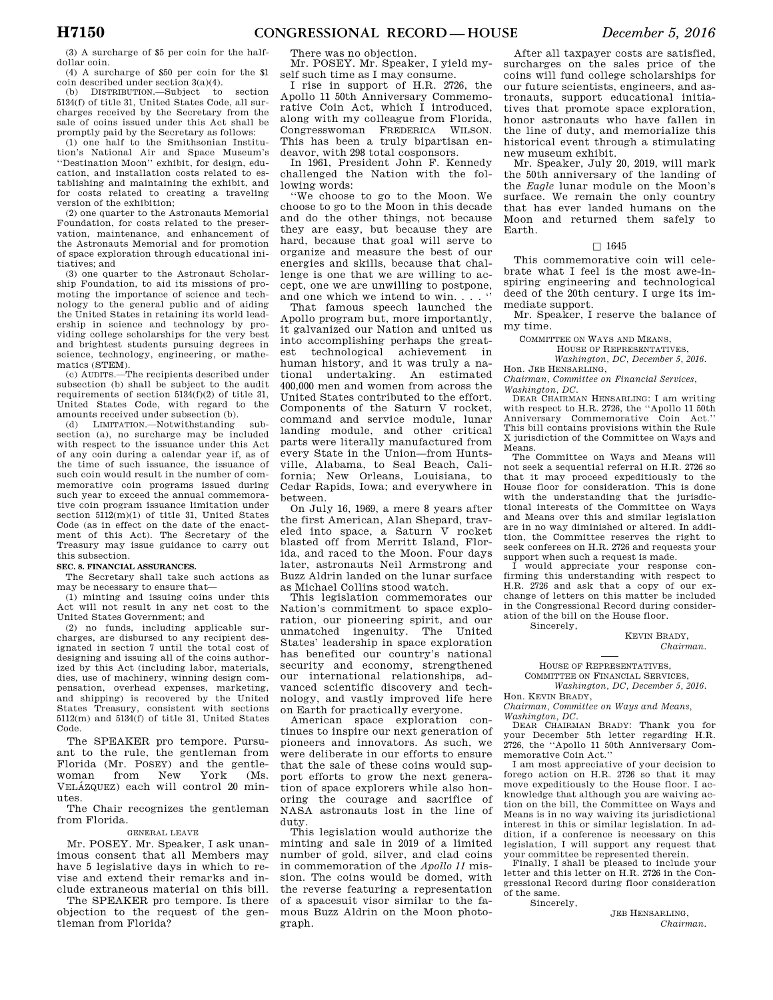(3) A surcharge of \$5 per coin for the halfdollar coin.

(4) A surcharge of \$50 per coin for the \$1 coin described under section 3(a)(4).

(b) DISTRIBUTION.—Subject to section 5134(f) of title 31, United States Code, all surcharges received by the Secretary from the sale of coins issued under this Act shall be promptly paid by the Secretary as follows:

(1) one half to the Smithsonian Institution's National Air and Space Museum's ''Destination Moon'' exhibit, for design, education, and installation costs related to establishing and maintaining the exhibit, and for costs related to creating a traveling version of the exhibition;

(2) one quarter to the Astronauts Memorial Foundation, for costs related to the preservation, maintenance, and enhancement of the Astronauts Memorial and for promotion of space exploration through educational initiatives; and

(3) one quarter to the Astronaut Scholarship Foundation, to aid its missions of promoting the importance of science and technology to the general public and of aiding the United States in retaining its world leadership in science and technology by providing college scholarships for the very best and brightest students pursuing degrees in science, technology, engineering, or mathematics (STEM).

(c) AUDITS.—The recipients described under subsection (b) shall be subject to the audit requirements of section 5134(f)(2) of title 31, United States Code, with regard to the amounts received under subsection (b).

(d) LIMITATION.—Notwithstanding subsection (a), no surcharge may be included with respect to the issuance under this Act of any coin during a calendar year if, as of the time of such issuance, the issuance of such coin would result in the number of commemorative coin programs issued during such year to exceed the annual commemorative coin program issuance limitation under section 5112(m)(1) of title 31, United States Code (as in effect on the date of the enactment of this Act). The Secretary of the Treasury may issue guidance to carry out this subsection.

### **SEC. 8. FINANCIAL ASSURANCES.**

The Secretary shall take such actions as may be necessary to ensure that—

(1) minting and issuing coins under this Act will not result in any net cost to the United States Government; and

(2) no funds, including applicable surcharges, are disbursed to any recipient designated in section 7 until the total cost of designing and issuing all of the coins authorized by this Act (including labor, materials, dies, use of machinery, winning design compensation, overhead expenses, marketing, and shipping) is recovered by the United States Treasury, consistent with sections 5112(m) and 5134(f) of title 31, United States Code.

The SPEAKER pro tempore. Pursuant to the rule, the gentleman from Florida (Mr. POSEY) and the gentlewoman from New York (Ms. VELÁZQUEZ) each will control 20 minutes.

The Chair recognizes the gentleman from Florida.

### GENERAL LEAVE

Mr. POSEY. Mr. Speaker, I ask unanimous consent that all Members may have 5 legislative days in which to revise and extend their remarks and include extraneous material on this bill.

The SPEAKER pro tempore. Is there objection to the request of the gentleman from Florida?

There was no objection.

Mr. POSEY. Mr. Speaker, I yield myself such time as I may consume.

I rise in support of H.R. 2726, the Apollo 11 50th Anniversary Commemorative Coin Act, which I introduced, along with my colleague from Florida, Congresswoman FREDERICA WILSON. This has been a truly bipartisan endeavor, with 298 total cosponsors.

In 1961, President John F. Kennedy challenged the Nation with the following words:

''We choose to go to the Moon. We choose to go to the Moon in this decade and do the other things, not because they are easy, but because they are hard, because that goal will serve to organize and measure the best of our energies and skills, because that challenge is one that we are willing to accept, one we are unwilling to postpone, and one which we intend to win. . .

That famous speech launched the Apollo program but, more importantly, it galvanized our Nation and united us into accomplishing perhaps the greatest technological achievement in human history, and it was truly a national undertaking. An estimated 400,000 men and women from across the United States contributed to the effort. Components of the Saturn V rocket, command and service module, lunar landing module, and other critical parts were literally manufactured from every State in the Union—from Huntsville, Alabama, to Seal Beach, California; New Orleans, Louisiana, to Cedar Rapids, Iowa; and everywhere in between.

On July 16, 1969, a mere 8 years after the first American, Alan Shepard, traveled into space, a Saturn V rocket blasted off from Merritt Island, Florida, and raced to the Moon. Four days later, astronauts Neil Armstrong and Buzz Aldrin landed on the lunar surface as Michael Collins stood watch.

This legislation commemorates our Nation's commitment to space exploration, our pioneering spirit, and our unmatched ingenuity. The United States' leadership in space exploration has benefited our country's national security and economy, strengthened our international relationships, advanced scientific discovery and technology, and vastly improved life here on Earth for practically everyone.

American space exploration continues to inspire our next generation of pioneers and innovators. As such, we were deliberate in our efforts to ensure that the sale of these coins would support efforts to grow the next generation of space explorers while also honoring the courage and sacrifice of NASA astronauts lost in the line of duty.

This legislation would authorize the minting and sale in 2019 of a limited number of gold, silver, and clad coins in commemoration of the *Apollo 11* mission. The coins would be domed, with the reverse featuring a representation of a spacesuit visor similar to the famous Buzz Aldrin on the Moon photograph.

After all taxpayer costs are satisfied, surcharges on the sales price of the coins will fund college scholarships for our future scientists, engineers, and astronauts, support educational initiatives that promote space exploration, honor astronauts who have fallen in the line of duty, and memorialize this historical event through a stimulating new museum exhibit.

Mr. Speaker, July 20, 2019, will mark the 50th anniversary of the landing of the *Eagle* lunar module on the Moon's surface. We remain the only country that has ever landed humans on the Moon and returned them safely to Earth.

### $\Box$  1645

This commemorative coin will celebrate what I feel is the most awe-inspiring engineering and technological deed of the 20th century. I urge its immediate support.

Mr. Speaker, I reserve the balance of my time.

COMMITTEE ON WAYS AND MEANS,

HOUSE OF REPRESENTATIVES,

*Washington, DC, December 5, 2016.*  Hon. JEB HENSARLING,

*Chairman, Committee on Financial Services, Washington, DC.* 

DEAR CHAIRMAN HENSARLING: I am writing with respect to H.R. 2726, the ''Apollo 11 50th Anniversary Commemorative Coin Act.'' This bill contains provisions within the Rule X jurisdiction of the Committee on Ways and Means.

The Committee on Ways and Means will not seek a sequential referral on H.R. 2726 so that it may proceed expeditiously to the House floor for consideration. This is done with the understanding that the jurisdictional interests of the Committee on Ways and Means over this and similar legislation are in no way diminished or altered. In addition, the Committee reserves the right to seek conferees on H.R. 2726 and requests your support when such a request is made. I would appreciate your response con-

firming this understanding with respect to H.R. 2726 and ask that a copy of our exchange of letters on this matter be included in the Congressional Record during consideration of the bill on the House floor. Sincerely,

KEVIN BRADY, *Chairman.* 

HOUSE OF REPRESENTATIVES, COMMITTEE ON FINANCIAL SERVICES,

*Washington, DC, December 5, 2016.* 

Hon. KEVIN BRADY, *Chairman, Committee on Ways and Means, Washington, DC.* 

DEAR CHAIRMAN BRADY: Thank you for your December 5th letter regarding H.R. 2726, the ''Apollo 11 50th Anniversary Commemorative Coin Act.''

I am most appreciative of your decision to forego action on H.R. 2726 so that it may move expeditiously to the House floor. I acknowledge that although you are waiving action on the bill, the Committee on Ways and Means is in no way waiving its jurisdictional interest in this or similar legislation. In addition, if a conference is necessary on this legislation, I will support any request that your committee be represented therein.

Finally, I shall be pleased to include your letter and this letter on H.R. 2726 in the Congressional Record during floor consideration of the same.

Sincerely,

JEB HENSARLING, *Chairman.*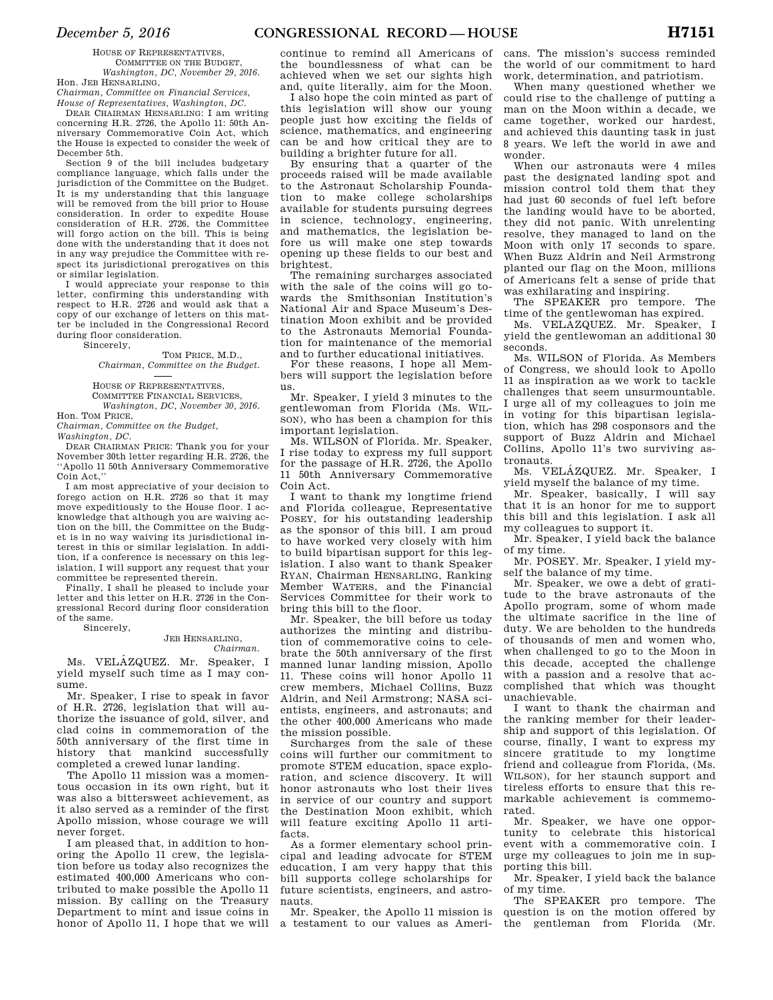HOUSE OF REPRESENTATIVES,

COMMITTEE ON THE BUDGET, *Washington, DC, November 29, 2016.* 

Hon. JEB HENSARLING, *Chairman, Committee on Financial Services, House of Representatives, Washington, DC.* 

DEAR CHAIRMAN HENSARLING: I am writing concerning H.R. 2726, the Apollo 11: 50th Anniversary Commemorative Coin Act, which the House is expected to consider the week of December 5th.

Section 9 of the bill includes budgetary compliance language, which falls under the jurisdiction of the Committee on the Budget. It is my understanding that this language will be removed from the bill prior to House consideration. In order to expedite House consideration of H.R. 2726, the Committee will forgo action on the bill. This is being done with the understanding that it does not in any way prejudice the Committee with respect its jurisdictional prerogatives on this or similar legislation.

I would appreciate your response to this letter, confirming this understanding with respect to H.R. 2726 and would ask that a copy of our exchange of letters on this matter be included in the Congressional Record during floor consideration.

### Sincerely,

TOM PRICE, M.D. *Chairman, Committee on the Budget.* 

HOUSE OF REPRESENTATIVES,

COMMITTEE FINANCIAL SERVICES, *Washington, DC, November 30, 2016.* 

Hon. TOM PRICE, *Chairman, Committee on the Budget,* 

*Washington, DC.* 

DEAR CHAIRMAN PRICE: Thank you for your November 30th letter regarding H.R. 2726, the ''Apollo 11 50th Anniversary Commemorative Coin Act,''

I am most appreciative of your decision to forego action on H.R. 2726 so that it may move expeditiously to the House floor. I acknowledge that although you are waiving action on the bill, the Committee on the Budget is in no way waiving its jurisdictional interest in this or similar legislation. In addition, if a conference is necessary on this legislation, I will support any request that your committee be represented therein.

Finally, I shall he pleased to include your letter and this letter on H.R. 2726 in the Congressional Record during floor consideration of the same.

Sincerely,

### JEB HENSARLING, *Chairman.*

Ms. VELÁZQUEZ. Mr. Speaker, I yield myself such time as I may consume.

Mr. Speaker, I rise to speak in favor of H.R. 2726, legislation that will authorize the issuance of gold, silver, and clad coins in commemoration of the 50th anniversary of the first time in history that mankind successfully completed a crewed lunar landing.

The Apollo 11 mission was a momentous occasion in its own right, but it was also a bittersweet achievement, as it also served as a reminder of the first Apollo mission, whose courage we will never forget.

I am pleased that, in addition to honoring the Apollo 11 crew, the legislation before us today also recognizes the estimated 400,000 Americans who contributed to make possible the Apollo 11 mission. By calling on the Treasury Department to mint and issue coins in honor of Apollo 11, I hope that we will continue to remind all Americans of the boundlessness of what can be achieved when we set our sights high and, quite literally, aim for the Moon.

I also hope the coin minted as part of this legislation will show our young people just how exciting the fields of science, mathematics, and engineering can be and how critical they are to building a brighter future for all.

By ensuring that a quarter of the proceeds raised will be made available to the Astronaut Scholarship Foundation to make college scholarships available for students pursuing degrees in science, technology, engineering, and mathematics, the legislation before us will make one step towards opening up these fields to our best and brightest.

The remaining surcharges associated with the sale of the coins will go towards the Smithsonian Institution's National Air and Space Museum's Destination Moon exhibit and be provided to the Astronauts Memorial Foundation for maintenance of the memorial and to further educational initiatives.

For these reasons, I hope all Members will support the legislation before  $_{11S}$ .

Mr. Speaker, I yield 3 minutes to the gentlewoman from Florida (Ms. WIL-SON), who has been a champion for this important legislation.

Ms. WILSON of Florida. Mr. Speaker, I rise today to express my full support for the passage of H.R. 2726, the Apollo 11 50th Anniversary Commemorative Coin Act.

I want to thank my longtime friend and Florida colleague, Representative POSEY, for his outstanding leadership as the sponsor of this bill. I am proud to have worked very closely with him to build bipartisan support for this legislation. I also want to thank Speaker RYAN, Chairman HENSARLING, Ranking Member WATERS, and the Financial Services Committee for their work to bring this bill to the floor.

Mr. Speaker, the bill before us today authorizes the minting and distribution of commemorative coins to celebrate the 50th anniversary of the first manned lunar landing mission, Apollo 11. These coins will honor Apollo 11 crew members, Michael Collins, Buzz Aldrin, and Neil Armstrong; NASA scientists, engineers, and astronauts; and the other 400,000 Americans who made the mission possible.

Surcharges from the sale of these coins will further our commitment to promote STEM education, space exploration, and science discovery. It will honor astronauts who lost their lives in service of our country and support the Destination Moon exhibit, which will feature exciting Apollo 11 artifacts.

As a former elementary school principal and leading advocate for STEM education, I am very happy that this bill supports college scholarships for future scientists, engineers, and astronauts.

Mr. Speaker, the Apollo 11 mission is a testament to our values as Ameri-

cans. The mission's success reminded the world of our commitment to hard work, determination, and patriotism.

When many questioned whether we could rise to the challenge of putting a man on the Moon within a decade, we came together, worked our hardest, and achieved this daunting task in just 8 years. We left the world in awe and wonder.

When our astronauts were 4 miles past the designated landing spot and mission control told them that they had just 60 seconds of fuel left before the landing would have to be aborted, they did not panic. With unrelenting resolve, they managed to land on the Moon with only 17 seconds to spare. When Buzz Aldrin and Neil Armstrong planted our flag on the Moon, millions of Americans felt a sense of pride that was exhilarating and inspiring.

The SPEAKER pro tempore. The time of the gentlewoman has expired.

Ms. VELAZQUEZ. Mr. Speaker. I yield the gentlewoman an additional 30 seconds.

Ms. WILSON of Florida. As Members of Congress, we should look to Apollo 11 as inspiration as we work to tackle challenges that seem unsurmountable. I urge all of my colleagues to join me in voting for this bipartisan legislation, which has 298 cosponsors and the support of Buzz Aldrin and Michael Collins, Apollo 11's two surviving astronauts.

Ms. VELÁZQUEZ. Mr. Speaker, I yield myself the balance of my time.

Mr. Speaker, basically, I will say that it is an honor for me to support this bill and this legislation. I ask all my colleagues to support it.

Mr. Speaker, I yield back the balance of my time.

Mr. POSEY. Mr. Speaker, I yield myself the balance of my time.

Mr. Speaker, we owe a debt of gratitude to the brave astronauts of the Apollo program, some of whom made the ultimate sacrifice in the line of duty. We are beholden to the hundreds of thousands of men and women who, when challenged to go to the Moon in this decade, accepted the challenge with a passion and a resolve that accomplished that which was thought unachievable.

I want to thank the chairman and the ranking member for their leadership and support of this legislation. Of course, finally, I want to express my sincere gratitude to my longtime friend and colleague from Florida, (Ms. WILSON), for her staunch support and tireless efforts to ensure that this remarkable achievement is commemorated.

Mr. Speaker, we have one opportunity to celebrate this historical event with a commemorative coin. I urge my colleagues to join me in supporting this bill.

Mr. Speaker, I yield back the balance of my time.

The SPEAKER pro tempore. The question is on the motion offered by the gentleman from Florida (Mr.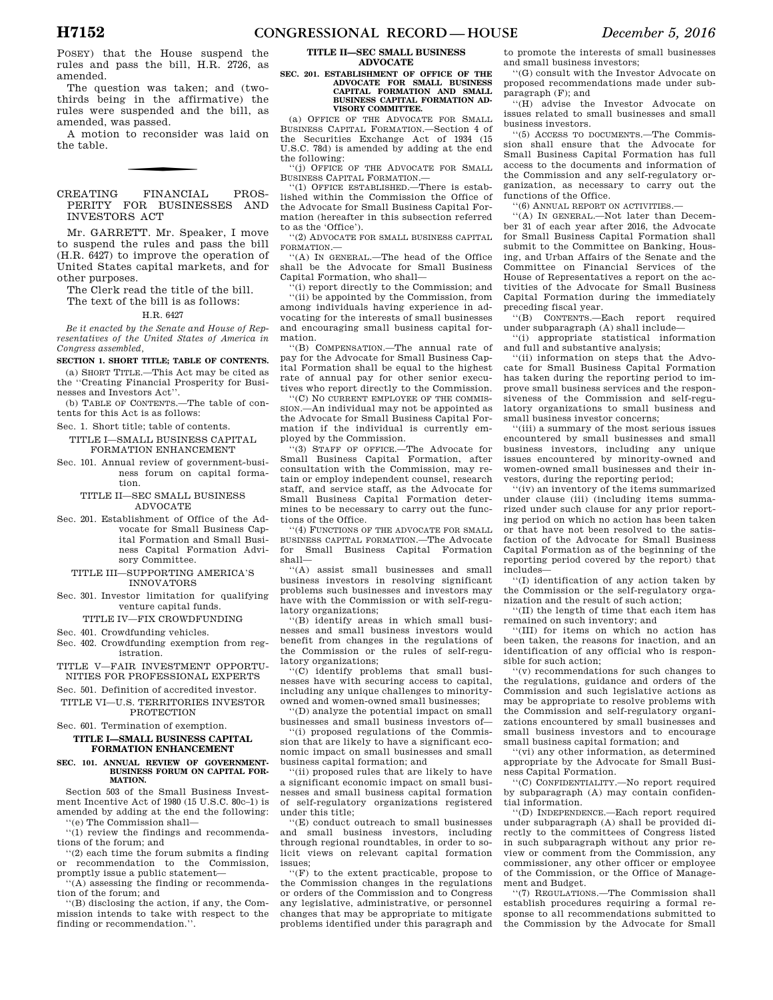POSEY) that the House suspend the rules and pass the bill, H.R. 2726, as amended.

The question was taken; and (twothirds being in the affirmative) the rules were suspended and the bill, as amended, was passed.

A motion to reconsider was laid on the table.

### CREATING FINANCIAL PROS-PERITY FOR BUSINESSES AND INVESTORS ACT

Mr. GARRETT. Mr. Speaker, I move to suspend the rules and pass the bill (H.R. 6427) to improve the operation of United States capital markets, and for other purposes.

- The Clerk read the title of the bill.
- The text of the bill is as follows: H.R. 6427

*Be it enacted by the Senate and House of Representatives of the United States of America in Congress assembled,* 

### **SECTION 1. SHORT TITLE; TABLE OF CONTENTS.**

(a) SHORT TITLE.—This Act may be cited as the ''Creating Financial Prosperity for Businesses and Investors Act''.

- (b) TABLE OF CONTENTS.—The table of contents for this Act is as follows:
- Sec. 1. Short title; table of contents.
- TITLE I—SMALL BUSINESS CAPITAL FORMATION ENHANCEMENT
- Sec. 101. Annual review of government-business forum on capital formation.

### TITLE II—SEC SMALL BUSINESS ADVOCATE

Sec. 201. Establishment of Office of the Advocate for Small Business Capital Formation and Small Business Capital Formation Advisory Committee.

### TITLE III—SUPPORTING AMERICA'S INNOVATORS

Sec. 301. Investor limitation for qualifying venture capital funds.

### TITLE IV—FIX CROWDFUNDING

Sec. 401. Crowdfunding vehicles.

Sec. 402. Crowdfunding exemption from registration.

TITLE V—FAIR INVESTMENT OPPORTU-NITIES FOR PROFESSIONAL EXPERTS

- Sec. 501. Definition of accredited investor. TITLE VI—U.S. TERRITORIES INVESTOR
- PROTECTION

### Sec. 601. Termination of exemption. **TITLE I—SMALL BUSINESS CAPITAL FORMATION ENHANCEMENT**

### **SEC. 101. ANNUAL REVIEW OF GOVERNMENT-BUSINESS FORUM ON CAPITAL FOR-**

**MATION.**  Section 503 of the Small Business Investment Incentive Act of 1980 (15 U.S.C. 80c–1) is amended by adding at the end the following: ''(e) The Commission shall—

''(1) review the findings and recommendations of the forum; and

''(2) each time the forum submits a finding or recommendation to the Commission, promptly issue a public statement—

''(A) assessing the finding or recommendation of the forum; and

''(B) disclosing the action, if any, the Commission intends to take with respect to the finding or recommendation.''.

### **TITLE II—SEC SMALL BUSINESS ADVOCATE**

### **SEC. 201. ESTABLISHMENT OF OFFICE OF THE ADVOCATE FOR SMALL BUSINESS CAPITAL FORMATION AND SMALL**  BUSINESS CAPITAL FORMATION AD-**VISORY COMMITTEE.**

(a) OFFICE OF THE ADVOCATE FOR SMALL BUSINESS CAPITAL FORMATION.—Section 4 of the Securities Exchange Act of 1934 (15 U.S.C. 78d) is amended by adding at the end

the following: ''(j) OFFICE OF THE ADVOCATE FOR SMALL BUSINESS CAPITAL FORMATION.—

'(1) OFFICE ESTABLISHED.—There is established within the Commission the Office of the Advocate for Small Business Capital Formation (hereafter in this subsection referred to as the 'Office').

''(2) ADVOCATE FOR SMALL BUSINESS CAPITAL FORMATION.—

''(A) IN GENERAL.—The head of the Office shall be the Advocate for Small Business Capital Formation, who shall—

(i) report directly to the Commission; and ''(ii) be appointed by the Commission, from among individuals having experience in advocating for the interests of small businesses and encouraging small business capital formation.

''(B) COMPENSATION.—The annual rate of pay for the Advocate for Small Business Capital Formation shall be equal to the highest rate of annual pay for other senior executives who report directly to the Commission.

''(C) NO CURRENT EMPLOYEE OF THE COMMIS-SION.—An individual may not be appointed as the Advocate for Small Business Capital Formation if the individual is currently employed by the Commission.

''(3) STAFF OF OFFICE.—The Advocate for Small Business Capital Formation, after consultation with the Commission, may retain or employ independent counsel, research staff, and service staff, as the Advocate for Small Business Capital Formation determines to be necessary to carry out the functions of the Office.

''(4) FUNCTIONS OF THE ADVOCATE FOR SMALL BUSINESS CAPITAL FORMATION.—The Advocate for Small Business Capital Formation shall—

''(A) assist small businesses and small business investors in resolving significant problems such businesses and investors may have with the Commission or with self-regulatory organizations;

''(B) identify areas in which small businesses and small business investors would benefit from changes in the regulations of the Commission or the rules of self-regulatory organizations;

''(C) identify problems that small businesses have with securing access to capital, including any unique challenges to minorityowned and women-owned small businesses;

''(D) analyze the potential impact on small businesses and small business investors of—

''(i) proposed regulations of the Commission that are likely to have a significant economic impact on small businesses and small business capital formation; and

''(ii) proposed rules that are likely to have a significant economic impact on small businesses and small business capital formation of self-regulatory organizations registered under this title;

''(E) conduct outreach to small businesses and small business investors, including through regional roundtables, in order to solicit views on relevant capital formation issues;

''(F) to the extent practicable, propose to the Commission changes in the regulations or orders of the Commission and to Congress any legislative, administrative, or personnel changes that may be appropriate to mitigate problems identified under this paragraph and to promote the interests of small businesses and small business investors;

''(G) consult with the Investor Advocate on proposed recommendations made under subparagraph (F); and

''(H) advise the Investor Advocate on issues related to small businesses and small business investors.

''(5) ACCESS TO DOCUMENTS.—The Commission shall ensure that the Advocate for Small Business Capital Formation has full access to the documents and information of the Commission and any self-regulatory organization, as necessary to carry out the functions of the Office.

''(6) ANNUAL REPORT ON ACTIVITIES.—

''(A) IN GENERAL.—Not later than December 31 of each year after 2016, the Advocate for Small Business Capital Formation shall submit to the Committee on Banking, Housing, and Urban Affairs of the Senate and the Committee on Financial Services of the House of Representatives a report on the activities of the Advocate for Small Business Capital Formation during the immediately preceding fiscal year.

''(B) CONTENTS.—Each report required under subparagraph (A) shall include—

''(i) appropriate statistical information and full and substantive analysis;

''(ii) information on steps that the Advocate for Small Business Capital Formation has taken during the reporting period to improve small business services and the responsiveness of the Commission and self-regulatory organizations to small business and small business investor concerns;

''(iii) a summary of the most serious issues encountered by small businesses and small business investors, including any unique issues encountered by minority-owned and women-owned small businesses and their investors, during the reporting period;

''(iv) an inventory of the items summarized under clause (iii) (including items summarized under such clause for any prior reporting period on which no action has been taken or that have not been resolved to the satisfaction of the Advocate for Small Business Capital Formation as of the beginning of the reporting period covered by the report) that includes—

''(I) identification of any action taken by the Commission or the self-regulatory organization and the result of such action;

''(II) the length of time that each item has remained on such inventory; and

''(III) for items on which no action has been taken, the reasons for inaction, and an identification of any official who is responsible for such action;

''(v) recommendations for such changes to the regulations, guidance and orders of the Commission and such legislative actions as may be appropriate to resolve problems with the Commission and self-regulatory organizations encountered by small businesses and small business investors and to encourage small business capital formation; and

''(vi) any other information, as determined appropriate by the Advocate for Small Business Capital Formation.

''(C) CONFIDENTIALITY.—No report required by subparagraph (A) may contain confidential information.

''(D) INDEPENDENCE.—Each report required under subparagraph (A) shall be provided directly to the committees of Congress listed in such subparagraph without any prior review or comment from the Commission, any commissioner, any other officer or employee of the Commission, or the Office of Management and Budget.

''(7) REGULATIONS.—The Commission shall establish procedures requiring a formal response to all recommendations submitted to the Commission by the Advocate for Small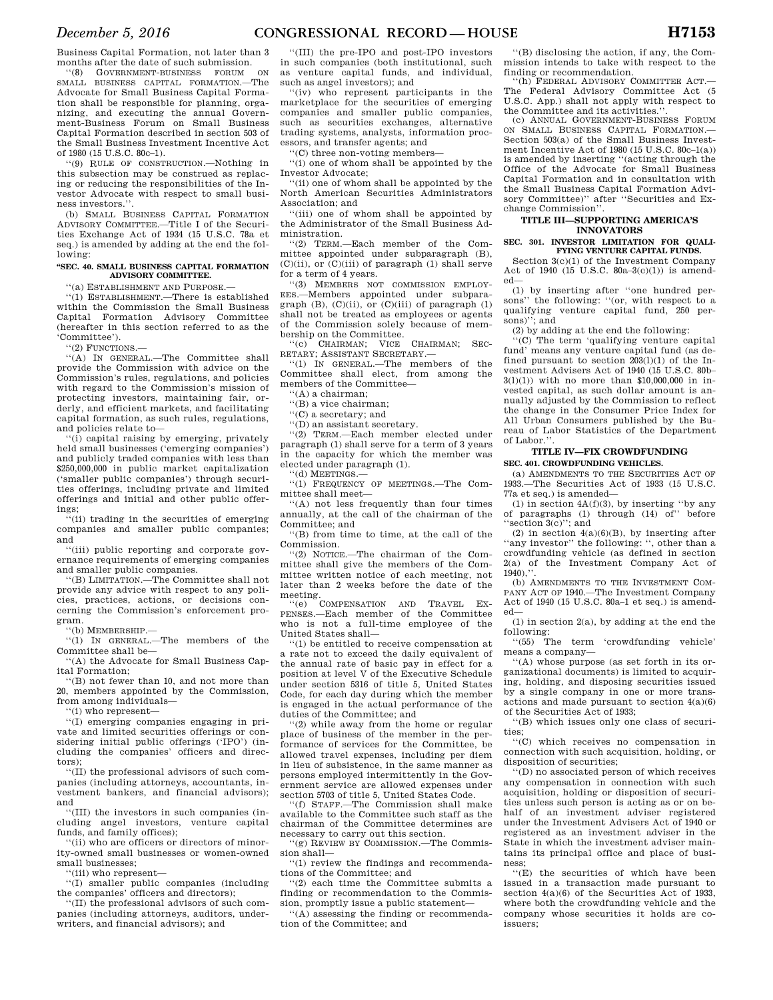Business Capital Formation, not later than 3 months after the date of such submission.

''(8) GOVERNMENT-BUSINESS FORUM ON SMALL BUSINESS CAPITAL FORMATION.—The Advocate for Small Business Capital Formation shall be responsible for planning, organizing, and executing the annual Government-Business Forum on Small Business Capital Formation described in section 503 of the Small Business Investment Incentive Act of 1980 (15 U.S.C. 80c–1).

''(9) RULE OF CONSTRUCTION.—Nothing in this subsection may be construed as replacing or reducing the responsibilities of the Investor Advocate with respect to small business investors.''.

(b) SMALL BUSINESS CAPITAL FORMATION ADVISORY COMMITTEE.—Title I of the Securities Exchange Act of 1934 (15 U.S.C. 78a et seq.) is amended by adding at the end the following:

### **''SEC. 40. SMALL BUSINESS CAPITAL FORMATION ADVISORY COMMITTEE.**

''(a) ESTABLISHMENT AND PURPOSE.—

''(1) ESTABLISHMENT.—There is established within the Commission the Small Business Capital Formation Advisory Committee (hereafter in this section referred to as the 'Committee').

'(2) FUNCTIONS.-

''(A) IN GENERAL.—The Committee shall provide the Commission with advice on the Commission's rules, regulations, and policies with regard to the Commission's mission of protecting investors, maintaining fair, orderly, and efficient markets, and facilitating capital formation, as such rules, regulations, and policies relate to—

''(i) capital raising by emerging, privately held small businesses ('emerging companies') and publicly traded companies with less than \$250,000,000 in public market capitalization ('smaller public companies') through securities offerings, including private and limited offerings and initial and other public offerings;

''(ii) trading in the securities of emerging companies and smaller public companies; and

''(iii) public reporting and corporate governance requirements of emerging companies and smaller public companies.

''(B) LIMITATION.—The Committee shall not provide any advice with respect to any policies, practices, actions, or decisions concerning the Commission's enforcement program.

''(b) MEMBERSHIP.—

''(1) IN GENERAL.—The members of the Committee shall be—

'(A) the Advocate for Small Business Capital Formation;

''(B) not fewer than 10, and not more than 20, members appointed by the Commission, from among individuals—

''(i) who represent—

''(I) emerging companies engaging in private and limited securities offerings or considering initial public offerings ('IPO') (including the companies' officers and directors);

''(II) the professional advisors of such companies (including attorneys, accountants, investment bankers, and financial advisors); and

''(III) the investors in such companies (including angel investors, venture capital funds, and family offices);

''(ii) who are officers or directors of minority-owned small businesses or women-owned small businesses;

''(iii) who represent—

''(I) smaller public companies (including the companies' officers and directors);

''(II) the professional advisors of such companies (including attorneys, auditors, underwriters, and financial advisors); and

''(III) the pre-IPO and post-IPO investors in such companies (both institutional, such as venture capital funds, and individual, such as angel investors); and

''(iv) who represent participants in the marketplace for the securities of emerging companies and smaller public companies, such as securities exchanges, alternative trading systems, analysts, information processors, and transfer agents; and

''(C) three non-voting members—

''(i) one of whom shall be appointed by the Investor Advocate;

''(ii) one of whom shall be appointed by the North American Securities Administrators Association; and

''(iii) one of whom shall be appointed by the Administrator of the Small Business Administration.

''(2) TERM.—Each member of the Committee appointed under subparagraph (B),  $(C)(ii)$ , or  $(C)(iii)$  of paragraph  $(1)$  shall serve for a term of 4 years.

'(3) MEMBERS NOT COMMISSION EMPLOY-EES.—Members appointed under subparagraph  $(B)$ ,  $(C)(ii)$ , or  $(C)(iii)$  of paragraph  $(1)$ shall not be treated as employees or agents of the Commission solely because of membership on the Committee.<br>
"(c) CHAIRMAN; VICE CHAIRMAN; SEC-

RETARY; ASSISTANT SECRETARY.—

''(1) IN GENERAL.—The members of the Committee shall elect, from among the members of the Committee—

''(A) a chairman;

''(B) a vice chairman;

''(C) a secretary; and

''(D) an assistant secretary.

''(2) TERM.—Each member elected under paragraph (1) shall serve for a term of 3 years in the capacity for which the member was elected under paragraph (1).

'(d) MEETINGS.-

''(1) FREQUENCY OF MEETINGS.—The Committee shall meet—

''(A) not less frequently than four times annually, at the call of the chairman of the Committee; and

''(B) from time to time, at the call of the Commission.

''(2) NOTICE.—The chairman of the Committee shall give the members of the Committee written notice of each meeting, not later than 2 weeks before the date of the meeting. ''(e) COMPENSATION AND TRAVEL EX-

PENSES.—Each member of the Committee who is not a full-time employee of the United States shall—

''(1) be entitled to receive compensation at a rate not to exceed the daily equivalent of the annual rate of basic pay in effect for a position at level V of the Executive Schedule under section 5316 of title 5, United States Code, for each day during which the member is engaged in the actual performance of the duties of the Committee; and

''(2) while away from the home or regular place of business of the member in the performance of services for the Committee, be allowed travel expenses, including per diem in lieu of subsistence, in the same manner as persons employed intermittently in the Government service are allowed expenses under section 5703 of title 5, United States Code.

''(f) STAFF.—The Commission shall make available to the Committee such staff as the chairman of the Committee determines are necessary to carry out this section.

''(g) REVIEW BY COMMISSION.—The Commission shall—

''(1) review the findings and recommendations of the Committee; and

''(2) each time the Committee submits a finding or recommendation to the Commission, promptly issue a public statement—

''(A) assessing the finding or recommendation of the Committee; and

''(B) disclosing the action, if any, the Commission intends to take with respect to the finding or recommendation.

'(h) FEDERAL ADVISORY COMMITTEE ACT.-The Federal Advisory Committee Act (5 U.S.C. App.) shall not apply with respect to the Committee and its activities.''.

(c) ANNUAL GOVERNMENT-BUSINESS FORUM ON SMALL BUSINESS CAPITAL FORMATION.— Section 503(a) of the Small Business Investment Incentive Act of 1980 (15 U.S.C. 80c–1(a)) is amended by inserting ''(acting through the Office of the Advocate for Small Business Capital Formation and in consultation with the Small Business Capital Formation Advi-sory Committee)'' after ''Securities and Exchange Commission''.

### **TITLE III—SUPPORTING AMERICA'S INNOVATORS**

### **SEC. 301. INVESTOR LIMITATION FOR QUALI-FYING VENTURE CAPITAL FUNDS.**

Section 3(c)(1) of the Investment Company Act of 1940 (15 U.S.C. 80a–3(c)(1)) is amended—

(1) by inserting after ''one hundred persons'' the following: ''(or, with respect to a qualifying venture capital fund, 250 persons)''; and

(2) by adding at the end the following:

''(C) The term 'qualifying venture capital fund' means any venture capital fund (as defined pursuant to section  $203(1)(1)$  of the Investment Advisers Act of 1940 (15 U.S.C. 80b–  $3(1)(1)$ ) with no more than \$10,000,000 in invested capital, as such dollar amount is annually adjusted by the Commission to reflect the change in the Consumer Price Index for All Urban Consumers published by the Bureau of Labor Statistics of the Department of Labor.''.

### **TITLE IV—FIX CROWDFUNDING SEC. 401. CROWDFUNDING VEHICLES.**

(a) AMENDMENTS TO THE SECURITIES ACT OF 1933.—The Securities Act of 1933 (15 U.S.C. 77a et seq.) is amended—

(1) in section  $4A(f)(3)$ , by inserting "by any of paragraphs (1) through (14) of'' before 'section 3(c)''; and

(2) in section  $4(a)(6)(B)$ , by inserting after ''any investor'' the following: '', other than a crowdfunding vehicle (as defined in section 2(a) of the Investment Company Act of  $1940$ .

(b) AMENDMENTS TO THE INVESTMENT COM-PANY ACT OF 1940.—The Investment Company Act of 1940 (15 U.S.C. 80a–1 et seq.) is amended—

(1) in section 2(a), by adding at the end the following:

''(55) The term 'crowdfunding vehicle' means a company—

''(A) whose purpose (as set forth in its organizational documents) is limited to acquiring, holding, and disposing securities issued by a single company in one or more transactions and made pursuant to section  $4(a)(6)$ of the Securities Act of 1933;

''(B) which issues only one class of securities;

''(C) which receives no compensation in connection with such acquisition, holding, or disposition of securities;

''(D) no associated person of which receives any compensation in connection with such acquisition, holding or disposition of securities unless such person is acting as or on behalf of an investment adviser registered under the Investment Advisers Act of 1940 or registered as an investment adviser in the State in which the investment adviser maintains its principal office and place of business;

''(E) the securities of which have been issued in a transaction made pursuant to section 4(a)(6) of the Securities Act of 1933, where both the crowdfunding vehicle and the company whose securities it holds are coissuers;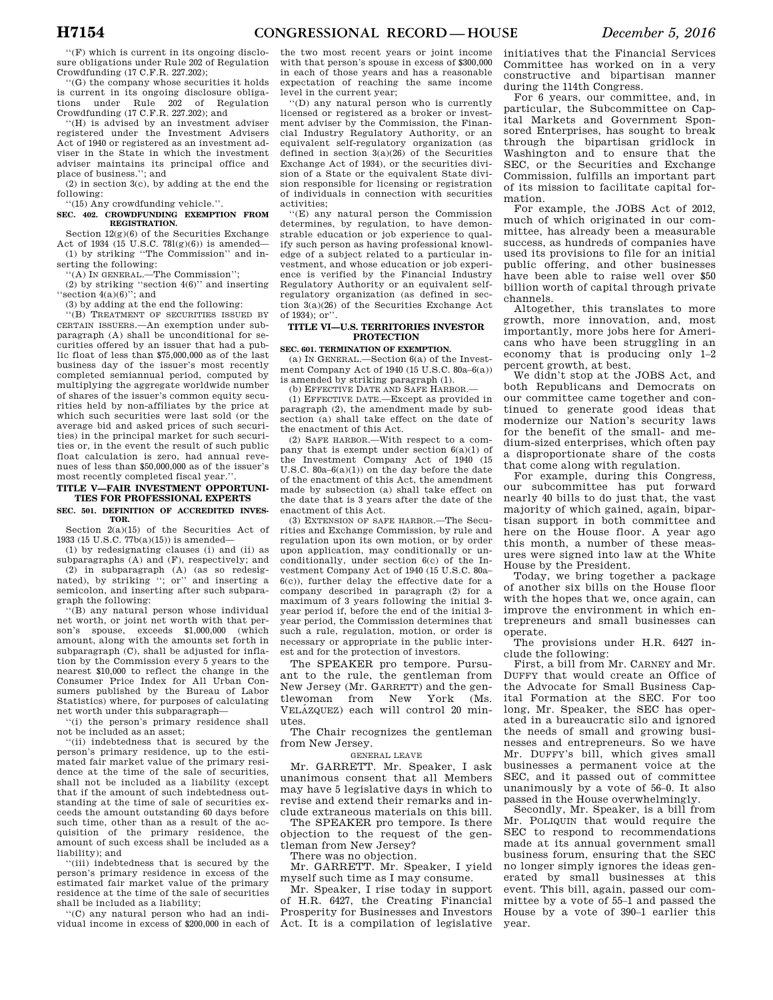''(F) which is current in its ongoing disclosure obligations under Rule 202 of Regulation Crowdfunding (17 C.F.R. 227.202);

''(G) the company whose securities it holds is current in its ongoing disclosure obligations under Rule 202 of Regulation Crowdfunding (17 C.F.R. 227.202); and

''(H) is advised by an investment adviser registered under the Investment Advisers Act of 1940 or registered as an investment adviser in the State in which the investment adviser maintains its principal office and place of business.''; and

(2) in section 3(c), by adding at the end the following:

''(15) Any crowdfunding vehicle.''.

### **SEC. 402. CROWDFUNDING EXEMPTION FROM REGISTRATION.**

Section  $12(g)(6)$  of the Securities Exchange Act of 1934 (15 U.S.C. 781 $(g)(6)$ ) is amended— (1) by striking ''The Commission'' and inserting the following:

''(A) IN GENERAL.—The Commission'';

(2) by striking ''section 4(6)'' and inserting "section  $4(a)(6)$ "; and

(3) by adding at the end the following:

''(B) TREATMENT OF SECURITIES ISSUED BY CERTAIN ISSUERS.—An exemption under subparagraph (A) shall be unconditional for securities offered by an issuer that had a public float of less than \$75,000,000 as of the last business day of the issuer's most recently completed semiannual period, computed by multiplying the aggregate worldwide number of shares of the issuer's common equity securities held by non-affiliates by the price at which such securities were last sold (or the average bid and asked prices of such securities) in the principal market for such securities or, in the event the result of such public float calculation is zero, had annual revenues of less than \$50,000,000 as of the issuer's most recently completed fiscal year.''.

### **TITLE V—FAIR INVESTMENT OPPORTUNI-TIES FOR PROFESSIONAL EXPERTS SEC. 501. DEFINITION OF ACCREDITED INVES-**

### **TOR.**

Section 2(a)(15) of the Securities Act of 1933 (15 U.S.C. 77b(a)(15)) is amended—

(1) by redesignating clauses (i) and (ii) as subparagraphs (A) and (F), respectively; and (2) in subparagraph (A) (as so redesignated), by striking "; or" and inserting a semicolon, and inserting after such subparagraph the following:

''(B) any natural person whose individual net worth, or joint net worth with that person's spouse, exceeds \$1,000,000 (which amount, along with the amounts set forth in subparagraph (C), shall be adjusted for inflation by the Commission every 5 years to the nearest \$10,000 to reflect the change in the Consumer Price Index for All Urban Consumers published by the Bureau of Labor Statistics) where, for purposes of calculating net worth under this subparagraph—

''(i) the person's primary residence shall not be included as an asset;

''(ii) indebtedness that is secured by the person's primary residence, up to the estimated fair market value of the primary residence at the time of the sale of securities, shall not be included as a liability (except that if the amount of such indebtedness outstanding at the time of sale of securities exceeds the amount outstanding 60 days before such time, other than as a result of the acquisition of the primary residence, the amount of such excess shall be included as a liability); and

''(iii) indebtedness that is secured by the person's primary residence in excess of the estimated fair market value of the primary residence at the time of the sale of securities shall be included as a liability;

''(C) any natural person who had an individual income in excess of \$200,000 in each of

the two most recent years or joint income with that person's spouse in excess of \$300,000 in each of those years and has a reasonable expectation of reaching the same income level in the current year;

''(D) any natural person who is currently licensed or registered as a broker or investment adviser by the Commission, the Financial Industry Regulatory Authority, or an equivalent self-regulatory organization (as defined in section  $3(a)(26)$  of the Securities Exchange Act of 1934), or the securities division of a State or the equivalent State division responsible for licensing or registration of individuals in connection with securities activities;

''(E) any natural person the Commission determines, by regulation, to have demonstrable education or job experience to qualify such person as having professional knowledge of a subject related to a particular investment, and whose education or job experience is verified by the Financial Industry Regulatory Authority or an equivalent selfregulatory organization (as defined in section 3(a)(26) of the Securities Exchange Act of 1934); or''.

### **TITLE VI—U.S. TERRITORIES INVESTOR PROTECTION**

### **SEC. 601. TERMINATION OF EXEMPTION.**  (a) IN GENERAL.—Section 6(a) of the Invest-

ment Company Act of 1940 (15 U.S.C. 80a–6(a)) is amended by striking paragraph (1).

(b) EFFECTIVE DATE AND SAFE HARBOR.

(1) EFFECTIVE DATE.—Except as provided in paragraph (2), the amendment made by subsection (a) shall take effect on the date of the enactment of this Act.

(2) SAFE HARBOR.—With respect to a company that is exempt under section 6(a)(1) of the Investment Company Act of 1940 (15 U.S.C.  $80a-6(a)(1)$  on the day before the date of the enactment of this Act, the amendment made by subsection (a) shall take effect on the date that is 3 years after the date of the enactment of this Act.

(3) EXTENSION OF SAFE HARBOR.—The Securities and Exchange Commission, by rule and regulation upon its own motion, or by order upon application, may conditionally or unconditionally, under section 6(c) of the Investment Company Act of 1940 (15 U.S.C. 80a– 6(c)), further delay the effective date for a company described in paragraph (2) for a maximum of 3 years following the initial 3 year period if, before the end of the initial 3 year period, the Commission determines that such a rule, regulation, motion, or order is necessary or appropriate in the public interest and for the protection of investors.

The SPEAKER pro tempore. Pursuant to the rule, the gentleman from New Jersey (Mr. GARRETT) and the gentlewoman from New York (Ms. VELÁZQUEZ) each will control 20 minutes.

The Chair recognizes the gentleman from New Jersey.

### GENERAL LEAVE

Mr. GARRETT. Mr. Speaker, I ask unanimous consent that all Members may have 5 legislative days in which to revise and extend their remarks and include extraneous materials on this bill.

The SPEAKER pro tempore. Is there objection to the request of the gen-

tleman from New Jersey? There was no objection.

Mr. GARRETT. Mr. Speaker, I yield myself such time as I may consume.

Mr. Speaker, I rise today in support of H.R. 6427, the Creating Financial Prosperity for Businesses and Investors Act. It is a compilation of legislative

initiatives that the Financial Services Committee has worked on in a very constructive and bipartisan manner during the 114th Congress.

For 6 years, our committee, and, in particular, the Subcommittee on Capital Markets and Government Sponsored Enterprises, has sought to break through the bipartisan gridlock in Washington and to ensure that the SEC, or the Securities and Exchange Commission, fulfills an important part of its mission to facilitate capital formation.

For example, the JOBS Act of 2012, much of which originated in our committee, has already been a measurable success, as hundreds of companies have used its provisions to file for an initial public offering, and other businesses have been able to raise well over \$50 billion worth of capital through private channels.

Altogether, this translates to more growth, more innovation, and, most importantly, more jobs here for Americans who have been struggling in an economy that is producing only 1–2 percent growth, at best.

We didn't stop at the JOBS Act, and both Republicans and Democrats on our committee came together and continued to generate good ideas that modernize our Nation's security laws for the benefit of the small- and medium-sized enterprises, which often pay a disproportionate share of the costs that come along with regulation.

For example, during this Congress, our subcommittee has put forward nearly 40 bills to do just that, the vast majority of which gained, again, bipartisan support in both committee and here on the House floor. A year ago this month, a number of these measures were signed into law at the White House by the President.

Today, we bring together a package of another six bills on the House floor with the hopes that we, once again, can improve the environment in which entrepreneurs and small businesses can operate.

The provisions under H.R. 6427 include the following:

First, a bill from Mr. CARNEY and Mr. DUFFY that would create an Office of the Advocate for Small Business Capital Formation at the SEC. For too long, Mr. Speaker, the SEC has operated in a bureaucratic silo and ignored the needs of small and growing businesses and entrepreneurs. So we have Mr. DUFFY's bill, which gives small businesses a permanent voice at the SEC, and it passed out of committee unanimously by a vote of 56–0. It also passed in the House overwhelmingly.

Secondly, Mr. Speaker, is a bill from Mr. POLIQUIN that would require the SEC to respond to recommendations made at its annual government small business forum, ensuring that the SEC no longer simply ignores the ideas generated by small businesses at this event. This bill, again, passed our committee by a vote of 55–1 and passed the House by a vote of 390–1 earlier this year.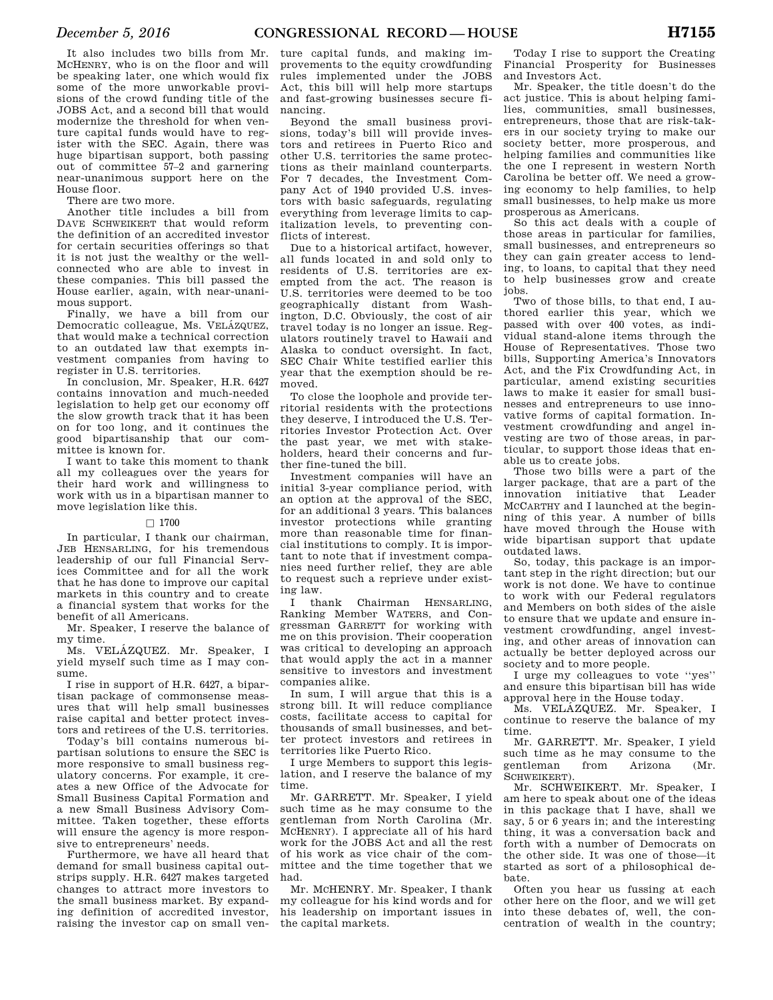It also includes two bills from Mr. MCHENRY, who is on the floor and will be speaking later, one which would fix some of the more unworkable provisions of the crowd funding title of the JOBS Act, and a second bill that would modernize the threshold for when venture capital funds would have to register with the SEC. Again, there was huge bipartisan support, both passing out of committee 57–2 and garnering near-unanimous support here on the House floor.

There are two more.

Another title includes a bill from DAVE SCHWEIKERT that would reform the definition of an accredited investor for certain securities offerings so that it is not just the wealthy or the wellconnected who are able to invest in these companies. This bill passed the House earlier, again, with near-unanimous support.

Finally, we have a bill from our Democratic colleague, Ms. VELÁZQUEZ, that would make a technical correction to an outdated law that exempts investment companies from having to register in U.S. territories.

In conclusion, Mr. Speaker, H.R. 6427 contains innovation and much-needed legislation to help get our economy off the slow growth track that it has been on for too long, and it continues the good bipartisanship that our committee is known for.

I want to take this moment to thank all my colleagues over the years for their hard work and willingness to work with us in a bipartisan manner to move legislation like this.

### $\Box$  1700

In particular, I thank our chairman, JEB HENSARLING, for his tremendous leadership of our full Financial Services Committee and for all the work that he has done to improve our capital markets in this country and to create a financial system that works for the benefit of all Americans.

Mr. Speaker, I reserve the balance of my time.

Ms. VELÁZQUEZ. Mr. Speaker, I yield myself such time as I may consume.

I rise in support of H.R. 6427, a bipartisan package of commonsense measures that will help small businesses raise capital and better protect investors and retirees of the U.S. territories.

Today's bill contains numerous bipartisan solutions to ensure the SEC is more responsive to small business regulatory concerns. For example, it creates a new Office of the Advocate for Small Business Capital Formation and a new Small Business Advisory Committee. Taken together, these efforts will ensure the agency is more responsive to entrepreneurs' needs.

Furthermore, we have all heard that demand for small business capital outstrips supply. H.R. 6427 makes targeted changes to attract more investors to the small business market. By expanding definition of accredited investor, raising the investor cap on small ven-

ture capital funds, and making improvements to the equity crowdfunding rules implemented under the JOBS Act, this bill will help more startups and fast-growing businesses secure financing.

Beyond the small business provisions, today's bill will provide investors and retirees in Puerto Rico and other U.S. territories the same protections as their mainland counterparts. For 7 decades, the Investment Company Act of 1940 provided U.S. investors with basic safeguards, regulating everything from leverage limits to capitalization levels, to preventing conflicts of interest.

Due to a historical artifact, however, all funds located in and sold only to residents of U.S. territories are exempted from the act. The reason is U.S. territories were deemed to be too geographically distant from Washington, D.C. Obviously, the cost of air travel today is no longer an issue. Regulators routinely travel to Hawaii and Alaska to conduct oversight. In fact, SEC Chair White testified earlier this year that the exemption should be removed.

To close the loophole and provide territorial residents with the protections they deserve, I introduced the U.S. Territories Investor Protection Act. Over the past year, we met with stakeholders, heard their concerns and further fine-tuned the bill.

Investment companies will have an initial 3-year compliance period, with an option at the approval of the SEC, for an additional 3 years. This balances investor protections while granting more than reasonable time for financial institutions to comply. It is important to note that if investment companies need further relief, they are able to request such a reprieve under existing law.

I thank Chairman HENSARLING, Ranking Member WATERS, and Congressman GARRETT for working with me on this provision. Their cooperation was critical to developing an approach that would apply the act in a manner sensitive to investors and investment companies alike.

In sum, I will argue that this is a strong bill. It will reduce compliance costs, facilitate access to capital for thousands of small businesses, and better protect investors and retirees in territories like Puerto Rico.

I urge Members to support this legislation, and I reserve the balance of my time.

Mr. GARRETT. Mr. Speaker, I yield such time as he may consume to the gentleman from North Carolina (Mr. MCHENRY). I appreciate all of his hard work for the JOBS Act and all the rest of his work as vice chair of the committee and the time together that we had.

Mr. MCHENRY. Mr. Speaker, I thank my colleague for his kind words and for his leadership on important issues in the capital markets.

Today I rise to support the Creating Financial Prosperity for Businesses and Investors Act.

Mr. Speaker, the title doesn't do the act justice. This is about helping families, communities, small businesses, entrepreneurs, those that are risk-takers in our society trying to make our society better, more prosperous, and helping families and communities like the one I represent in western North Carolina be better off. We need a growing economy to help families, to help small businesses, to help make us more prosperous as Americans.

So this act deals with a couple of those areas in particular for families, small businesses, and entrepreneurs so they can gain greater access to lending, to loans, to capital that they need to help businesses grow and create jobs.

Two of those bills, to that end, I authored earlier this year, which we passed with over 400 votes, as individual stand-alone items through the House of Representatives. Those two bills, Supporting America's Innovators Act, and the Fix Crowdfunding Act, in particular, amend existing securities laws to make it easier for small businesses and entrepreneurs to use innovative forms of capital formation. Investment crowdfunding and angel investing are two of those areas, in particular, to support those ideas that enable us to create jobs.

Those two bills were a part of the larger package, that are a part of the innovation initiative that Leader MCCARTHY and I launched at the beginning of this year. A number of bills have moved through the House with wide bipartisan support that update outdated laws.

So, today, this package is an important step in the right direction; but our work is not done. We have to continue to work with our Federal regulators and Members on both sides of the aisle to ensure that we update and ensure investment crowdfunding, angel investing, and other areas of innovation can actually be better deployed across our society and to more people.

I urge my colleagues to vote ''yes'' and ensure this bipartisan bill has wide approval here in the House today.

Ms. VELAZQUEZ. Mr. Speaker, I continue to reserve the balance of my time.

Mr. GARRETT. Mr. Speaker, I yield such time as he may consume to the gentleman from Arizona (Mr. SCHWEIKERT).

Mr. SCHWEIKERT. Mr. Speaker, I am here to speak about one of the ideas in this package that I have, shall we say, 5 or 6 years in; and the interesting thing, it was a conversation back and forth with a number of Democrats on the other side. It was one of those—it started as sort of a philosophical debate.

Often you hear us fussing at each other here on the floor, and we will get into these debates of, well, the concentration of wealth in the country;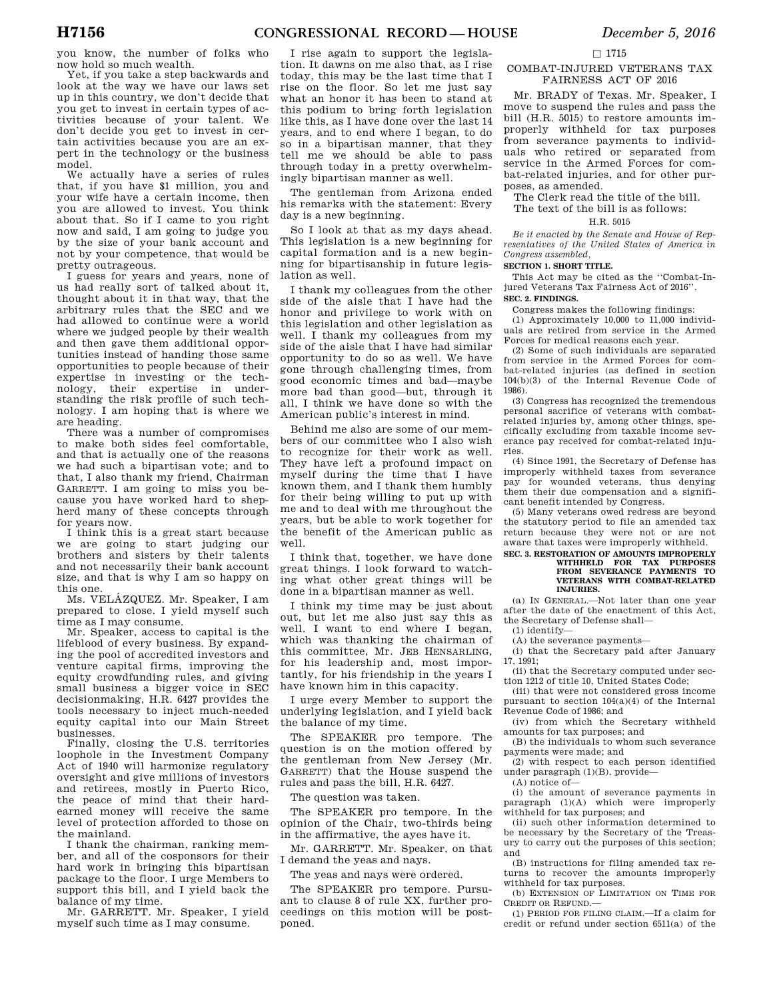you know, the number of folks who now hold so much wealth.

Yet, if you take a step backwards and look at the way we have our laws set up in this country, we don't decide that you get to invest in certain types of activities because of your talent. We don't decide you get to invest in certain activities because you are an expert in the technology or the business model.

We actually have a series of rules that, if you have \$1 million, you and your wife have a certain income, then you are allowed to invest. You think about that. So if I came to you right now and said, I am going to judge you by the size of your bank account and not by your competence, that would be pretty outrageous.

I guess for years and years, none of us had really sort of talked about it, thought about it in that way, that the arbitrary rules that the SEC and we had allowed to continue were a world where we judged people by their wealth and then gave them additional opportunities instead of handing those same opportunities to people because of their expertise in investing or the technology, their expertise in understanding the risk profile of such technology. I am hoping that is where we are heading.

There was a number of compromises to make both sides feel comfortable, and that is actually one of the reasons we had such a bipartisan vote; and to that, I also thank my friend, Chairman GARRETT. I am going to miss you because you have worked hard to shepherd many of these concepts through for years now.

I think this is a great start because we are going to start judging our brothers and sisters by their talents and not necessarily their bank account size, and that is why I am so happy on this one.

Ms. VELÁZQUEZ. Mr. Speaker, I am prepared to close. I yield myself such time as I may consume.

Mr. Speaker, access to capital is the lifeblood of every business. By expanding the pool of accredited investors and venture capital firms, improving the equity crowdfunding rules, and giving small business a bigger voice in SEC decisionmaking, H.R. 6427 provides the tools necessary to inject much-needed equity capital into our Main Street businesses.

Finally, closing the U.S. territories loophole in the Investment Company Act of 1940 will harmonize regulatory oversight and give millions of investors and retirees, mostly in Puerto Rico, the peace of mind that their hardearned money will receive the same level of protection afforded to those on the mainland.

I thank the chairman, ranking member, and all of the cosponsors for their hard work in bringing this bipartisan package to the floor. I urge Members to support this bill, and I yield back the balance of my time.

Mr. GARRETT. Mr. Speaker, I yield myself such time as I may consume.

I rise again to support the legislation. It dawns on me also that, as I rise today, this may be the last time that I rise on the floor. So let me just say what an honor it has been to stand at this podium to bring forth legislation like this, as I have done over the last 14 years, and to end where I began, to do so in a bipartisan manner, that they tell me we should be able to pass through today in a pretty overwhelmingly bipartisan manner as well.

The gentleman from Arizona ended his remarks with the statement: Every day is a new beginning.

So I look at that as my days ahead. This legislation is a new beginning for capital formation and is a new beginning for bipartisanship in future legislation as well.

I thank my colleagues from the other side of the aisle that I have had the honor and privilege to work with on this legislation and other legislation as well. I thank my colleagues from my side of the aisle that I have had similar opportunity to do so as well. We have gone through challenging times, from good economic times and bad—maybe more bad than good—but, through it all, I think we have done so with the American public's interest in mind.

Behind me also are some of our members of our committee who I also wish to recognize for their work as well. They have left a profound impact on myself during the time that I have known them, and I thank them humbly for their being willing to put up with me and to deal with me throughout the years, but be able to work together for the benefit of the American public as well.

I think that, together, we have done great things. I look forward to watching what other great things will be done in a bipartisan manner as well.

I think my time may be just about out, but let me also just say this as well. I want to end where I began, which was thanking the chairman of this committee, Mr. JEB HENSARLING, for his leadership and, most importantly, for his friendship in the years I have known him in this capacity.

I urge every Member to support the underlying legislation, and I yield back the balance of my time.

The SPEAKER pro tempore. The question is on the motion offered by the gentleman from New Jersey (Mr. GARRETT) that the House suspend the rules and pass the bill, H.R. 6427.

The question was taken.

The SPEAKER pro tempore. In the opinion of the Chair, two-thirds being in the affirmative, the ayes have it.

Mr. GARRETT. Mr. Speaker, on that I demand the yeas and nays.

The yeas and nays were ordered.

The SPEAKER pro tempore. Pursuant to clause 8 of rule XX, further proceedings on this motion will be postponed.

 $\Box$  1715

### COMBAT-INJURED VETERANS TAX FAIRNESS ACT OF 2016

Mr. BRADY of Texas. Mr. Speaker, I move to suspend the rules and pass the bill (H.R. 5015) to restore amounts improperly withheld for tax purposes from severance payments to individuals who retired or separated from service in the Armed Forces for combat-related injuries, and for other purposes, as amended.

The Clerk read the title of the bill.

The text of the bill is as follows:

# H.R. 5015

*Be it enacted by the Senate and House of Representatives of the United States of America in Congress assembled,* 

### **SECTION 1. SHORT TITLE.**

This Act may be cited as the ''Combat-Injured Veterans Tax Fairness Act of 2016''. **SEC. 2. FINDINGS.** 

Congress makes the following findings: (1) Approximately  $10,000$  to  $11,000$  individuals are retired from service in the Armed

Forces for medical reasons each year. (2) Some of such individuals are separated from service in the Armed Forces for combat-related injuries (as defined in section 104(b)(3) of the Internal Revenue Code of 1986).

(3) Congress has recognized the tremendous personal sacrifice of veterans with combatrelated injuries by, among other things, specifically excluding from taxable income severance pay received for combat-related injuries.

(4) Since 1991, the Secretary of Defense has improperly withheld taxes from severance pay for wounded veterans, thus denying them their due compensation and a significant benefit intended by Congress.

(5) Many veterans owed redress are beyond the statutory period to file an amended tax return because they were not or are not aware that taxes were improperly withheld.

### **SEC. 3. RESTORATION OF AMOUNTS IMPROPERLY WITHHELD FOR TAX PURPOSES FROM SEVERANCE PAYMENTS TO VETERANS WITH COMBAT-RELATED INJURIES.**

(a) IN GENERAL.—Not later than one year after the date of the enactment of this Act, the Secretary of Defense shall—

(1) identify—

(A) the severance payments—

(i) that the Secretary paid after January 17, 1991;

(ii) that the Secretary computed under section 1212 of title 10, United States Code;

(iii) that were not considered gross income pursuant to section 104(a)(4) of the Internal Revenue Code of 1986; and

(iv) from which the Secretary withheld amounts for tax purposes; and

(B) the individuals to whom such severance payments were made; and

(2) with respect to each person identified under paragraph (1)(B), provide—

(A) notice of—

(i) the amount of severance payments in paragraph (1)(A) which were improperly withheld for tax purposes; and

(ii) such other information determined to be necessary by the Secretary of the Treasury to carry out the purposes of this section; and

(B) instructions for filing amended tax returns to recover the amounts improperly withheld for tax purposes.

(b) EXTENSION OF LIMITATION ON TIME FOR CREDIT OR REFUND.—

(1) PERIOD FOR FILING CLAIM.—If a claim for credit or refund under section 6511(a) of the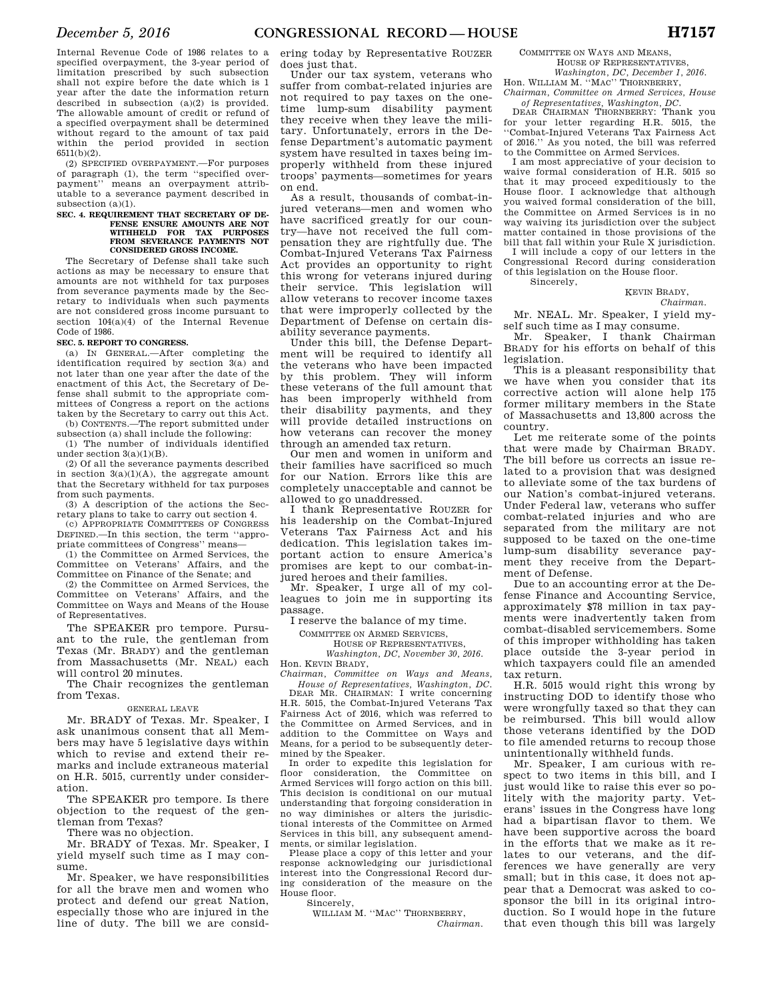Internal Revenue Code of 1986 relates to a specified overpayment, the 3-year period of limitation prescribed by such subsection shall not expire before the date which is 1 year after the date the information return described in subsection (a)(2) is provided. The allowable amount of credit or refund of a specified overpayment shall be determined without regard to the amount of tax paid within the period provided in section 6511(b)(2).

(2) SPECIFIED OVERPAYMENT.—For purposes of paragraph (1), the term "specified over-<br>payment" means an overpayment attribmeans an overpayment attributable to a severance payment described in subsection (a)(1).

### **SEC. 4. REQUIREMENT THAT SECRETARY OF DE-FENSE ENSURE AMOUNTS ARE NOT WITHHELD FOR TAX PURPOSES FROM SEVERANCE PAYMENTS NOT CONSIDERED GROSS INCOME.**

The Secretary of Defense shall take such actions as may be necessary to ensure that amounts are not withheld for tax purposes from severance payments made by the Secretary to individuals when such payments are not considered gross income pursuant to section 104(a)(4) of the Internal Revenue Code of 1986.

### **SEC. 5. REPORT TO CONGRESS.**

(a) IN GENERAL.—After completing the identification required by section 3(a) and not later than one year after the date of the enactment of this Act, the Secretary of Defense shall submit to the appropriate committees of Congress a report on the actions taken by the Secretary to carry out this Act. (b) CONTENTS.—The report submitted under

subsection (a) shall include the following: (1) The number of individuals identified

under section 3(a)(1)(B). (2) Of all the severance payments described

in section  $3(a)(1)(A)$ , the aggregate amount that the Secretary withheld for tax purposes from such payments.

(3) A description of the actions the Secretary plans to take to carry out section 4.

(c) APPROPRIATE COMMITTEES OF CONGRESS DEFINED.—In this section, the term ''appropriate committees of Congress'' means—

(1) the Committee on Armed Services, the Committee on Veterans' Affairs, and the Committee on Finance of the Senate; and

(2) the Committee on Armed Services, the Committee on Veterans' Affairs, and the Committee on Ways and Means of the House of Representatives.

The SPEAKER pro tempore. Pursuant to the rule, the gentleman from Texas (Mr. BRADY) and the gentleman from Massachusetts (Mr. NEAL) each will control 20 minutes.

The Chair recognizes the gentleman from Texas.

### GENERAL LEAVE

Mr. BRADY of Texas. Mr. Speaker, I ask unanimous consent that all Members may have 5 legislative days within which to revise and extend their remarks and include extraneous material on H.R. 5015, currently under consideration.

The SPEAKER pro tempore. Is there objection to the request of the gentleman from Texas?

There was no objection.

Mr. BRADY of Texas. Mr. Speaker, I yield myself such time as I may consume.

Mr. Speaker, we have responsibilities for all the brave men and women who protect and defend our great Nation, especially those who are injured in the line of duty. The bill we are consid-

ering today by Representative ROUZER does just that.

Under our tax system, veterans who suffer from combat-related injuries are not required to pay taxes on the onetime lump-sum disability payment they receive when they leave the military. Unfortunately, errors in the Defense Department's automatic payment system have resulted in taxes being improperly withheld from these injured troops' payments—sometimes for years on end.

As a result, thousands of combat-injured veterans—men and women who have sacrificed greatly for our country—have not received the full compensation they are rightfully due. The Combat-Injured Veterans Tax Fairness Act provides an opportunity to right this wrong for veterans injured during their service. This legislation will allow veterans to recover income taxes that were improperly collected by the Department of Defense on certain disability severance payments.

Under this bill, the Defense Department will be required to identify all the veterans who have been impacted by this problem. They will inform these veterans of the full amount that has been improperly withheld from their disability payments, and they will provide detailed instructions on how veterans can recover the money through an amended tax return.

Our men and women in uniform and their families have sacrificed so much for our Nation. Errors like this are completely unacceptable and cannot be allowed to go unaddressed.

I thank Representative ROUZER for his leadership on the Combat-Injured Veterans Tax Fairness Act and his dedication. This legislation takes important action to ensure America's promises are kept to our combat-injured heroes and their families.

Mr. Speaker, I urge all of my colleagues to join me in supporting its passage.

I reserve the balance of my time.

COMMITTEE ON ARMED SERVICES,

HOUSE OF REPRESENTATIVES, *Washington, DC, November 30, 2016.* 

Hon. KEVIN BRADY, *Chairman, Committee on Ways and Means,* 

*House of Representatives, Washington, DC.*  DEAR MR. CHAIRMAN: I write concerning H.R. 5015, the Combat-Injured Veterans Tax

Fairness Act of 2016, which was referred to the Committee on Armed Services, and in addition to the Committee on Ways and Means, for a period to be subsequently determined by the Speaker.

In order to expedite this legislation for floor consideration, the Committee on Armed Services will forgo action on this bill. This decision is conditional on our mutual understanding that forgoing consideration in no way diminishes or alters the jurisdictional interests of the Committee on Armed Services in this bill, any subsequent amendments, or similar legislation.

Please place a copy of this letter and your response acknowledging our jurisdictional interest into the Congressional Record during consideration of the measure on the House floor.

Sincerely,

WILLIAM M. ''MAC'' THORNBERRY, *Chairman.*  COMMITTEE ON WAYS AND MEANS,

HOUSE OF REPRESENTATIVES, *Washington, DC, December 1, 2016.* 

Hon. WILLIAM M. ''MAC'' THORNBERRY, *Chairman, Committee on Armed Services, House* 

*of Representatives, Washington, DC.*  DEAR CHAIRMAN THORNBERRY: Thank you for your letter regarding H.R. 5015, the ''Combat-Injured Veterans Tax Fairness Act of 2016.'' As you noted, the bill was referred to the Committee on Armed Services.

I am most appreciative of your decision to waive formal consideration of H.R. 5015 so that it may proceed expeditiously to the House floor. I acknowledge that although you waived formal consideration of the bill, the Committee on Armed Services is in no way waiving its jurisdiction over the subject matter contained in those provisions of the bill that fall within your Rule X jurisdiction.

I will include a copy of our letters in the Congressional Record during consideration of this legislation on the House floor.

Sincerely,

### KEVIN BRADY, *Chairman.*

Mr. NEAL. Mr. Speaker, I yield myself such time as I may consume.

Mr. Speaker, I thank Chairman BRADY for his efforts on behalf of this legislation.

This is a pleasant responsibility that we have when you consider that its corrective action will alone help 175 former military members in the State of Massachusetts and 13,800 across the country.

Let me reiterate some of the points that were made by Chairman BRADY. The bill before us corrects an issue related to a provision that was designed to alleviate some of the tax burdens of our Nation's combat-injured veterans. Under Federal law, veterans who suffer combat-related injuries and who are separated from the military are not supposed to be taxed on the one-time lump-sum disability severance payment they receive from the Department of Defense.

Due to an accounting error at the Defense Finance and Accounting Service, approximately \$78 million in tax payments were inadvertently taken from combat-disabled servicemembers. Some of this improper withholding has taken place outside the 3-year period in which taxpayers could file an amended tax return.

H.R. 5015 would right this wrong by instructing DOD to identify those who were wrongfully taxed so that they can be reimbursed. This bill would allow those veterans identified by the DOD to file amended returns to recoup those unintentionally withheld funds.

Mr. Speaker, I am curious with respect to two items in this bill, and I just would like to raise this ever so politely with the majority party. Veterans' issues in the Congress have long had a bipartisan flavor to them. We have been supportive across the board in the efforts that we make as it relates to our veterans, and the differences we have generally are very small; but in this case, it does not appear that a Democrat was asked to cosponsor the bill in its original introduction. So I would hope in the future that even though this bill was largely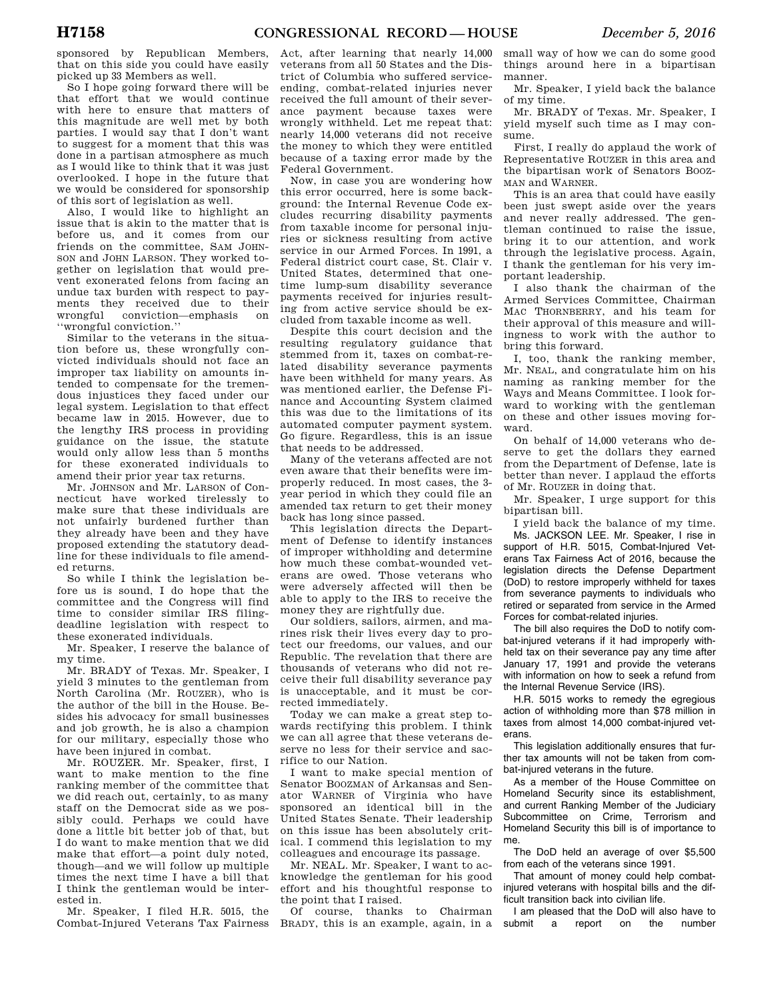sponsored by Republican Members, that on this side you could have easily picked up 33 Members as well.

So I hope going forward there will be that effort that we would continue with here to ensure that matters of this magnitude are well met by both parties. I would say that I don't want to suggest for a moment that this was done in a partisan atmosphere as much as I would like to think that it was just overlooked. I hope in the future that we would be considered for sponsorship of this sort of legislation as well.

Also, I would like to highlight an issue that is akin to the matter that is before us, and it comes from our friends on the committee, SAM JOHN-SON and JOHN LARSON. They worked together on legislation that would prevent exonerated felons from facing an undue tax burden with respect to payments they received due to their wrongful conviction—emphasis on ''wrongful conviction.''

Similar to the veterans in the situation before us, these wrongfully convicted individuals should not face an improper tax liability on amounts intended to compensate for the tremendous injustices they faced under our legal system. Legislation to that effect became law in 2015. However, due to the lengthy IRS process in providing guidance on the issue, the statute would only allow less than 5 months for these exonerated individuals to amend their prior year tax returns.

Mr. JOHNSON and Mr. LARSON of Connecticut have worked tirelessly to make sure that these individuals are not unfairly burdened further than they already have been and they have proposed extending the statutory deadline for these individuals to file amended returns.

So while I think the legislation before us is sound, I do hope that the committee and the Congress will find time to consider similar IRS filingdeadline legislation with respect to these exonerated individuals.

Mr. Speaker, I reserve the balance of my time.

Mr. BRADY of Texas. Mr. Speaker, I yield 3 minutes to the gentleman from North Carolina (Mr. ROUZER), who is the author of the bill in the House. Besides his advocacy for small businesses and job growth, he is also a champion for our military, especially those who have been injured in combat.

Mr. ROUZER. Mr. Speaker, first, I want to make mention to the fine ranking member of the committee that we did reach out, certainly, to as many staff on the Democrat side as we possibly could. Perhaps we could have done a little bit better job of that, but I do want to make mention that we did make that effort—a point duly noted, though—and we will follow up multiple times the next time I have a bill that I think the gentleman would be interested in.

Mr. Speaker, I filed H.R. 5015, the Combat-Injured Veterans Tax Fairness

Act, after learning that nearly 14,000 veterans from all 50 States and the District of Columbia who suffered serviceending, combat-related injuries never received the full amount of their severance payment because taxes were wrongly withheld. Let me repeat that: nearly 14,000 veterans did not receive the money to which they were entitled because of a taxing error made by the Federal Government.

Now, in case you are wondering how this error occurred, here is some background: the Internal Revenue Code excludes recurring disability payments from taxable income for personal injuries or sickness resulting from active service in our Armed Forces. In 1991, a Federal district court case, St. Clair v. United States, determined that onetime lump-sum disability severance payments received for injuries resulting from active service should be excluded from taxable income as well.

Despite this court decision and the resulting regulatory guidance that stemmed from it, taxes on combat-related disability severance payments have been withheld for many years. As was mentioned earlier, the Defense Finance and Accounting System claimed this was due to the limitations of its automated computer payment system. Go figure. Regardless, this is an issue that needs to be addressed.

Many of the veterans affected are not even aware that their benefits were improperly reduced. In most cases, the 3 year period in which they could file an amended tax return to get their money back has long since passed.

This legislation directs the Department of Defense to identify instances of improper withholding and determine how much these combat-wounded veterans are owed. Those veterans who were adversely affected will then be able to apply to the IRS to receive the money they are rightfully due.

Our soldiers, sailors, airmen, and marines risk their lives every day to protect our freedoms, our values, and our Republic. The revelation that there are thousands of veterans who did not receive their full disability severance pay is unacceptable, and it must be corrected immediately.

Today we can make a great step towards rectifying this problem. I think we can all agree that these veterans deserve no less for their service and sacrifice to our Nation.

I want to make special mention of Senator BOOZMAN of Arkansas and Senator WARNER of Virginia who have sponsored an identical bill in the United States Senate. Their leadership on this issue has been absolutely critical. I commend this legislation to my colleagues and encourage its passage.

Mr. NEAL. Mr. Speaker, I want to acknowledge the gentleman for his good effort and his thoughtful response to the point that I raised.

Of course, thanks to Chairman BRADY, this is an example, again, in a small way of how we can do some good things around here in a bipartisan manner.

Mr. Speaker, I yield back the balance of my time.

Mr. BRADY of Texas. Mr. Speaker, I yield myself such time as I may consume.

First, I really do applaud the work of Representative ROUZER in this area and the bipartisan work of Senators BOOZ-MAN and WARNER.

This is an area that could have easily been just swept aside over the years and never really addressed. The gentleman continued to raise the issue, bring it to our attention, and work through the legislative process. Again, I thank the gentleman for his very important leadership.

I also thank the chairman of the Armed Services Committee, Chairman MAC THORNBERRY, and his team for their approval of this measure and willingness to work with the author to bring this forward.

I, too, thank the ranking member, Mr. NEAL, and congratulate him on his naming as ranking member for the Ways and Means Committee. I look forward to working with the gentleman on these and other issues moving forward.

On behalf of 14,000 veterans who deserve to get the dollars they earned from the Department of Defense, late is better than never. I applaud the efforts of Mr. ROUZER in doing that.

Mr. Speaker, I urge support for this bipartisan bill.

I yield back the balance of my time. Ms. JACKSON LEE. Mr. Speaker, I rise in support of H.R. 5015, Combat-Injured Veterans Tax Fairness Act of 2016, because the legislation directs the Defense Department (DoD) to restore improperly withheld for taxes from severance payments to individuals who retired or separated from service in the Armed Forces for combat-related injuries.

The bill also requires the DoD to notify combat-injured veterans if it had improperly withheld tax on their severance pay any time after January 17, 1991 and provide the veterans with information on how to seek a refund from the Internal Revenue Service (IRS).

H.R. 5015 works to remedy the egregious action of withholding more than \$78 million in taxes from almost 14,000 combat-injured veterans.

This legislation additionally ensures that further tax amounts will not be taken from combat-injured veterans in the future.

As a member of the House Committee on Homeland Security since its establishment, and current Ranking Member of the Judiciary Subcommittee on Crime, Terrorism and Homeland Security this bill is of importance to me.

The DoD held an average of over \$5,500 from each of the veterans since 1991.

That amount of money could help combatinjured veterans with hospital bills and the difficult transition back into civilian life.

I am pleased that the DoD will also have to submit a report on the number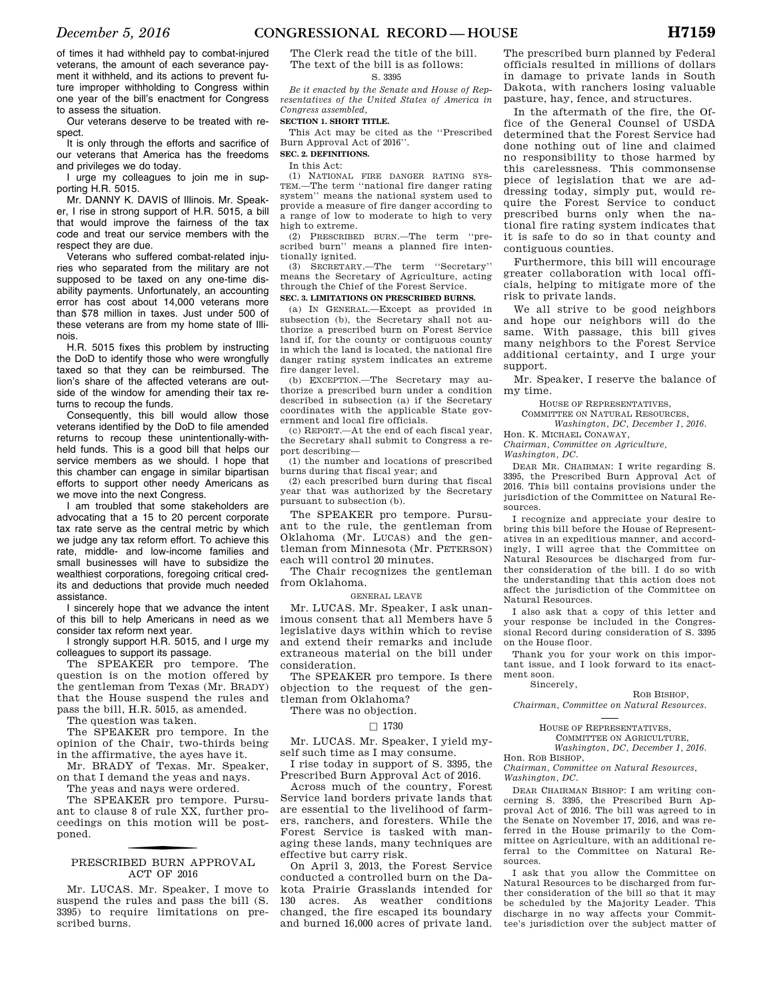of times it had withheld pay to combat-injured veterans, the amount of each severance payment it withheld, and its actions to prevent future improper withholding to Congress within one year of the bill's enactment for Congress to assess the situation.

Our veterans deserve to be treated with respect.

It is only through the efforts and sacrifice of our veterans that America has the freedoms and privileges we do today.

I urge my colleagues to join me in supporting H.R. 5015.

Mr. DANNY K. DAVIS of Illinois. Mr. Speaker, I rise in strong support of H.R. 5015, a bill that would improve the fairness of the tax code and treat our service members with the respect they are due.

Veterans who suffered combat-related injuries who separated from the military are not supposed to be taxed on any one-time disability payments. Unfortunately, an accounting error has cost about 14,000 veterans more than \$78 million in taxes. Just under 500 of these veterans are from my home state of Illinois.

H.R. 5015 fixes this problem by instructing the DoD to identify those who were wrongfully taxed so that they can be reimbursed. The lion's share of the affected veterans are outside of the window for amending their tax returns to recoup the funds.

Consequently, this bill would allow those veterans identified by the DoD to file amended returns to recoup these unintentionally-withheld funds. This is a good bill that helps our service members as we should. I hope that this chamber can engage in similar bipartisan efforts to support other needy Americans as we move into the next Congress.

I am troubled that some stakeholders are advocating that a 15 to 20 percent corporate tax rate serve as the central metric by which we judge any tax reform effort. To achieve this rate, middle- and low-income families and small businesses will have to subsidize the wealthiest corporations, foregoing critical credits and deductions that provide much needed assistance.

I sincerely hope that we advance the intent of this bill to help Americans in need as we consider tax reform next year.

I strongly support H.R. 5015, and I urge my colleagues to support its passage.

The SPEAKER pro tempore. The question is on the motion offered by the gentleman from Texas (Mr. BRADY) that the House suspend the rules and pass the bill, H.R. 5015, as amended.

The question was taken.

The SPEAKER pro tempore. In the opinion of the Chair, two-thirds being in the affirmative, the ayes have it.

Mr. BRADY of Texas. Mr. Speaker, on that I demand the yeas and nays. The yeas and nays were ordered.

The SPEAKER pro tempore. Pursuant to clause 8 of rule XX, further proceedings on this motion will be postponed.

# f PRESCRIBED BURN APPROVAL ACT OF 2016

Mr. LUCAS. Mr. Speaker, I move to suspend the rules and pass the bill (S. 3395) to require limitations on prescribed burns.

The Clerk read the title of the bill. The text of the bill is as follows: S. 3395

*Be it enacted by the Senate and House of Representatives of the United States of America in* 

### *Congress assembled,*  **SECTION 1. SHORT TITLE.**

This Act may be cited as the ''Prescribed Burn Approval Act of 2016''.

**SEC. 2. DEFINITIONS.** 

In this Act:

(1) NATIONAL FIRE DANGER RATING SYS-TEM.—The term ''national fire danger rating system'' means the national system used to provide a measure of fire danger according to a range of low to moderate to high to very high to extreme.

(2) PRESCRIBED BURN.—The term ''prescribed burn'' means a planned fire intentionally ignited.

(3) SECRETARY.—The term ''Secretary'' means the Secretary of Agriculture, acting through the Chief of the Forest Service.

### **SEC. 3. LIMITATIONS ON PRESCRIBED BURNS.**

(a) IN GENERAL.—Except as provided in subsection (b), the Secretary shall not authorize a prescribed burn on Forest Service land if, for the county or contiguous county in which the land is located, the national fire danger rating system indicates an extreme fire danger level.

(b) EXCEPTION.—The Secretary may authorize a prescribed burn under a condition described in subsection (a) if the Secretary coordinates with the applicable State government and local fire officials.

(c) REPORT.—At the end of each fiscal year, the Secretary shall submit to Congress a report describing—

(1) the number and locations of prescribed burns during that fiscal year; and

(2) each prescribed burn during that fiscal year that was authorized by the Secretary pursuant to subsection (b).

The SPEAKER pro tempore. Pursuant to the rule, the gentleman from Oklahoma (Mr. LUCAS) and the gentleman from Minnesota (Mr. PETERSON) each will control 20 minutes.

The Chair recognizes the gentleman from Oklahoma.

### GENERAL LEAVE

Mr. LUCAS. Mr. Speaker, I ask unanimous consent that all Members have 5 legislative days within which to revise and extend their remarks and include extraneous material on the bill under consideration.

The SPEAKER pro tempore. Is there objection to the request of the gentleman from Oklahoma?

There was no objection.

### $\square$  1730

Mr. LUCAS. Mr. Speaker, I yield myself such time as I may consume.

I rise today in support of S. 3395, the Prescribed Burn Approval Act of 2016.

Across much of the country, Forest Service land borders private lands that are essential to the livelihood of farmers, ranchers, and foresters. While the Forest Service is tasked with managing these lands, many techniques are effective but carry risk.

On April 3, 2013, the Forest Service conducted a controlled burn on the Dakota Prairie Grasslands intended for 130 acres. As weather conditions changed, the fire escaped its boundary and burned 16,000 acres of private land.

The prescribed burn planned by Federal officials resulted in millions of dollars in damage to private lands in South Dakota, with ranchers losing valuable pasture, hay, fence, and structures.

In the aftermath of the fire, the Office of the General Counsel of USDA determined that the Forest Service had done nothing out of line and claimed no responsibility to those harmed by this carelessness. This commonsense piece of legislation that we are addressing today, simply put, would require the Forest Service to conduct prescribed burns only when the national fire rating system indicates that it is safe to do so in that county and contiguous counties.

Furthermore, this bill will encourage greater collaboration with local officials, helping to mitigate more of the risk to private lands.

We all strive to be good neighbors and hope our neighbors will do the same. With passage, this bill gives many neighbors to the Forest Service additional certainty, and I urge your support.

Mr. Speaker, I reserve the balance of my time.

HOUSE OF REPRESENTATIVES,

COMMITTEE ON NATURAL RESOURCES,

*Washington, DC, December 1, 2016.*  Hon. K. MICHAEL CONAWAY,

*Chairman, Committee on Agriculture,* 

*Washington, DC.* 

DEAR MR. CHAIRMAN: I write regarding S. 3395, the Prescribed Burn Approval Act of 2016. This bill contains provisions under the jurisdiction of the Committee on Natural Resources.

I recognize and appreciate your desire to bring this bill before the House of Representatives in an expeditious manner, and accordingly, I will agree that the Committee on Natural Resources be discharged from further consideration of the bill. I do so with the understanding that this action does not affect the jurisdiction of the Committee on Natural Resources.

I also ask that a copy of this letter and your response be included in the Congressional Record during consideration of S. 3395 on the House floor.

Thank you for your work on this important issue, and I look forward to its enactment soon. Sincerely,

ROB BISHOP, *Chairman, Committee on Natural Resources.* 

HOUSE OF REPRESENTATIVES,

COMMITTEE ON AGRICULTURE,

*Washington, DC, December 1, 2016.* 

Hon. ROB BISHOP,

*Chairman, Committee on Natural Resources, Washington, DC.* 

DEAR CHAIRMAN BISHOP: I am writing concerning S. 3395, the Prescribed Burn Approval Act of 2016. The bill was agreed to in the Senate on November 17, 2016, and was referred in the House primarily to the Committee on Agriculture, with an additional referral to the Committee on Natural Resources.

I ask that you allow the Committee on Natural Resources to be discharged from further consideration of the bill so that it may be scheduled by the Majority Leader. This discharge in no way affects your Committee's jurisdiction over the subject matter of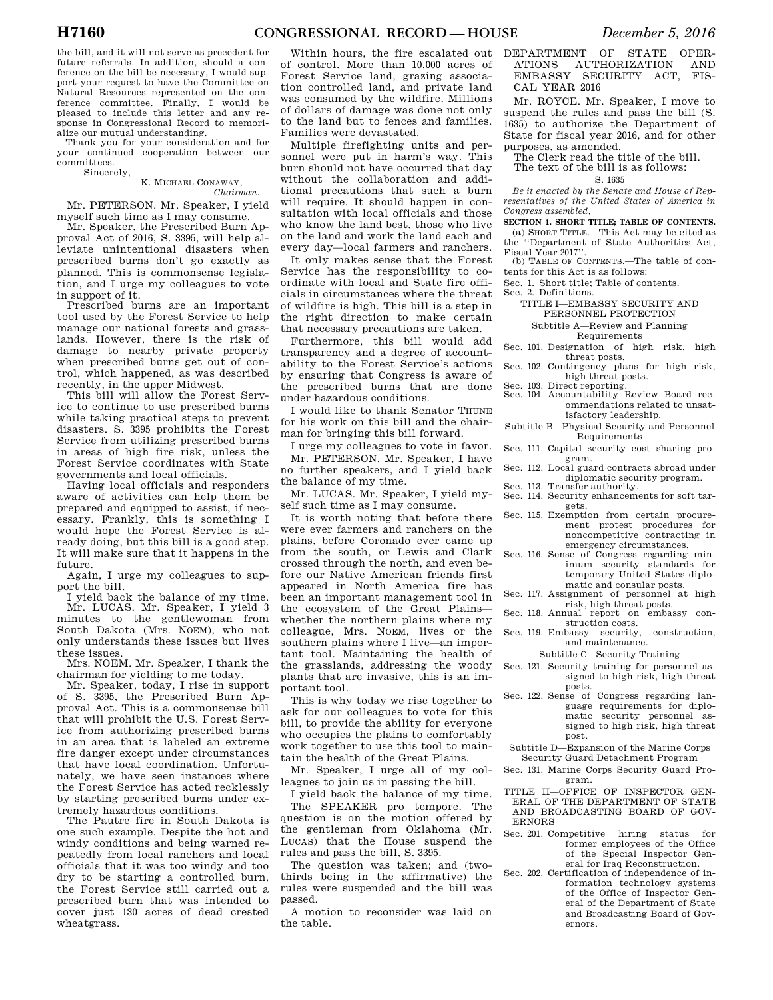the bill, and it will not serve as precedent for future referrals. In addition, should a conference on the bill be necessary, I would support your request to have the Committee on Natural Resources represented on the conference committee. Finally, I would be pleased to include this letter and any response in Congressional Record to memorialize our mutual understanding.

Thank you for your consideration and for your continued cooperation between our committees. Sincerely,

### K. MICHAEL CONAWAY, *Chairman.*

Mr. PETERSON. Mr. Speaker, I yield myself such time as I may consume.

Mr. Speaker, the Prescribed Burn Approval Act of 2016, S. 3395, will help alleviate unintentional disasters when prescribed burns don't go exactly as planned. This is commonsense legislation, and I urge my colleagues to vote in support of it.

Prescribed burns are an important tool used by the Forest Service to help manage our national forests and grasslands. However, there is the risk of damage to nearby private property when prescribed burns get out of control, which happened, as was described recently, in the upper Midwest.

This bill will allow the Forest Service to continue to use prescribed burns while taking practical steps to prevent disasters. S. 3395 prohibits the Forest Service from utilizing prescribed burns in areas of high fire risk, unless the Forest Service coordinates with State governments and local officials.

Having local officials and responders aware of activities can help them be prepared and equipped to assist, if necessary. Frankly, this is something I would hope the Forest Service is already doing, but this bill is a good step. It will make sure that it happens in the future.

Again, I urge my colleagues to support the bill.

I yield back the balance of my time. Mr. LUCAS. Mr. Speaker, I yield 3 minutes to the gentlewoman from South Dakota (Mrs. NOEM), who not only understands these issues but lives these issues.

Mrs. NOEM. Mr. Speaker, I thank the chairman for yielding to me today.

Mr. Speaker, today, I rise in support of S. 3395, the Prescribed Burn Approval Act. This is a commonsense bill that will prohibit the U.S. Forest Service from authorizing prescribed burns in an area that is labeled an extreme fire danger except under circumstances that have local coordination. Unfortunately, we have seen instances where the Forest Service has acted recklessly by starting prescribed burns under extremely hazardous conditions.

The Pautre fire in South Dakota is one such example. Despite the hot and windy conditions and being warned repeatedly from local ranchers and local officials that it was too windy and too dry to be starting a controlled burn, the Forest Service still carried out a prescribed burn that was intended to cover just 130 acres of dead crested wheatgrass.

Within hours, the fire escalated out of control. More than 10,000 acres of Forest Service land, grazing association controlled land, and private land was consumed by the wildfire. Millions of dollars of damage was done not only to the land but to fences and families. Families were devastated.

Multiple firefighting units and personnel were put in harm's way. This burn should not have occurred that day without the collaboration and additional precautions that such a burn will require. It should happen in consultation with local officials and those who know the land best, those who live on the land and work the land each and every day—local farmers and ranchers.

It only makes sense that the Forest Service has the responsibility to coordinate with local and State fire officials in circumstances where the threat of wildfire is high. This bill is a step in the right direction to make certain that necessary precautions are taken.

Furthermore, this bill would add transparency and a degree of accountability to the Forest Service's actions by ensuring that Congress is aware of the prescribed burns that are done under hazardous conditions.

I would like to thank Senator THUNE for his work on this bill and the chairman for bringing this bill forward.

I urge my colleagues to vote in favor. Mr. PETERSON. Mr. Speaker, I have no further speakers, and I yield back the balance of my time.

Mr. LUCAS. Mr. Speaker, I yield myself such time as I may consume.

It is worth noting that before there were ever farmers and ranchers on the plains, before Coronado ever came up from the south, or Lewis and Clark crossed through the north, and even before our Native American friends first appeared in North America fire has been an important management tool in the ecosystem of the Great Plains whether the northern plains where my colleague, Mrs. NOEM, lives or the southern plains where I live—an important tool. Maintaining the health of the grasslands, addressing the woody plants that are invasive, this is an important tool.

This is why today we rise together to ask for our colleagues to vote for this bill, to provide the ability for everyone who occupies the plains to comfortably work together to use this tool to maintain the health of the Great Plains.

Mr. Speaker, I urge all of my colleagues to join us in passing the bill.

I yield back the balance of my time. The SPEAKER pro tempore. The question is on the motion offered by the gentleman from Oklahoma (Mr. LUCAS) that the House suspend the rules and pass the bill, S. 3395.

The question was taken; and (twothirds being in the affirmative) the rules were suspended and the bill was passed.

A motion to reconsider was laid on the table.

DEPARTMENT OF STATE OPER-ATIONS AUTHORIZATION AND EMBASSY SECURITY ACT, FIS-CAL YEAR 2016

Mr. ROYCE. Mr. Speaker, I move to suspend the rules and pass the bill (S. 1635) to authorize the Department of State for fiscal year 2016, and for other purposes, as amended.

The Clerk read the title of the bill.

The text of the bill is as follows:

### S. 1635

*Be it enacted by the Senate and House of Representatives of the United States of America in Congress assembled,* 

### **SECTION 1. SHORT TITLE; TABLE OF CONTENTS.**

(a) SHORT TITLE.—This Act may be cited as the ''Department of State Authorities Act, Fiscal Year 2017''.

(b) TABLE OF CONTENTS.—The table of contents for this Act is as follows:

Sec. 1. Short title; Table of contents.

Sec. 2. Definitions.

- TITLE I—EMBASSY SECURITY AND
- PERSONNEL PROTECTION Subtitle A—Review and Planning

Requirements

- Sec. 101. Designation of high risk, high threat posts.
- Sec. 102. Contingency plans for high risk, high threat posts.
- 
- Sec. 103. Direct reporting. Sec. 104. Accountability Review Board recommendations related to unsatisfactory leadership.
- Subtitle B—Physical Security and Personnel Requirements
- Sec. 111. Capital security cost sharing pro-
- gram. Sec. 112. Local guard contracts abroad under
- diplomatic security program. Sec. 113. Transfer authority.
- Sec. 114. Security enhancements for soft tar-
- gets. Sec. 115. Exemption from certain procure-
- ment protest procedures for noncompetitive contracting in emergency circumstances.
- Sec. 116. Sense of Congress regarding minimum security standards for temporary United States diplomatic and consular posts.
- Sec. 117. Assignment of personnel at high
- risk, high threat posts. Sec. 118. Annual report on embassy con-
- struction costs. Sec. 119. Embassy security, construction, and maintenance.

Subtitle C—Security Training

- Sec. 121. Security training for personnel assigned to high risk, high threat posts.
- Sec. 122. Sense of Congress regarding language requirements for diplomatic security personnel assigned to high risk, high threat post.
- Subtitle D—Expansion of the Marine Corps Security Guard Detachment Program
- Sec. 131. Marine Corps Security Guard Program.
- TITLE II—OFFICE OF INSPECTOR GEN-ERAL OF THE DEPARTMENT OF STATE AND BROADCASTING BOARD OF GOV-ERNORS
- Sec. 201. Competitive hiring status for former employees of the Office of the Special Inspector Gen-
- eral for Iraq Reconstruction. Sec. 202. Certification of independence of information technology systems of the Office of Inspector General of the Department of State and Broadcasting Board of Governors.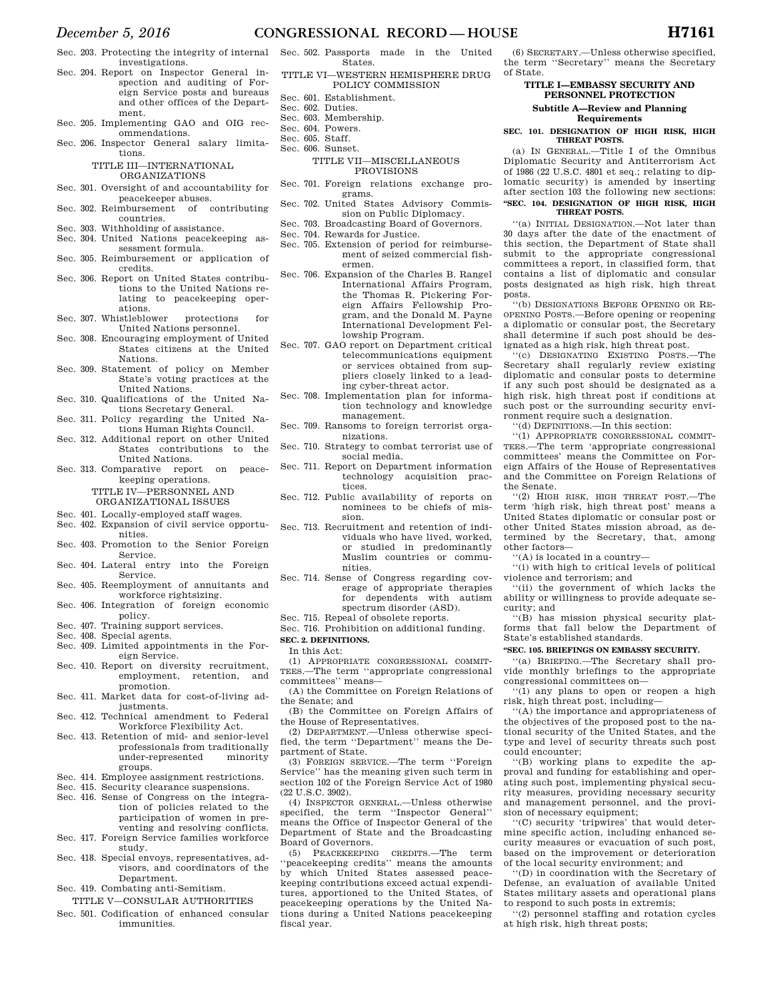- Sec. 203. Protecting the integrity of internal investigations.
- Sec. 204. Report on Inspector General inspection and auditing of Foreign Service posts and bureaus and other offices of the Department.
- Sec. 205. Implementing GAO and OIG recommendations.
- Sec. 206. Inspector General salary limitations.

TITLE III—INTERNATIONAL ORGANIZATIONS

- Sec. 301. Oversight of and accountability for peacekeeper abuses.
- Sec. 302. Reimbursement of contributing countries.
- Sec. 303. Withholding of assistance.
- Sec. 304. United Nations peacekeeping as-
- sessment formula. Sec. 305. Reimbursement or application of credits.
- Sec. 306. Report on United States contributions to the United Nations relating to peacekeeping operations.
- Sec. 307. Whistleblower protections for United Nations personnel.
- Sec. 308. Encouraging employment of United States citizens at the United Nations.
- Sec. 309. Statement of policy on Member State's voting practices at the United Nations.
- Sec. 310. Qualifications of the United Nations Secretary General.
- Sec. 311. Policy regarding the United Nations Human Rights Council.
- Sec. 312. Additional report on other United States contributions to the United Nations.
- Sec. 313. Comparative report on peacekeeping operations.

TITLE IV—PERSONNEL AND

ORGANIZATIONAL ISSUES

Sec. 401. Locally-employed staff wages.

- Sec. 402. Expansion of civil service opportunities.
- Sec. 403. Promotion to the Senior Foreign Service.
- Sec. 404. Lateral entry into the Foreign Service.
- Sec. 405. Reemployment of annuitants and workforce rightsizing.
- Sec. 406. Integration of foreign economic policy.
- Sec. 407. Training support services.
- Sec. 408. Special agents.
- Sec. 409. Limited appointments in the Foreign Service.
- Sec. 410. Report on diversity recruitment, employment, retention, and promotion.
- Sec. 411. Market data for cost-of-living adjustments.
- Sec. 412. Technical amendment to Federal Workforce Flexibility Act.
- Sec. 413. Retention of mid- and senior-level professionals from traditionally under-represented minority
- groups. Sec. 414. Employee assignment restrictions.
- Sec. 415. Security clearance suspensions.
- Sec. 416. Sense of Congress on the integra-
- tion of policies related to the participation of women in preventing and resolving conflicts. Sec. 417. Foreign Service families workforce
- study. Sec. 418. Special envoys, representatives, advisors, and coordinators of the
- Department. Sec. 419. Combating anti-Semitism.
- TITLE V—CONSULAR AUTHORITIES
- Sec. 501. Codification of enhanced consular immunities.
- Sec. 502. Passports made in the United States.
- TITLE VI—WESTERN HEMISPHERE DRUG POLICY COMMISSION
- Sec. 601. Establishment. Sec. 602. Duties.
- Sec. 603. Membership.
- Sec. 604. Powers.
- Sec. 605. Staff.
- Sec. 606. Sunset.
	- TITLE VII—MISCELLANEOUS PROVISIONS
		-
- Sec. 701. Foreign relations exchange programs.
- Sec. 702. United States Advisory Commission on Public Diplomacy.
- Sec. 703. Broadcasting Board of Governors.
- Sec. 704. Rewards for Justice.
- Sec. 705. Extension of period for reimbursement of seized commercial fishermen.
- Sec. 706. Expansion of the Charles B. Rangel International Affairs Program, the Thomas R. Pickering Foreign Affairs Fellowship Program, and the Donald M. Payne International Development Fellowship Program.
- Sec. 707. GAO report on Department critical telecommunications equipment or services obtained from suppliers closely linked to a leading cyber-threat actor.
- Sec. 708. Implementation plan for information technology and knowledge management.
- Sec. 709. Ransoms to foreign terrorist organizations.
- Sec. 710. Strategy to combat terrorist use of social media.
- Sec. 711. Report on Department information technology acquisition practices.
- Sec. 712. Public availability of reports on nominees to be chiefs of mission.
- Sec. 713. Recruitment and retention of individuals who have lived, worked, or studied in predominantly Muslim countries or communities.
- Sec. 714. Sense of Congress regarding coverage of appropriate therapies for dependents with autism spectrum disorder (ASD).
- Sec. 715. Repeal of obsolete reports.
- Sec. 716. Prohibition on additional funding. **SEC. 2. DEFINITIONS.**

In this Act:

- (1) APPROPRIATE CONGRESSIONAL COMMIT-TEES.—The term ''appropriate congressional committees'' means—
- (A) the Committee on Foreign Relations of the Senate; and
- (B) the Committee on Foreign Affairs of the House of Representatives.
- (2) DEPARTMENT.—Unless otherwise specified, the term ''Department'' means the Department of State.

(3) FOREIGN SERVICE.—The term ''Foreign Service'' has the meaning given such term in section 102 of the Foreign Service Act of 1980 (22 U.S.C. 3902).

(4) INSPECTOR GENERAL.—Unless otherwise specified, the term ''Inspector General'' means the Office of Inspector General of the Department of State and the Broadcasting Board of Governors.

(5) PEACEKEEPING CREDITS.—The term ''peacekeeping credits'' means the amounts by which United States assessed peacekeeping contributions exceed actual expenditures, apportioned to the United States, of peacekeeping operations by the United Nations during a United Nations peacekeeping fiscal year.

(6) SECRETARY.—Unless otherwise specified, the term ''Secretary'' means the Secretary of State.

### **TITLE I—EMBASSY SECURITY AND PERSONNEL PROTECTION Subtitle A—Review and Planning Requirements**

### **SEC. 101. DESIGNATION OF HIGH RISK, HIGH THREAT POSTS.**

(a) IN GENERAL.—Title I of the Omnibus Diplomatic Security and Antiterrorism Act of 1986 (22 U.S.C. 4801 et seq.; relating to diplomatic security) is amended by inserting after section 103 the following new sections: **''SEC. 104. DESIGNATION OF HIGH RISK, HIGH THREAT POSTS.** 

''(a) INITIAL DESIGNATION.—Not later than 30 days after the date of the enactment of this section, the Department of State shall submit to the appropriate congressional committees a report, in classified form, that contains a list of diplomatic and consular posts designated as high risk, high threat posts.

''(b) DESIGNATIONS BEFORE OPENING OR RE-OPENING POSTS.—Before opening or reopening a diplomatic or consular post, the Secretary shall determine if such post should be designated as a high risk, high threat post.

''(c) DESIGNATING EXISTING POSTS.—The Secretary shall regularly review existing diplomatic and consular posts to determine if any such post should be designated as a high risk, high threat post if conditions at such post or the surrounding security environment require such a designation.

''(d) DEFINITIONS.—In this section:

''(1) APPROPRIATE CONGRESSIONAL COMMIT-TEES.—The term 'appropriate congressional committees' means the Committee on Foreign Affairs of the House of Representatives and the Committee on Foreign Relations of the Senate.

''(2) HIGH RISK, HIGH THREAT POST.—The term 'high risk, high threat post' means a United States diplomatic or consular post or other United States mission abroad, as determined by the Secretary, that, among other factors—

''(A) is located in a country—

''(i) with high to critical levels of political violence and terrorism; and

''(ii) the government of which lacks the ability or willingness to provide adequate security; and

''(B) has mission physical security platforms that fall below the Department of State's established standards.

### **''SEC. 105. BRIEFINGS ON EMBASSY SECURITY.**

''(a) BRIEFING.—The Secretary shall provide monthly briefings to the appropriate congressional committees on—

''(1) any plans to open or reopen a high risk, high threat post, including—

''(A) the importance and appropriateness of the objectives of the proposed post to the national security of the United States, and the type and level of security threats such post could encounter;

''(B) working plans to expedite the approval and funding for establishing and operating such post, implementing physical security measures, providing necessary security and management personnel, and the provision of necessary equipment;

''(C) security 'tripwires' that would determine specific action, including enhanced security measures or evacuation of such post, based on the improvement or deterioration of the local security environment; and

''(D) in coordination with the Secretary of Defense, an evaluation of available United States military assets and operational plans to respond to such posts in extremis;

''(2) personnel staffing and rotation cycles at high risk, high threat posts;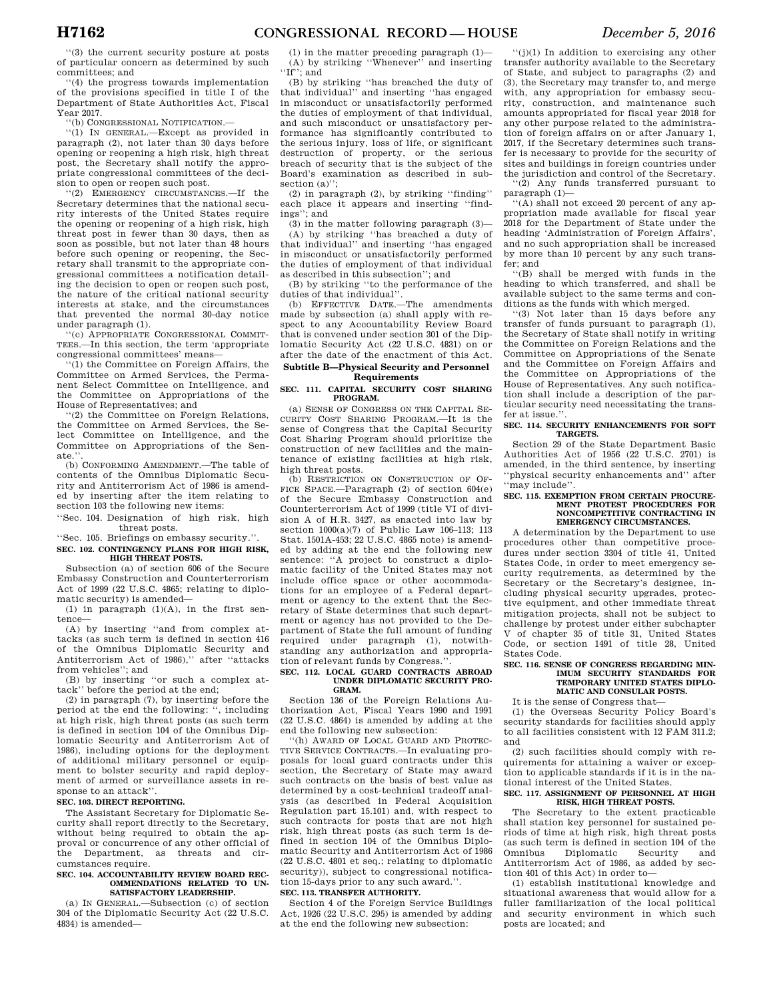''(3) the current security posture at posts of particular concern as determined by such committees; and

''(4) the progress towards implementation of the provisions specified in title I of the Department of State Authorities Act, Fiscal Year 2017.

''(b) CONGRESSIONAL NOTIFICATION.—

''(1) IN GENERAL.—Except as provided in paragraph (2), not later than 30 days before opening or reopening a high risk, high threat post, the Secretary shall notify the appropriate congressional committees of the decision to open or reopen such post.

''(2) EMERGENCY CIRCUMSTANCES.—If the Secretary determines that the national security interests of the United States require the opening or reopening of a high risk, high threat post in fewer than 30 days, then as soon as possible, but not later than 48 hours before such opening or reopening, the Secretary shall transmit to the appropriate congressional committees a notification detailing the decision to open or reopen such post, the nature of the critical national security interests at stake, and the circumstances that prevented the normal 30-day notice under paragraph (1).

''(c) APPROPRIATE CONGRESSIONAL COMMIT-TEES.—In this section, the term 'appropriate congressional committees' means—

''(1) the Committee on Foreign Affairs, the Committee on Armed Services, the Permanent Select Committee on Intelligence, and the Committee on Appropriations of the House of Representatives; and

''(2) the Committee on Foreign Relations, the Committee on Armed Services, the Select Committee on Intelligence, and the Committee on Appropriations of the Senate.''.

(b) CONFORMING AMENDMENT.—The table of contents of the Omnibus Diplomatic Security and Antiterrorism Act of 1986 is amended by inserting after the item relating to section 103 the following new items:

''Sec. 104. Designation of high risk, high threat posts.

### ''Sec. 105. Briefings on embassy security.''. **SEC. 102. CONTINGENCY PLANS FOR HIGH RISK, HIGH THREAT POSTS.**

Subsection (a) of section 606 of the Secure Embassy Construction and Counterterrorism Act of 1999 (22 U.S.C. 4865; relating to diplomatic security) is amended—

(1) in paragraph  $(1)(A)$ , in the first sentence—

(A) by inserting ''and from complex attacks (as such term is defined in section 416 of the Omnibus Diplomatic Security and Antiterrorism Act of 1986),'' after ''attacks from vehicles''; and

(B) by inserting ''or such a complex attack'' before the period at the end;

(2) in paragraph (7), by inserting before the period at the end the following: '', including at high risk, high threat posts (as such term is defined in section 104 of the Omnibus Diplomatic Security and Antiterrorism Act of 1986), including options for the deployment of additional military personnel or equipment to bolster security and rapid deployment of armed or surveillance assets in response to an attack''.

### **SEC. 103. DIRECT REPORTING.**

The Assistant Secretary for Diplomatic Security shall report directly to the Secretary, without being required to obtain the approval or concurrence of any other official of the Department, as threats and circumstances require.

### **SEC. 104. ACCOUNTABILITY REVIEW BOARD REC-OMMENDATIONS RELATED TO UN-SATISFACTORY LEADERSHIP.**

(a) IN GENERAL.—Subsection (c) of section 304 of the Diplomatic Security Act (22 U.S.C. 4834) is amended—

(1) in the matter preceding paragraph (1)— (A) by striking ''Whenever'' and inserting  $\lq\lq$ Tf''; and

(B) by striking ''has breached the duty of that individual'' and inserting ''has engaged in misconduct or unsatisfactorily performed the duties of employment of that individual, and such misconduct or unsatisfactory performance has significantly contributed to the serious injury, loss of life, or significant destruction of property, or the serious breach of security that is the subject of the Board's examination as described in subsection (a)":

(2) in paragraph (2), by striking ''finding'' each place it appears and inserting ''findings''; and

(3) in the matter following paragraph (3)— (A) by striking ''has breached a duty of that individual'' and inserting ''has engaged in misconduct or unsatisfactorily performed the duties of employment of that individual as described in this subsection''; and

(B) by striking ''to the performance of the duties of that individual''. (b) EFFECTIVE DATE.—The amendments

made by subsection (a) shall apply with respect to any Accountability Review Board that is convened under section 301 of the Diplomatic Security Act  $(22 \text{ II S C} 4831)$  on or after the date of the enactment of this Act.

### **Subtitle B—Physical Security and Personnel Requirements**

### **SEC. 111. CAPITAL SECURITY COST SHARING PROGRAM.**

(a) SENSE OF CONGRESS ON THE CAPITAL SE-CURITY COST SHARING PROGRAM.—It is the sense of Congress that the Capital Security Cost Sharing Program should prioritize the construction of new facilities and the maintenance of existing facilities at high risk, high threat posts.

(b) RESTRICTION ON CONSTRUCTION OF OF-FICE SPACE.—Paragraph (2) of section 604(e) of the Secure Embassy Construction and Counterterrorism Act of 1999 (title VI of division A of H.R. 3427, as enacted into law by section 1000(a)(7) of Public Law 106–113; 113 Stat. 1501A-453; 22 U.S.C. 4865 note) is amended by adding at the end the following new sentence: "A project to construct a diplomatic facility of the United States may not include office space or other accommodations for an employee of a Federal department or agency to the extent that the Secretary of State determines that such department or agency has not provided to the Department of State the full amount of funding required under paragraph (1), notwithstanding any authorization and appropriation of relevant funds by Congress.''.

### **SEC. 112. LOCAL GUARD CONTRACTS ABROAD UNDER DIPLOMATIC SECURITY PRO-GRAM.**

Section 136 of the Foreign Relations Authorization Act, Fiscal Years 1990 and 1991 (22 U.S.C. 4864) is amended by adding at the end the following new subsection:

'(h) AWARD OF LOCAL GUARD AND PROTEC-TIVE SERVICE CONTRACTS.—In evaluating proposals for local guard contracts under this section, the Secretary of State may award such contracts on the basis of best value as determined by a cost-technical tradeoff analysis (as described in Federal Acquisition Regulation part 15.101) and, with respect to such contracts for posts that are not high risk, high threat posts (as such term is defined in section 104 of the Omnibus Diplomatic Security and Antiterrorism Act of 1986 (22 U.S.C. 4801 et seq.; relating to diplomatic security)), subject to congressional notification 15-days prior to any such award.''.

### **SEC. 113. TRANSFER AUTHORITY.**

Section 4 of the Foreign Service Buildings Act, 1926 (22 U.S.C. 295) is amended by adding at the end the following new subsection:

''(j)(1) In addition to exercising any other transfer authority available to the Secretary of State, and subject to paragraphs (2) and (3), the Secretary may transfer to, and merge with, any appropriation for embassy security, construction, and maintenance such amounts appropriated for fiscal year 2018 for any other purpose related to the administration of foreign affairs on or after January 1, 2017, if the Secretary determines such transfer is necessary to provide for the security of sites and buildings in foreign countries under the jurisdiction and control of the Secretary.

''(2) Any funds transferred pursuant to paragraph (1)—

''(A) shall not exceed 20 percent of any appropriation made available for fiscal year 2018 for the Department of State under the heading 'Administration of Foreign Affairs', and no such appropriation shall be increased by more than 10 percent by any such transfer; and

''(B) shall be merged with funds in the heading to which transferred, and shall be available subject to the same terms and conditions as the funds with which merged.

'(3) Not later than 15 days before any transfer of funds pursuant to paragraph (1), the Secretary of State shall notify in writing the Committee on Foreign Relations and the Committee on Appropriations of the Senate and the Committee on Foreign Affairs and the Committee on Appropriations of the House of Representatives. Any such notification shall include a description of the particular security need necessitating the transfer at issue."

### **SEC. 114. SECURITY ENHANCEMENTS FOR SOFT TARGETS.**

Section 29 of the State Department Basic Authorities Act of 1956 (22 U.S.C. 2701) is amended, in the third sentence, by inserting ''physical security enhancements and'' after ''may include''.

### **SEC. 115. EXEMPTION FROM CERTAIN PROCURE-MENT PROTEST PROCEDURES FOR NONCOMPETITIVE CONTRACTING IN EMERGENCY CIRCUMSTANCES.**

A determination by the Department to use procedures other than competitive procedures under section 3304 of title 41, United States Code, in order to meet emergency security requirements, as determined by the Secretary or the Secretary's designee, including physical security upgrades, protective equipment, and other immediate threat mitigation projects, shall not be subject to challenge by protest under either subchapter V of chapter 35 of title 31, United States Code, or section 1491 of title 28, United States Code.

### **SEC. 116. SENSE OF CONGRESS REGARDING MIN-IMUM SECURITY STANDARDS FOR TEMPORARY UNITED STATES DIPLO-MATIC AND CONSULAR POSTS.**

It is the sense of Congress that—

(1) the Overseas Security Policy Board's security standards for facilities should apply to all facilities consistent with 12 FAM 311.2; and

(2) such facilities should comply with requirements for attaining a waiver or exception to applicable standards if it is in the national interest of the United States.

### **SEC. 117. ASSIGNMENT OF PERSONNEL AT HIGH RISK, HIGH THREAT POSTS.**

The Secretary to the extent practicable shall station key personnel for sustained periods of time at high risk, high threat posts (as such term is defined in section 104 of the Omnibus Diplomatic Security and Antiterrorism Act of 1986, as added by section 401 of this Act) in order to—

(1) establish institutional knowledge and situational awareness that would allow for a fuller familiarization of the local political and security environment in which such posts are located; and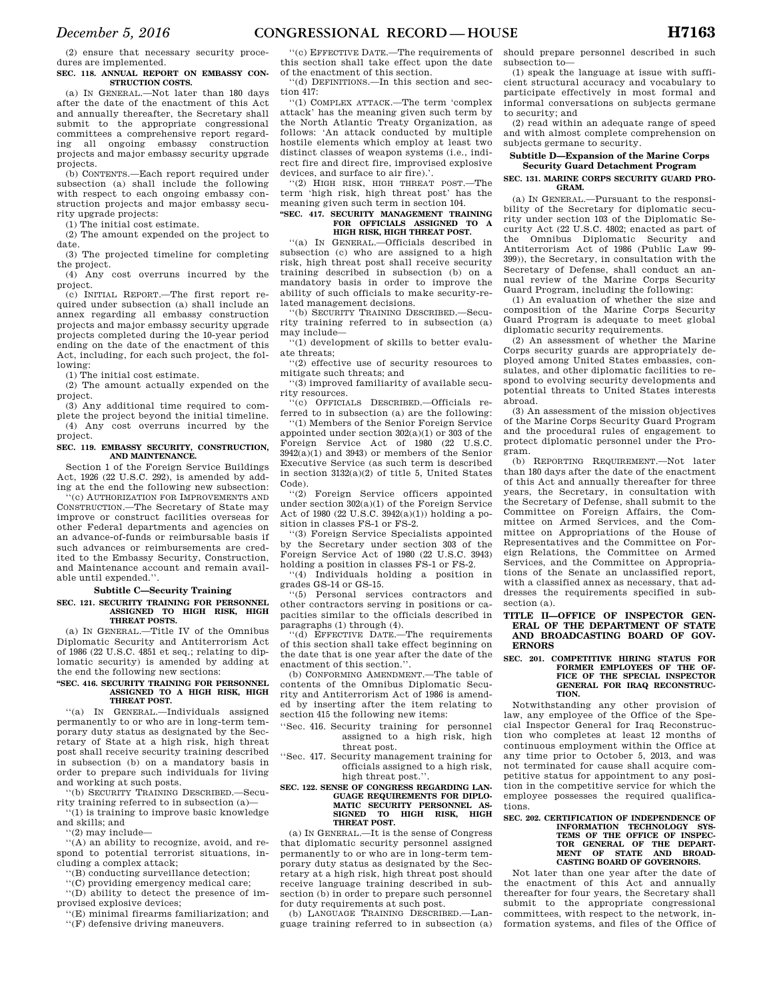(2) ensure that necessary security procedures are implemented.

### **SEC. 118. ANNUAL REPORT ON EMBASSY CON-STRUCTION COSTS.**

(a) IN GENERAL.—Not later than 180 days after the date of the enactment of this Act and annually thereafter, the Secretary shall submit to the appropriate congressional committees a comprehensive report regarding all ongoing embassy construction projects and major embassy security upgrade projects.

(b) CONTENTS.—Each report required under subsection (a) shall include the following with respect to each ongoing embassy construction projects and major embassy security upgrade projects:

(1) The initial cost estimate.

(2) The amount expended on the project to date.

(3) The projected timeline for completing the project.

(4) Any cost overruns incurred by the project.

(c) INITIAL REPORT.—The first report required under subsection (a) shall include an annex regarding all embassy construction projects and major embassy security upgrade projects completed during the 10-year period ending on the date of the enactment of this Act, including, for each such project, the following:

(1) The initial cost estimate.

(2) The amount actually expended on the project.

(3) Any additional time required to complete the project beyond the initial timeline. (4) Any cost overruns incurred by the project.

### **SEC. 119. EMBASSY SECURITY, CONSTRUCTION, AND MAINTENANCE.**

Section 1 of the Foreign Service Buildings Act, 1926 (22 U.S.C. 292), is amended by adding at the end the following new subsection:

''(c) AUTHORIZATION FOR IMPROVEMENTS AND CONSTRUCTION.—The Secretary of State may improve or construct facilities overseas for other Federal departments and agencies on an advance-of-funds or reimbursable basis if such advances or reimbursements are credited to the Embassy Security, Construction, and Maintenance account and remain available until expended.''.

### **Subtitle C—Security Training**

### **SEC. 121. SECURITY TRAINING FOR PERSONNEL ASSIGNED TO HIGH RISK, HIGH THREAT POSTS.**

(a) IN GENERAL.—Title IV of the Omnibus Diplomatic Security and Antiterrorism Act of 1986 (22 U.S.C. 4851 et seq.; relating to diplomatic security) is amended by adding at the end the following new sections:

### **''SEC. 416. SECURITY TRAINING FOR PERSONNEL ASSIGNED TO A HIGH RISK, HIGH THREAT POST.**

''(a) IN GENERAL.—Individuals assigned permanently to or who are in long-term temporary duty status as designated by the Secretary of State at a high risk, high threat post shall receive security training described in subsection (b) on a mandatory basis in order to prepare such individuals for living and working at such posts.

''(b) SECURITY TRAINING DESCRIBED.—Security training referred to in subsection (a)—

''(1) is training to improve basic knowledge and skills; and

''(2) may include—

''(A) an ability to recognize, avoid, and respond to potential terrorist situations, including a complex attack;

''(B) conducting surveillance detection;

''(C) providing emergency medical care; ''(D) ability to detect the presence of im-

provised explosive devices; ''(E) minimal firearms familiarization; and

''(F) defensive driving maneuvers.

''(c) EFFECTIVE DATE.—The requirements of this section shall take effect upon the date of the enactment of this section.

''(d) DEFINITIONS.—In this section and section 417:

''(1) COMPLEX ATTACK.—The term 'complex attack' has the meaning given such term by the North Atlantic Treaty Organization, as follows: 'An attack conducted by multiple hostile elements which employ at least two distinct classes of weapon systems (i.e., indirect fire and direct fire, improvised explosive devices, and surface to air fire).'.

''(2) HIGH RISK, HIGH THREAT POST.—The term 'high risk, high threat post' has the meaning given such term in section 104.

### **"SEC. 417. SECURITY MANAGEMENT TRAINING FOR OFFICIALS ASSIGNED TO A HIGH RISK, HIGH THREAT POST.**

''(a) IN GENERAL.—Officials described in subsection (c) who are assigned to a high risk, high threat post shall receive security training described in subsection (b) on a mandatory basis in order to improve the ability of such officials to make security-related management decisions.

''(b) SECURITY TRAINING DESCRIBED.—Security training referred to in subsection (a) may include—

''(1) development of skills to better evaluate threats;

''(2) effective use of security resources to mitigate such threats; and

''(3) improved familiarity of available security resources.

''(c) OFFICIALS DESCRIBED.—Officials referred to in subsection (a) are the following:

''(1) Members of the Senior Foreign Service appointed under section 302(a)(1) or 303 of the Foreign Service Act of 1980 (22 U.S.C.  $3942(a)(1)$  and  $3943$ ) or members of the Senior Executive Service (as such term is described in section 3132(a)(2) of title 5, United States Code).

''(2) Foreign Service officers appointed under section  $302(a)(1)$  of the Foreign Service Act of 1980 (22 U.S.C. 3942(a)(1)) holding a position in classes FS-1 or FS-2.

''(3) Foreign Service Specialists appointed by the Secretary under section 303 of the Foreign Service Act of 1980 (22 U.S.C. 3943) holding a position in classes FS-1 or FS-2.

''(4) Individuals holding a position in grades GS-14 or GS-15.

''(5) Personal services contractors and other contractors serving in positions or capacities similar to the officials described in

paragraphs (1) through (4). ''(d) EFFECTIVE DATE.—The requirements of this section shall take effect beginning on the date that is one year after the date of the enactment of this section.'

(b) CONFORMING AMENDMENT.—The table of contents of the Omnibus Diplomatic Security and Antiterrorism Act of 1986 is amended by inserting after the item relating to section 415 the following new items:

''Sec. 416. Security training for personnel assigned to a high risk, high threat post.

''Sec. 417. Security management training for officials assigned to a high risk, high threat post."

# **SEC. 122. SENSE OF CONGRESS REGARDING LAN-GUAGE REQUIREMENTS FOR DIPLO-MATIC SECURITY PERSONNEL AS-SIGNED TO HIGH RISK, HIGH THREAT POST.**

(a) IN GENERAL.—It is the sense of Congress that diplomatic security personnel assigned permanently to or who are in long-term temporary duty status as designated by the Secretary at a high risk, high threat post should receive language training described in subsection (b) in order to prepare such personnel for duty requirements at such post.

(b) LANGUAGE TRAINING DESCRIBED.—Language training referred to in subsection (a)

should prepare personnel described in such subsection to—

(1) speak the language at issue with sufficient structural accuracy and vocabulary to participate effectively in most formal and informal conversations on subjects germane to security; and

(2) read within an adequate range of speed and with almost complete comprehension on subjects germane to security.

### **Subtitle D—Expansion of the Marine Corps Security Guard Detachment Program**

**SEC. 131. MARINE CORPS SECURITY GUARD PRO-GRAM.** 

(a) IN GENERAL.—Pursuant to the responsibility of the Secretary for diplomatic security under section 103 of the Diplomatic Security Act (22 U.S.C. 4802; enacted as part of the Omnibus Diplomatic Security and Antiterrorism Act of 1986 (Public Law 99- 399)), the Secretary, in consultation with the Secretary of Defense, shall conduct an annual review of the Marine Corps Security Guard Program, including the following:

(1) An evaluation of whether the size and composition of the Marine Corps Security Guard Program is adequate to meet global diplomatic security requirements.

(2) An assessment of whether the Marine Corps security guards are appropriately deployed among United States embassies, consulates, and other diplomatic facilities to respond to evolving security developments and potential threats to United States interests abroad.

(3) An assessment of the mission objectives of the Marine Corps Security Guard Program and the procedural rules of engagement to protect diplomatic personnel under the Program.

(b) REPORTING REQUIREMENT.—Not later than 180 days after the date of the enactment of this Act and annually thereafter for three years, the Secretary, in consultation with the Secretary of Defense, shall submit to the Committee on Foreign Affairs, the Committee on Armed Services, and the Committee on Appropriations of the House of Representatives and the Committee on Foreign Relations, the Committee on Armed Services, and the Committee on Appropriations of the Senate an unclassified report, with a classified annex as necessary, that addresses the requirements specified in subsection (a).

### **TITLE II—OFFICE OF INSPECTOR GEN-ERAL OF THE DEPARTMENT OF STATE AND BROADCASTING BOARD OF GOV-ERNORS**

# **SEC. 201. COMPETITIVE HIRING STATUS FOR FORMER EMPLOYEES OF THE OF-FICE OF THE SPECIAL INSPECTOR GENERAL FOR IRAQ RECONSTRUC-TION.**

Notwithstanding any other provision of law, any employee of the Office of the Special Inspector General for Iraq Reconstruction who completes at least 12 months of continuous employment within the Office at any time prior to October 5, 2013, and was not terminated for cause shall acquire competitive status for appointment to any position in the competitive service for which the employee possesses the required qualifications.

# **SEC. 202. CERTIFICATION OF INDEPENDENCE OF INFORMATION TECHNOLOGY SYS-TEMS OF THE OFFICE OF INSPEC-TOR GENERAL OF THE DEPART-MENT OF STATE AND BROAD-CASTING BOARD OF GOVERNORS.**

Not later than one year after the date of the enactment of this Act and annually thereafter for four years, the Secretary shall submit to the appropriate congressional committees, with respect to the network, information systems, and files of the Office of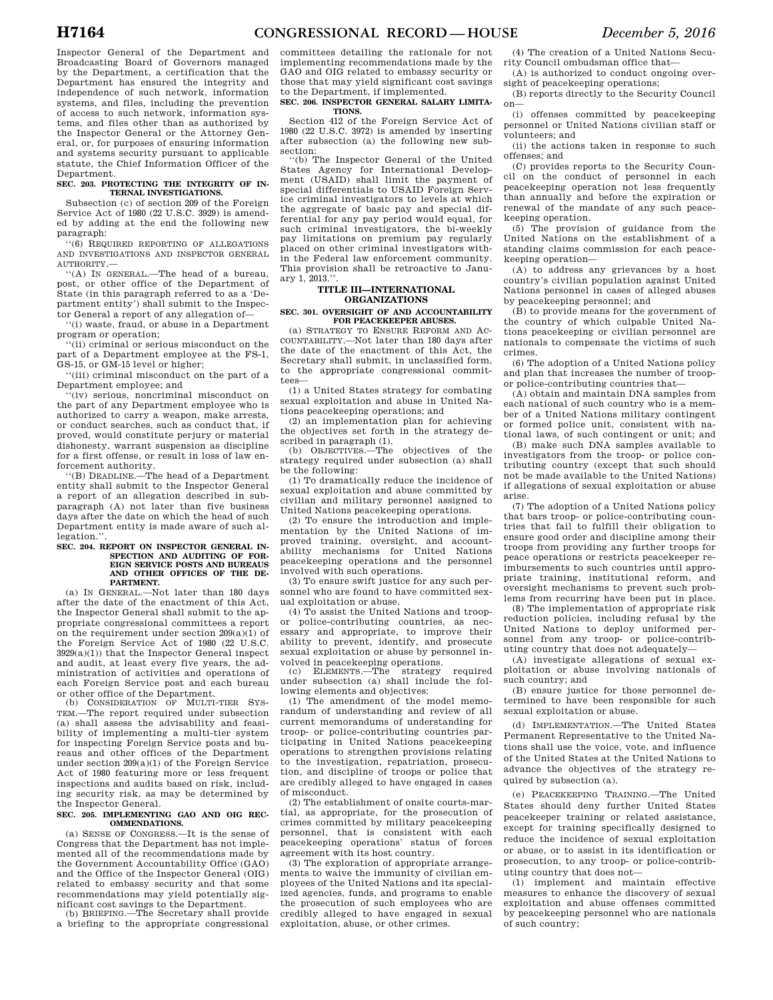Inspector General of the Department and Broadcasting Board of Governors managed by the Department, a certification that the Department has ensured the integrity and independence of such network, information systems, and files, including the prevention of access to such network, information systems, and files other than as authorized by the Inspector General or the Attorney General, or, for purposes of ensuring information and systems security pursuant to applicable statute, the Chief Information Officer of the Department.

### **SEC. 203. PROTECTING THE INTEGRITY OF IN-TERNAL INVESTIGATIONS.**

Subsection (c) of section 209 of the Foreign Service Act of 1980 (22 U.S.C. 3929) is amended by adding at the end the following new paragraph:

''(6) REQUIRED REPORTING OF ALLEGATIONS AND INVESTIGATIONS AND INSPECTOR GENERAL AUTHORITY.—

''(A) IN GENERAL.—The head of a bureau, post, or other office of the Department of State (in this paragraph referred to as a 'Department entity') shall submit to the Inspector General a report of any allegation of—

''(i) waste, fraud, or abuse in a Department program or operation;

''(ii) criminal or serious misconduct on the part of a Department employee at the FS-1, GS-15, or GM-15 level or higher;

''(iii) criminal misconduct on the part of a Department employee; and

''(iv) serious, noncriminal misconduct on the part of any Department employee who is authorized to carry a weapon, make arrests, or conduct searches, such as conduct that, if proved, would constitute perjury or material dishonesty, warrant suspension as discipline for a first offense, or result in loss of law enforcement authority.

''(B) DEADLINE.—The head of a Department entity shall submit to the Inspector General a report of an allegation described in subparagraph (A) not later than five business days after the date on which the head of such Department entity is made aware of such allegation.''.

### **SEC. 204. REPORT ON INSPECTOR GENERAL IN-SPECTION AND AUDITING OF FOR-EIGN SERVICE POSTS AND BUREAUS AND OTHER OFFICES OF THE DE-PARTMENT.**

(a) IN GENERAL.—Not later than 180 days after the date of the enactment of this Act, the Inspector General shall submit to the appropriate congressional committees a report on the requirement under section 209(a)(1) of the Foreign Service Act of 1980 (22 U.S.C. 3929(a)(1)) that the Inspector General inspect and audit, at least every five years, the administration of activities and operations of each Foreign Service post and each bureau or other office of the Department.

(b) CONSIDERATION OF MULTI-TIER SYS-TEM.—The report required under subsection (a) shall assess the advisability and feasibility of implementing a multi-tier system for inspecting Foreign Service posts and bureaus and other offices of the Department under section 209(a)(1) of the Foreign Service Act of 1980 featuring more or less frequent inspections and audits based on risk, including security risk, as may be determined by the Inspector General.

### **SEC. 205. IMPLEMENTING GAO AND OIG REC-OMMENDATIONS.**

(a) SENSE OF CONGRESS.—It is the sense of Congress that the Department has not implemented all of the recommendations made by the Government Accountability Office (GAO) and the Office of the Inspector General (OIG) related to embassy security and that some recommendations may yield potentially significant cost savings to the Department.

(b) BRIEFING.—The Secretary shall provide a briefing to the appropriate congressional

committees detailing the rationale for not implementing recommendations made by the GAO and OIG related to embassy security or those that may yield significant cost savings to the Department, if implemented.

### **SEC. 206. INSPECTOR GENERAL SALARY LIMITA-TIONS.**

Section 412 of the Foreign Service Act of 1980 (22 U.S.C. 3972) is amended by inserting after subsection (a) the following new subsection:

(b) The Inspector General of the United States Agency for International Development (USAID) shall limit the payment of special differentials to USAID Foreign Service criminal investigators to levels at which the aggregate of basic pay and special differential for any pay period would equal, for such criminal investigators, the bi-weekly pay limitations on premium pay regularly placed on other criminal investigators within the Federal law enforcement community. This provision shall be retroactive to January 1, 2013.'

### **TITLE III—INTERNATIONAL ORGANIZATIONS**

### **SEC. 301. OVERSIGHT OF AND ACCOUNTABILITY FOR PEACEKEEPER ABUSES.**

(a) STRATEGY TO ENSURE REFORM AND AC-COUNTABILITY.—Not later than 180 days after the date of the enactment of this Act, the Secretary shall submit, in unclassified form, to the appropriate congressional committees—

(1) a United States strategy for combating sexual exploitation and abuse in United Nations peacekeeping operations; and

(2) an implementation plan for achieving the objectives set forth in the strategy described in paragraph (1).

(b) OBJECTIVES.—The objectives of the strategy required under subsection (a) shall be the following:

(1) To dramatically reduce the incidence of sexual exploitation and abuse committed by civilian and military personnel assigned to United Nations peacekeeping operations.

(2) To ensure the introduction and implementation by the United Nations of improved training, oversight, and accountability mechanisms for United Nations peacekeeping operations and the personnel involved with such operations.

(3) To ensure swift justice for any such personnel who are found to have committed sexual exploitation or abuse.

(4) To assist the United Nations and troopor police-contributing countries, as necessary and appropriate, to improve their ability to prevent, identify, and prosecute sexual exploitation or abuse by personnel in-

volved in peacekeeping operations. (c) ELEMENTS.—The strategy required under subsection (a) shall include the following elements and objectives:

(1) The amendment of the model memorandum of understanding and review of all current memorandums of understanding for troop- or police-contributing countries participating in United Nations peacekeeping operations to strengthen provisions relating to the investigation, repatriation, prosecution, and discipline of troops or police that are credibly alleged to have engaged in cases of misconduct.

(2) The establishment of onsite courts-martial, as appropriate, for the prosecution of crimes committed by military peacekeeping personnel, that is consistent with each peacekeeping operations' status of forces agreement with its host country.

(3) The exploration of appropriate arrangements to waive the immunity of civilian employees of the United Nations and its specialized agencies, funds, and programs to enable the prosecution of such employees who are credibly alleged to have engaged in sexual exploitation, abuse, or other crimes.

(4) The creation of a United Nations Security Council ombudsman office that—

(A) is authorized to conduct ongoing oversight of peacekeeping operations;

(B) reports directly to the Security Council on—

(i) offenses committed by peacekeeping personnel or United Nations civilian staff or volunteers; and

(ii) the actions taken in response to such offenses; and

(C) provides reports to the Security Council on the conduct of personnel in each peacekeeping operation not less frequently than annually and before the expiration or renewal of the mandate of any such peacekeeping operation.

(5) The provision of guidance from the United Nations on the establishment of a standing claims commission for each peacekeeping operation—

(A) to address any grievances by a host country's civilian population against United Nations personnel in cases of alleged abuses by peacekeeping personnel; and

(B) to provide means for the government of the country of which culpable United Nations peacekeeping or civilian personnel are nationals to compensate the victims of such crimes.

(6) The adoption of a United Nations policy and plan that increases the number of troopor police-contributing countries that—

(A) obtain and maintain DNA samples from each national of such country who is a member of a United Nations military contingent or formed police unit, consistent with national laws, of such contingent or unit; and

(B) make such DNA samples available to investigators from the troop- or police contributing country (except that such should not be made available to the United Nations) if allegations of sexual exploitation or abuse arise.

(7) The adoption of a United Nations policy that bars troop- or police-contributing countries that fail to fulfill their obligation to ensure good order and discipline among their troops from providing any further troops for peace operations or restricts peacekeeper reimbursements to such countries until appropriate training, institutional reform, and oversight mechanisms to prevent such problems from recurring have been put in place.

(8) The implementation of appropriate risk reduction policies, including refusal by the United Nations to deploy uniformed personnel from any troop- or police-contributing country that does not adequately—

(A) investigate allegations of sexual exploitation or abuse involving nationals of such country; and

(B) ensure justice for those personnel determined to have been responsible for such sexual exploitation or abuse.

(d) IMPLEMENTATION.—The United States Permanent Representative to the United Nations shall use the voice, vote, and influence of the United States at the United Nations to advance the objectives of the strategy required by subsection (a).

(e) PEACEKEEPING TRAINING.—The United States should deny further United States peacekeeper training or related assistance, except for training specifically designed to reduce the incidence of sexual exploitation or abuse, or to assist in its identification or prosecution, to any troop- or police-contributing country that does not—

(1) implement and maintain effective measures to enhance the discovery of sexual exploitation and abuse offenses committed by peacekeeping personnel who are nationals of such country;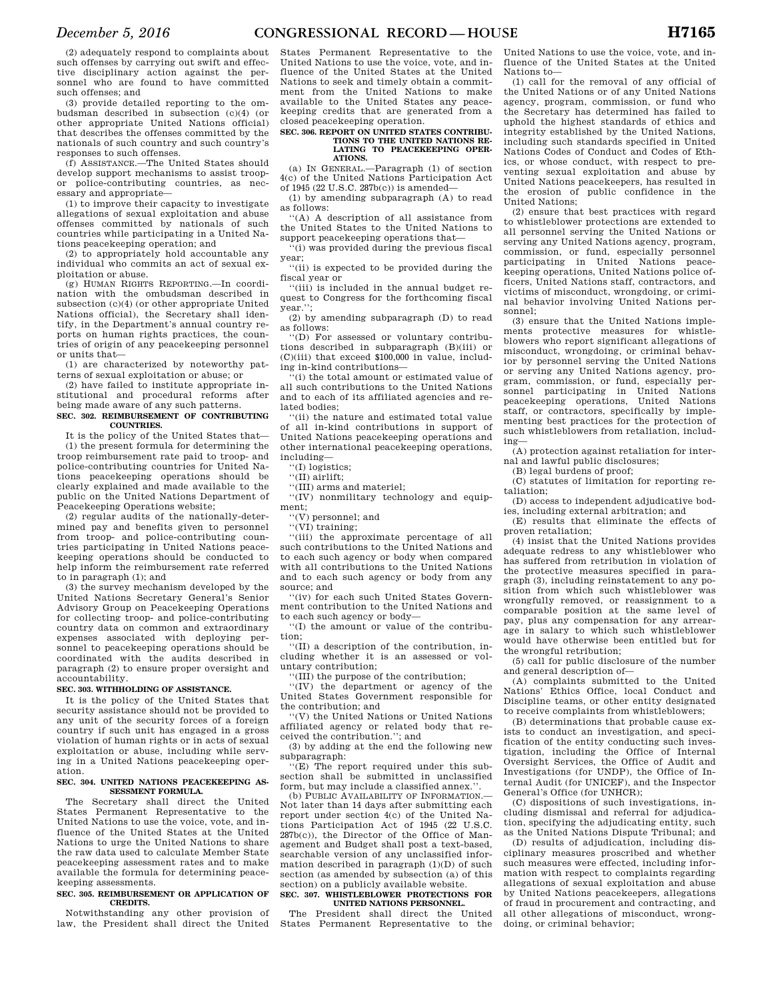(2) adequately respond to complaints about such offenses by carrying out swift and effective disciplinary action against the personnel who are found to have committed such offenses; and

(3) provide detailed reporting to the ombudsman described in subsection (c)(4) (or other appropriate United Nations official) that describes the offenses committed by the nationals of such country and such country's responses to such offenses.

(f) ASSISTANCE.—The United States should develop support mechanisms to assist troopor police-contributing countries, as necessary and appropriate—

(1) to improve their capacity to investigate allegations of sexual exploitation and abuse offenses committed by nationals of such countries while participating in a United Nations peacekeeping operation; and

(2) to appropriately hold accountable any individual who commits an act of sexual exploitation or abuse.

(g) HUMAN RIGHTS REPORTING.—In coordination with the ombudsman described in subsection (c)(4) (or other appropriate United Nations official), the Secretary shall identify, in the Department's annual country reports on human rights practices, the countries of origin of any peacekeeping personnel or units that—

(1) are characterized by noteworthy patterns of sexual exploitation or abuse; or

(2) have failed to institute appropriate institutional and procedural reforms after being made aware of any such patterns.

### **SEC. 302. REIMBURSEMENT OF CONTRIBUTING COUNTRIES.**

It is the policy of the United States that— (1) the present formula for determining the troop reimbursement rate paid to troop- and police-contributing countries for United Nations peacekeeping operations should be clearly explained and made available to the public on the United Nations Department of Peacekeeping Operations website;

(2) regular audits of the nationally-determined pay and benefits given to personnel from troop- and police-contributing countries participating in United Nations peacekeeping operations should be conducted to help inform the reimbursement rate referred to in paragraph (1); and

(3) the survey mechanism developed by the United Nations Secretary General's Senior Advisory Group on Peacekeeping Operations for collecting troop- and police-contributing country data on common and extraordinary expenses associated with deploying personnel to peacekeeping operations should be coordinated with the audits described in paragraph (2) to ensure proper oversight and accountability.

### **SEC. 303. WITHHOLDING OF ASSISTANCE.**

It is the policy of the United States that security assistance should not be provided to any unit of the security forces of a foreign country if such unit has engaged in a gross violation of human rights or in acts of sexual exploitation or abuse, including while serving in a United Nations peacekeeping operation.

### **SEC. 304. UNITED NATIONS PEACEKEEPING AS-SESSMENT FORMULA.**

The Secretary shall direct the United States Permanent Representative to the United Nations to use the voice, vote, and influence of the United States at the United Nations to urge the United Nations to share the raw data used to calculate Member State peacekeeping assessment rates and to make available the formula for determining peacekeeping assessments.

### **SEC. 305. REIMBURSEMENT OR APPLICATION OF CREDITS.**

Notwithstanding any other provision of law, the President shall direct the United

States Permanent Representative to the United Nations to use the voice, vote, and influence of the United States at the United Nations to seek and timely obtain a commit-ment from the United Nations to make available to the United States any peacekeeping credits that are generated from a closed peacekeeping operation.

### SEC. 306. REPORT ON UNITED STATES CONTRIBU-**TIONS TO THE UNITED NATIONS RE-LATING TO PEACEKEEPING OPER-ATIONS.**

(a) IN GENERAL.—Paragraph (1) of section 4(c) of the United Nations Participation Act of 1945 (22 U.S.C. 287b(c)) is amended—

(1) by amending subparagraph (A) to read as follows:

''(A) A description of all assistance from the United States to the United Nations to support peacekeeping operations that—

''(i) was provided during the previous fiscal year;

''(ii) is expected to be provided during the fiscal year or

''(iii) is included in the annual budget request to Congress for the forthcoming fiscal year.'';

(2) by amending subparagraph (D) to read as follows:

''(D) For assessed or voluntary contributions described in subparagraph (B)(iii) or (C)(iii) that exceed \$100,000 in value, including in-kind contributions—

''(i) the total amount or estimated value of all such contributions to the United Nations and to each of its affiliated agencies and related bodies;

''(ii) the nature and estimated total value of all in-kind contributions in support of United Nations peacekeeping operations and other international peacekeeping operations, including—

''(I) logistics;

''(II) airlift;

''(III) arms and materiel;

''(IV) nonmilitary technology and equipment;

''(V) personnel; and

''(VI) training;

''(iii) the approximate percentage of all such contributions to the United Nations and to each such agency or body when compared with all contributions to the United Nations and to each such agency or body from any source; and

''(iv) for each such United States Government contribution to the United Nations and to each such agency or body—

''(I) the amount or value of the contribution;

''(II) a description of the contribution, including whether it is an assessed or voluntary contribution;

''(III) the purpose of the contribution;

''(IV) the department or agency of the United States Government responsible for the contribution; and

''(V) the United Nations or United Nations affiliated agency or related body that received the contribution.''; and

(3) by adding at the end the following new subparagraph:

''(E) The report required under this subsection shall be submitted in unclassified form, but may include a classified annex.''.

(b) PUBLIC AVAILABILITY OF INFORMATION.— Not later than 14 days after submitting each report under section 4(c) of the United Nations Participation Act of 1945 (22 U.S.C.  $287b(c)$ ), the Director of the Office of Management and Budget shall post a text-based, searchable version of any unclassified information described in paragraph (1)(D) of such section (as amended by subsection (a) of this section) on a publicly available website.

### **SEC. 307. WHISTLEBLOWER PROTECTIONS FOR UNITED NATIONS PERSONNEL.**

The President shall direct the United States Permanent Representative to the

United Nations to use the voice, vote, and influence of the United States at the United Nations to—

(1) call for the removal of any official of the United Nations or of any United Nations agency, program, commission, or fund who the Secretary has determined has failed to uphold the highest standards of ethics and integrity established by the United Nations, including such standards specified in United Nations Codes of Conduct and Codes of Ethics, or whose conduct, with respect to preventing sexual exploitation and abuse by United Nations peacekeepers, has resulted in the erosion of public confidence in the United Nations;

(2) ensure that best practices with regard to whistleblower protections are extended to all personnel serving the United Nations or serving any United Nations agency, program, commission, or fund, especially personnel participating in United Nations peacekeeping operations, United Nations police officers, United Nations staff, contractors, and victims of misconduct, wrongdoing, or criminal behavior involving United Nations personnel;

(3) ensure that the United Nations implements protective measures for whistleblowers who report significant allegations of misconduct, wrongdoing, or criminal behavior by personnel serving the United Nations or serving any United Nations agency, program, commission, or fund, especially personnel participating in United Nations peacekeeping operations, United Nations staff, or contractors, specifically by implementing best practices for the protection of such whistleblowers from retaliation, including—

(A) protection against retaliation for internal and lawful public disclosures;

(B) legal burdens of proof;

(C) statutes of limitation for reporting retaliation;

(D) access to independent adjudicative bodies, including external arbitration; and

(E) results that eliminate the effects of proven retaliation;

(4) insist that the United Nations provides adequate redress to any whistleblower who has suffered from retribution in violation of the protective measures specified in paragraph (3), including reinstatement to any position from which such whistleblower was wrongfully removed, or reassignment to a comparable position at the same level of pay, plus any compensation for any arrearage in salary to which such whistleblower would have otherwise been entitled but for the wrongful retribution;

(5) call for public disclosure of the number and general description of—

(A) complaints submitted to the United Nations' Ethics Office, local Conduct and Discipline teams, or other entity designated to receive complaints from whistleblowers;

(B) determinations that probable cause exists to conduct an investigation, and specification of the entity conducting such investigation, including the Office of Internal Oversight Services, the Office of Audit and Investigations (for UNDP), the Office of Internal Audit (for UNICEF), and the Inspector General's Office (for UNHCR);

(C) dispositions of such investigations, including dismissal and referral for adjudication, specifying the adjudicating entity, such as the United Nations Dispute Tribunal; and

(D) results of adjudication, including disciplinary measures proscribed and whether such measures were effected, including information with respect to complaints regarding allegations of sexual exploitation and abuse by United Nations peacekeepers, allegations of fraud in procurement and contracting, and all other allegations of misconduct, wrongdoing, or criminal behavior;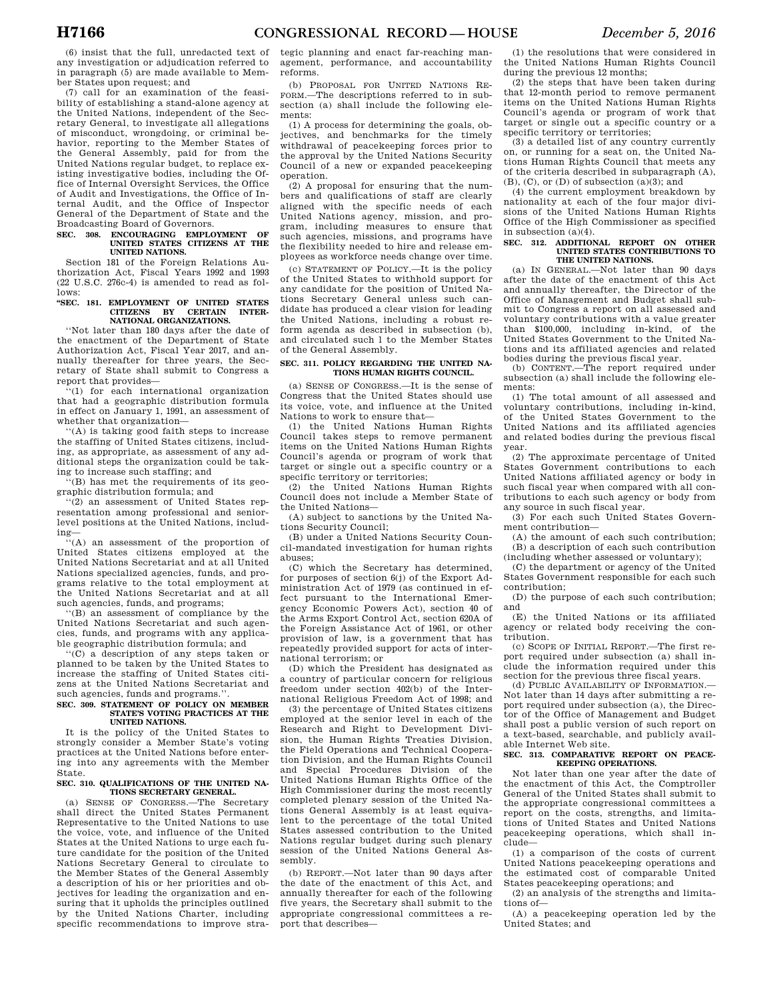(6) insist that the full, unredacted text of any investigation or adjudication referred to in paragraph (5) are made available to Member States upon request; and

(7) call for an examination of the feasibility of establishing a stand-alone agency at the United Nations, independent of the Secretary General, to investigate all allegations of misconduct, wrongdoing, or criminal behavior, reporting to the Member States of the General Assembly, paid for from the United Nations regular budget, to replace existing investigative bodies, including the Office of Internal Oversight Services, the Office of Audit and Investigations, the Office of Internal Audit, and the Office of Inspector General of the Department of State and the Broadcasting Board of Governors.

### **SEC. 308. ENCOURAGING EMPLOYMENT OF UNITED STATES CITIZENS AT THE UNITED NATIONS.**

Section 181 of the Foreign Relations Authorization Act, Fiscal Years 1992 and 1993 (22 U.S.C. 276c-4) is amended to read as follows:

### **''SEC. 181. EMPLOYMENT OF UNITED STATES CITIZENS BY CERTAIN INTER-NATIONAL ORGANIZATIONS.**

''Not later than 180 days after the date of the enactment of the Department of State Authorization Act, Fiscal Year 2017, and annually thereafter for three years, the Secretary of State shall submit to Congress a report that provides—

''(1) for each international organization that had a geographic distribution formula in effect on January 1, 1991, an assessment of whether that organization—

''(A) is taking good faith steps to increase the staffing of United States citizens, including, as appropriate, as assessment of any additional steps the organization could be taking to increase such staffing; and

'(B) has met the requirements of its geographic distribution formula; and

''(2) an assessment of United States representation among professional and seniorlevel positions at the United Nations, including—

''(A) an assessment of the proportion of United States citizens employed at the United Nations Secretariat and at all United Nations specialized agencies, funds, and programs relative to the total employment at the United Nations Secretariat and at all such agencies, funds, and programs;

''(B) an assessment of compliance by the United Nations Secretariat and such agencies, funds, and programs with any applicable geographic distribution formula; and

''(C) a description of any steps taken or planned to be taken by the United States to increase the staffing of United States citizens at the United Nations Secretariat and such agencies, funds and programs.'

### **SEC. 309. STATEMENT OF POLICY ON MEMBER STATE'S VOTING PRACTICES AT THE UNITED NATIONS.**

It is the policy of the United States to strongly consider a Member State's voting practices at the United Nations before entering into any agreements with the Member State.

### **SEC. 310. QUALIFICATIONS OF THE UNITED NA-TIONS SECRETARY GENERAL.**

(a) SENSE OF CONGRESS.—The Secretary shall direct the United States Permanent Representative to the United Nations to use the voice, vote, and influence of the United States at the United Nations to urge each future candidate for the position of the United Nations Secretary General to circulate to the Member States of the General Assembly a description of his or her priorities and objectives for leading the organization and ensuring that it upholds the principles outlined by the United Nations Charter, including specific recommendations to improve stra-

tegic planning and enact far-reaching management, performance, and accountability reforms.

(b) PROPOSAL FOR UNITED NATIONS RE-FORM.—The descriptions referred to in subsection (a) shall include the following elements:

(1) A process for determining the goals, objectives, and benchmarks for the timely withdrawal of peacekeeping forces prior to the approval by the United Nations Security Council of a new or expanded peacekeeping operation.

(2) A proposal for ensuring that the numbers and qualifications of staff are clearly aligned with the specific needs of each United Nations agency, mission, and program, including measures to ensure that such agencies, missions, and programs have the flexibility needed to hire and release employees as workforce needs change over time.

(c) STATEMENT OF POLICY.—It is the policy of the United States to withhold support for any candidate for the position of United Nations Secretary General unless such candidate has produced a clear vision for leading the United Nations, including a robust reform agenda as described in subsection (b), and circulated such l to the Member States of the General Assembly.

### **SEC. 311. POLICY REGARDING THE UNITED NA-TIONS HUMAN RIGHTS COUNCIL.**

(a) SENSE OF CONGRESS.—It is the sense of Congress that the United States should use its voice, vote, and influence at the United Nations to work to ensure that—

(1) the United Nations Human Rights Council takes steps to remove permanent items on the United Nations Human Rights Council's agenda or program of work that target or single out a specific country or a specific territory or territories;

(2) the United Nations Human Rights Council does not include a Member State of the United Nations—

(A) subject to sanctions by the United Nations Security Council;

(B) under a United Nations Security Council-mandated investigation for human rights abuses;

(C) which the Secretary has determined, for purposes of section 6(j) of the Export Administration Act of 1979 (as continued in effect pursuant to the International Emergency Economic Powers Act), section 40 of the Arms Export Control Act, section 620A of the Foreign Assistance Act of 1961, or other provision of law, is a government that has repeatedly provided support for acts of international terrorism; or

(D) which the President has designated as a country of particular concern for religious freedom under section 402(b) of the International Religious Freedom Act of 1998; and

(3) the percentage of United States citizens employed at the senior level in each of the Research and Right to Development Division, the Human Rights Treaties Division, the Field Operations and Technical Cooperation Division, and the Human Rights Council and Special Procedures Division of the United Nations Human Rights Office of the High Commissioner during the most recently completed plenary session of the United Nations General Assembly is at least equivalent to the percentage of the total United States assessed contribution to the United Nations regular budget during such plenary session of the United Nations General Assembly.

(b) REPORT.—Not later than 90 days after the date of the enactment of this Act, and annually thereafter for each of the following five years, the Secretary shall submit to the appropriate congressional committees a report that describes—

(1) the resolutions that were considered in the United Nations Human Rights Council during the previous 12 months;

(2) the steps that have been taken during that 12-month period to remove permanent items on the United Nations Human Rights Council's agenda or program of work that target or single out a specific country or a specific territory or territories;

(3) a detailed list of any country currently on, or running for a seat on, the United Nations Human Rights Council that meets any of the criteria described in subparagraph (A),  $(B)$ ,  $(C)$ ,  $or$   $(D)$  of subsection  $(a)(3)$ ; and

(4) the current employment breakdown by nationality at each of the four major divisions of the United Nations Human Rights Office of the High Commissioner as specified in subsection (a)(4).

### **SEC. 312. ADDITIONAL REPORT ON OTHER UNITED STATES CONTRIBUTIONS TO THE UNITED NATIONS.**

(a) IN GENERAL.—Not later than 90 days after the date of the enactment of this Act and annually thereafter, the Director of the Office of Management and Budget shall submit to Congress a report on all assessed and voluntary contributions with a value greater than \$100,000, including in-kind, of the United States Government to the United Nations and its affiliated agencies and related bodies during the previous fiscal year.

(b) CONTENT.—The report required under subsection (a) shall include the following elements:

(1) The total amount of all assessed and voluntary contributions, including in-kind, of the United States Government to the United Nations and its affiliated agencies and related bodies during the previous fiscal year.

(2) The approximate percentage of United States Government contributions to each United Nations affiliated agency or body in such fiscal year when compared with all contributions to each such agency or body from any source in such fiscal year.

(3) For each such United States Government contribution—

(A) the amount of each such contribution; (B) a description of each such contribution (including whether assessed or voluntary);

(C) the department or agency of the United States Government responsible for each such contribution;

(D) the purpose of each such contribution; and

(E) the United Nations or its affiliated agency or related body receiving the contribution.

(c) SCOPE OF INITIAL REPORT.—The first report required under subsection (a) shall include the information required under this section for the previous three fiscal years.

(d) PUBLIC AVAILABILITY OF INFORMATION.— Not later than 14 days after submitting a report required under subsection (a), the Director of the Office of Management and Budget shall post a public version of such report on a text-based, searchable, and publicly avail-able Internet Web site.

### SEC. 313. COMPARATIVE REPORT ON PEACE. **KEEPING OPERATIONS.**

Not later than one year after the date of the enactment of this Act, the Comptroller General of the United States shall submit to the appropriate congressional committees a report on the costs, strengths, and limitations of United States and United Nations peacekeeping operations, which shall include—

(1) a comparison of the costs of current United Nations peacekeeping operations and the estimated cost of comparable United States peacekeeping operations; and

(2) an analysis of the strengths and limitations of—

(A) a peacekeeping operation led by the United States; and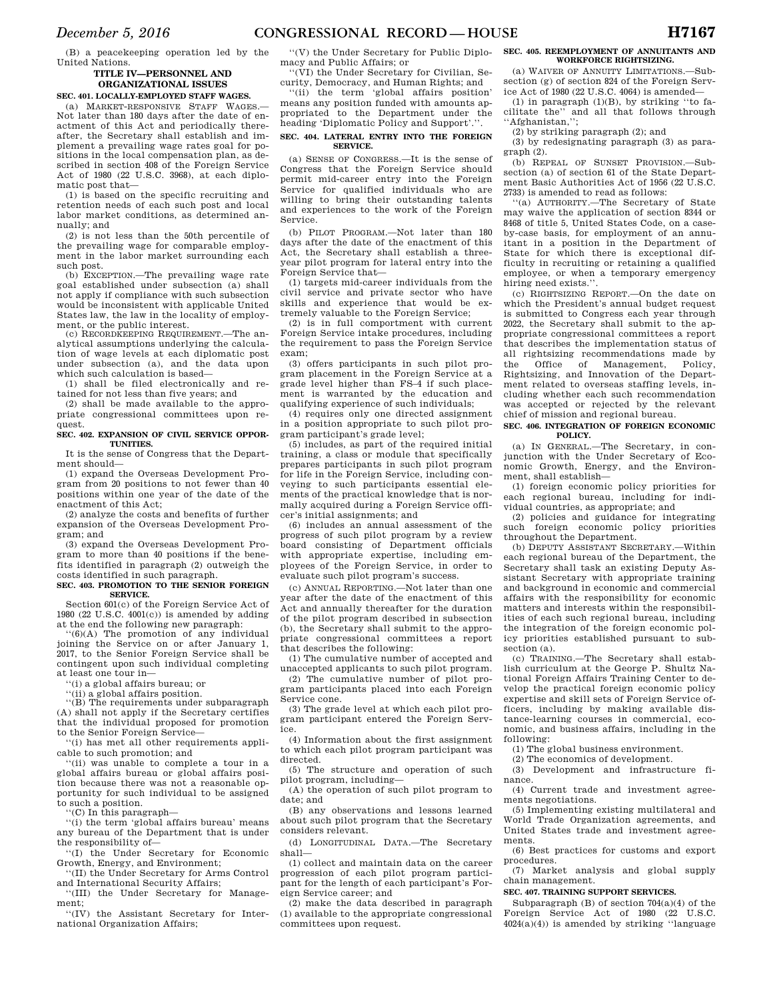(B) a peacekeeping operation led by the United Nations.

### **TITLE IV—PERSONNEL AND ORGANIZATIONAL ISSUES**

**SEC. 401. LOCALLY-EMPLOYED STAFF WAGES.**  (a) MARKET-RESPONSIVE STAFF WAGES. Not later than 180 days after the date of enactment of this Act and periodically thereafter, the Secretary shall establish and implement a prevailing wage rates goal for positions in the local compensation plan, as described in section 408 of the Foreign Service Act of 1980 (22 U.S.C. 3968), at each diplomatic post that—

(1) is based on the specific recruiting and retention needs of each such post and local labor market conditions, as determined annually; and

(2) is not less than the 50th percentile of the prevailing wage for comparable employment in the labor market surrounding each such post.

(b) EXCEPTION.—The prevailing wage rate goal established under subsection (a) shall not apply if compliance with such subsection would be inconsistent with applicable United States law, the law in the locality of employment, or the public interest.

(c) RECORDKEEPING REQUIREMENT.—The analytical assumptions underlying the calculation of wage levels at each diplomatic post under subsection (a), and the data upon which such calculation is based—

(1) shall be filed electronically and retained for not less than five years; and

(2) shall be made available to the appropriate congressional committees upon request.

### **SEC. 402. EXPANSION OF CIVIL SERVICE OPPOR-TUNITIES.**

It is the sense of Congress that the Department should—

(1) expand the Overseas Development Program from 20 positions to not fewer than 40 positions within one year of the date of the enactment of this Act;

(2) analyze the costs and benefits of further expansion of the Overseas Development Program; and

(3) expand the Overseas Development Program to more than 40 positions if the benefits identified in paragraph (2) outweigh the costs identified in such paragraph.

### **SEC. 403. PROMOTION TO THE SENIOR FOREIGN SERVICE.**

Section 601(c) of the Foreign Service Act of 1980 (22 U.S.C. 4001(c)) is amended by adding at the end the following new paragraph:

 $(6)(A)$  The promotion of any individual joining the Service on or after January 1, 2017, to the Senior Foreign Service shall be contingent upon such individual completing at least one tour in—

''(i) a global affairs bureau; or

''(ii) a global affairs position.

''(B) The requirements under subparagraph (A) shall not apply if the Secretary certifies that the individual proposed for promotion to the Senior Foreign Service—

''(i) has met all other requirements applicable to such promotion; and

''(ii) was unable to complete a tour in a global affairs bureau or global affairs position because there was not a reasonable opportunity for such individual to be assigned to such a position.

(C) In this paragraph-

''(i) the term 'global affairs bureau' means any bureau of the Department that is under the responsibility of—

''(I) the Under Secretary for Economic Growth, Energy, and Environment;

''(II) the Under Secretary for Arms Control and International Security Affairs; ''(III) the Under Secretary for Manage-

ment; ''(IV) the Assistant Secretary for Inter-

national Organization Affairs;

''(V) the Under Secretary for Public Diplomacy and Public Affairs; or

''(VI) the Under Secretary for Civilian, Security, Democracy, and Human Rights; and

''(ii) the term 'global affairs position' means any position funded with amounts appropriated to the Department under the heading 'Diplomatic Policy and Support'.''.

### **SEC. 404. LATERAL ENTRY INTO THE FOREIGN SERVICE.**

(a) SENSE OF CONGRESS.—It is the sense of Congress that the Foreign Service should permit mid-career entry into the Foreign Service for qualified individuals who are willing to bring their outstanding talents and experiences to the work of the Foreign Service.

(b) PILOT PROGRAM.—Not later than 180 days after the date of the enactment of this Act, the Secretary shall establish a threeyear pilot program for lateral entry into the Foreign Service that—

(1) targets mid-career individuals from the civil service and private sector who have skills and experience that would be extremely valuable to the Foreign Service;

(2) is in full comportment with current Foreign Service intake procedures, including the requirement to pass the Foreign Service exam;

(3) offers participants in such pilot program placement in the Foreign Service at a grade level higher than FS–4 if such placement is warranted by the education and qualifying experience of such individuals;

(4) requires only one directed assignment in a position appropriate to such pilot program participant's grade level;

(5) includes, as part of the required initial training, a class or module that specifically prepares participants in such pilot program for life in the Foreign Service, including conveying to such participants essential elements of the practical knowledge that is normally acquired during a Foreign Service officer's initial assignments; and

(6) includes an annual assessment of the progress of such pilot program by a review board consisting of Department officials with appropriate expertise, including employees of the Foreign Service, in order to evaluate such pilot program's success.

(c) ANNUAL REPORTING.—Not later than one year after the date of the enactment of this Act and annually thereafter for the duration of the pilot program described in subsection (b), the Secretary shall submit to the appropriate congressional committees a report that describes the following:

(1) The cumulative number of accepted and unaccepted applicants to such pilot program. (2) The cumulative number of pilot pro-

gram participants placed into each Foreign Service cone.

(3) The grade level at which each pilot program participant entered the Foreign Service.

(4) Information about the first assignment to which each pilot program participant was directed.

(5) The structure and operation of such pilot program, including—

(A) the operation of such pilot program to date; and

(B) any observations and lessons learned about such pilot program that the Secretary considers relevant.

(d) LONGITUDINAL DATA.—The Secretary shall—

(1) collect and maintain data on the career progression of each pilot program participant for the length of each participant's Foreign Service career; and

(2) make the data described in paragraph (1) available to the appropriate congressional committees upon request.

### **SEC. 405. REEMPLOYMENT OF ANNUITANTS AND WORKFORCE RIGHTSIZING.**

(a) WAIVER OF ANNUITY LIMITATIONS.—Subsection (g) of section 824 of the Foreign Service Act of 1980 (22 U.S.C. 4064) is amended—

(1) in paragraph (1)(B), by striking ''to facilitate the'' and all that follows through ''Afghanistan,'';

(2) by striking paragraph (2); and

(3) by redesignating paragraph (3) as paragraph (2).

(b) REPEAL OF SUNSET PROVISION.—Subsection (a) of section 61 of the State Department Basic Authorities Act of 1956 (22 U.S.C. 2733) is amended to read as follows:

''(a) AUTHORITY.—The Secretary of State may waive the application of section 8344 or 8468 of title 5, United States Code, on a caseby-case basis, for employment of an annuitant in a position in the Department of State for which there is exceptional difficulty in recruiting or retaining a qualified employee, or when a temporary emergency hiring need exists."

(c) RIGHTSIZING REPORT.—On the date on which the President's annual budget request is submitted to Congress each year through 2022, the Secretary shall submit to the appropriate congressional committees a report that describes the implementation status of all rightsizing recommendations made by the Office of Management, Policy, Rightsizing, and Innovation of the Department related to overseas staffing levels, including whether each such recommendation was accepted or rejected by the relevant chief of mission and regional bureau.

### **SEC. 406. INTEGRATION OF FOREIGN ECONOMIC POLICY.**

(a) IN GENERAL.—The Secretary, in conjunction with the Under Secretary of Economic Growth, Energy, and the Environment, shall establish—

(1) foreign economic policy priorities for each regional bureau, including for individual countries, as appropriate; and

(2) policies and guidance for integrating such foreign economic policy priorities throughout the Department.

(b) DEPUTY ASSISTANT SECRETARY.—Within each regional bureau of the Department, the Secretary shall task an existing Deputy Assistant Secretary with appropriate training and background in economic and commercial affairs with the responsibility for economic matters and interests within the responsibilities of each such regional bureau, including the integration of the foreign economic policy priorities established pursuant to subsection (a).

(c) TRAINING.—The Secretary shall establish curriculum at the George P. Shultz National Foreign Affairs Training Center to develop the practical foreign economic policy expertise and skill sets of Foreign Service officers, including by making available distance-learning courses in commercial, economic, and business affairs, including in the following:

(1) The global business environment.

(2) The economics of development.

(3) Development and infrastructure finance.

(4) Current trade and investment agreements negotiations.

(5) Implementing existing multilateral and World Trade Organization agreements, and United States trade and investment agreements.

(6) Best practices for customs and export procedures.

(7) Market analysis and global supply chain management.

### **SEC. 407. TRAINING SUPPORT SERVICES.**

Subparagraph (B) of section 704(a)(4) of the Foreign Service Act of 1980 (22 U.S.C.  $4024(a)(4)$ ) is amended by striking "language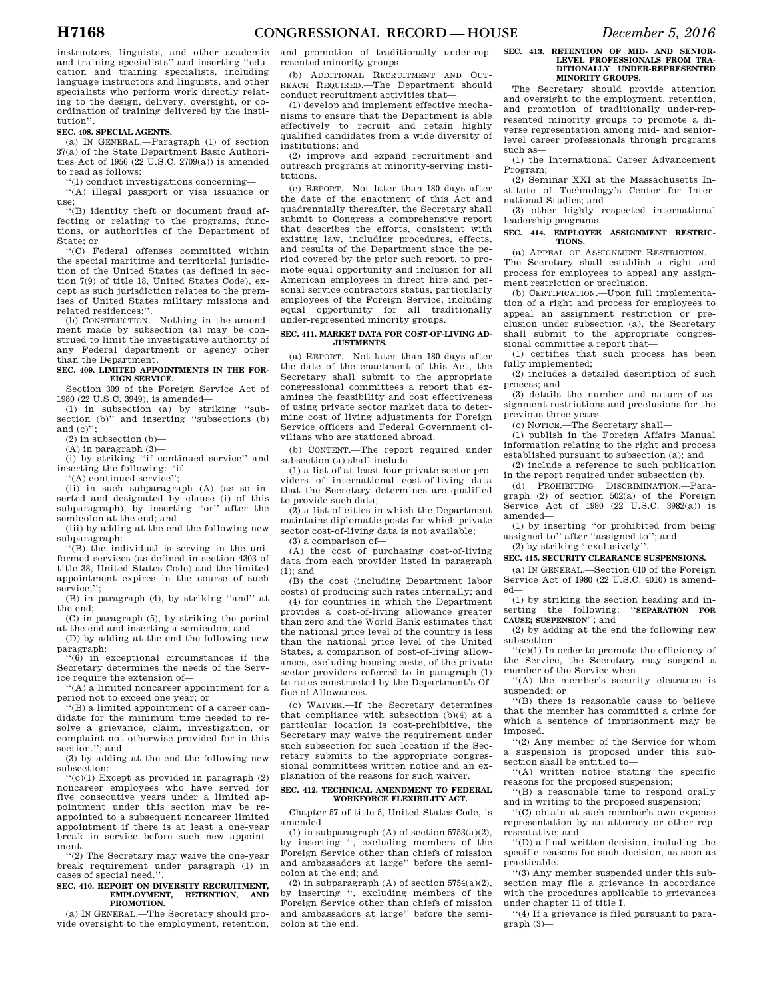instructors, linguists, and other academic and training specialists'' and inserting ''education and training specialists, including language instructors and linguists, and other specialists who perform work directly relating to the design, delivery, oversight, or coordination of training delivered by the institution''.

### **SEC. 408. SPECIAL AGENTS.**

(a) IN GENERAL.—Paragraph (1) of section 37(a) of the State Department Basic Authorities Act of 1956 (22 U.S.C. 2709(a)) is amended to read as follows:

''(1) conduct investigations concerning—

''(A) illegal passport or visa issuance or use;

''(B) identity theft or document fraud affecting or relating to the programs, functions, or authorities of the Department of State; or

''(C) Federal offenses committed within the special maritime and territorial jurisdiction of the United States (as defined in section 7(9) of title 18, United States Code), except as such jurisdiction relates to the premises of United States military missions and related residences;''.

(b) CONSTRUCTION.—Nothing in the amendment made by subsection (a) may be construed to limit the investigative authority of any Federal department or agency other than the Department.

### **SEC. 409. LIMITED APPOINTMENTS IN THE FOR-EIGN SERVICE.**

Section 309 of the Foreign Service Act of 1980 (22 U.S.C. 3949), is amended—

(1) in subsection (a) by striking ''sub-section (b)'' and inserting ''subsections (b) and  $(c)$ ":

 $(2)$  in subsection  $(b)$ -

(A) in paragraph (3)—

(i) by striking ''if continued service'' and inserting the following: ''if—

''(A) continued service'';

(ii) in such subparagraph (A) (as so inserted and designated by clause (i) of this subparagraph), by inserting ''or'' after the semicolon at the end; and

(iii) by adding at the end the following new subparagraph:

''(B) the individual is serving in the uniformed services (as defined in section 4303 of title 38, United States Code) and the limited appointment expires in the course of such service:":

(B) in paragraph (4), by striking ''and'' at the end;

(C) in paragraph (5), by striking the period at the end and inserting a semicolon; and

(D) by adding at the end the following new paragraph:

 $\cdot$ <sup>'</sup>( $\vec{6}$ ) in exceptional circumstances if the Secretary determines the needs of the Service require the extension of—

''(A) a limited noncareer appointment for a period not to exceed one year; or

''(B) a limited appointment of a career candidate for the minimum time needed to resolve a grievance, claim, investigation, or complaint not otherwise provided for in this section.''; and

(3) by adding at the end the following new subsection:

''(c)(1) Except as provided in paragraph (2) noncareer employees who have served for five consecutive years under a limited appointment under this section may be reappointed to a subsequent noncareer limited appointment if there is at least a one-year break in service before such new appointment.

''(2) The Secretary may waive the one-year break requirement under paragraph (1) in cases of special need.''.

### **SEC. 410. REPORT ON DIVERSITY RECRUITMENT, RETENTION, AND PROMOTION.**

(a) IN GENERAL.—The Secretary should provide oversight to the employment, retention, and promotion of traditionally under-represented minority groups.

(b) ADDITIONAL RECRUITMENT AND OUT-REACH REQUIRED.—The Department should conduct recruitment activities that—

(1) develop and implement effective mechanisms to ensure that the Department is able effectively to recruit and retain highly qualified candidates from a wide diversity of institutions; and

(2) improve and expand recruitment and outreach programs at minority-serving institutions.

(c) REPORT.—Not later than 180 days after the date of the enactment of this Act and quadrennially thereafter, the Secretary shall submit to Congress a comprehensive report that describes the efforts, consistent with existing law, including procedures, effects, and results of the Department since the period covered by the prior such report, to promote equal opportunity and inclusion for all American employees in direct hire and personal service contractors status, particularly employees of the Foreign Service, including equal opportunity for all traditionally under-represented minority groups.

### **SEC. 411. MARKET DATA FOR COST-OF-LIVING AD-JUSTMENTS.**

(a) REPORT.—Not later than 180 days after the date of the enactment of this Act, the Secretary shall submit to the appropriate congressional committees a report that examines the feasibility and cost effectiveness of using private sector market data to determine cost of living adjustments for Foreign Service officers and Federal Government civilians who are stationed abroad.

(b) CONTENT.—The report required under subsection (a) shall include—

(1) a list of at least four private sector providers of international cost-of-living data that the Secretary determines are qualified to provide such data;

(2) a list of cities in which the Department maintains diplomatic posts for which private sector cost-of-living data is not available;

(3) a comparison of—

(A) the cost of purchasing cost-of-living data from each provider listed in paragraph (1); and

(B) the cost (including Department labor costs) of producing such rates internally; and

(4) for countries in which the Department provides a cost-of-living allowance greater than zero and the World Bank estimates that the national price level of the country is less than the national price level of the United States, a comparison of cost-of-living allowances, excluding housing costs, of the private sector providers referred to in paragraph (1) to rates constructed by the Department's Office of Allowances.

(c) WAIVER.—If the Secretary determines that compliance with subsection (b)(4) at a particular location is cost-prohibitive, the Secretary may waive the requirement under such subsection for such location if the Secretary submits to the appropriate congressional committees written notice and an explanation of the reasons for such waiver.

### **SEC. 412. TECHNICAL AMENDMENT TO FEDERAL WORKFORCE FLEXIBILITY ACT.**

Chapter 57 of title 5, United States Code, is amended—

(1) in subparagraph  $(A)$  of section  $5753(a)(2)$ , by inserting '', excluding members of the Foreign Service other than chiefs of mission and ambassadors at large'' before the semicolon at the end; and

(2) in subparagraph  $(A)$  of section  $5754(a)(2)$ , by inserting '', excluding members of the Foreign Service other than chiefs of mission and ambassadors at large'' before the semicolon at the end.

### **SEC. 413. RETENTION OF MID- AND SENIOR-LEVEL PROFESSIONALS FROM TRA-DITIONALLY UNDER-REPRESENTED MINORITY GROUPS.**

The Secretary should provide attention and oversight to the employment, retention, and promotion of traditionally under-represented minority groups to promote a diverse representation among mid- and seniorlevel career professionals through programs such as—

(1) the International Career Advancement Program;

(2) Seminar XXI at the Massachusetts Institute of Technology's Center for International Studies; and

(3) other highly respected international leadership programs.

### **SEC. 414. EMPLOYEE ASSIGNMENT RESTRIC-TIONS.**

(a) APPEAL OF ASSIGNMENT RESTRICTION.— The Secretary shall establish a right and process for employees to appeal any assignment restriction or preclusion.

(b) CERTIFICATION.—Upon full implementation of a right and process for employees to appeal an assignment restriction or preclusion under subsection (a), the Secretary shall submit to the appropriate congressional committee a report that—

(1) certifies that such process has been fully implemented;

(2) includes a detailed description of such process; and

(3) details the number and nature of assignment restrictions and preclusions for the previous three years.

(c) NOTICE.—The Secretary shall—

(1) publish in the Foreign Affairs Manual information relating to the right and process established pursuant to subsection (a); and

(2) include a reference to such publication in the report required under subsection (b).

(d) PROHIBITING DISCRIMINATION.—Paragraph (2) of section 502(a) of the Foreign Service Act of 1980 (22 U.S.C. 3982(a)) is amended—

(1) by inserting ''or prohibited from being assigned to'' after ''assigned to''; and (2) by striking ''exclusively''.

### **SEC. 415. SECURITY CLEARANCE SUSPENSIONS.**

(a) IN GENERAL.—Section 610 of the Foreign Service Act of 1980 (22 U.S.C. 4010) is amended—

(1) by striking the section heading and inserting the following: ''**SEPARATION FOR CAUSE; SUSPENSION**''; and

(2) by adding at the end the following new subsection:

''(c)(1) In order to promote the efficiency of the Service, the Secretary may suspend a member of the Service when—

''(A) the member's security clearance is suspended; or

''(B) there is reasonable cause to believe that the member has committed a crime for which a sentence of imprisonment may be imposed.

 $(2)$  Any member of the Service for whom a suspension is proposed under this subsection shall be entitled to—

''(A) written notice stating the specific reasons for the proposed suspension;

''(B) a reasonable time to respond orally and in writing to the proposed suspension;

''(C) obtain at such member's own expense representation by an attorney or other representative; and

''(D) a final written decision, including the specific reasons for such decision, as soon as practicable.

''(3) Any member suspended under this subsection may file a grievance in accordance with the procedures applicable to grievances under chapter 11 of title I.

''(4) If a grievance is filed pursuant to paragraph (3)—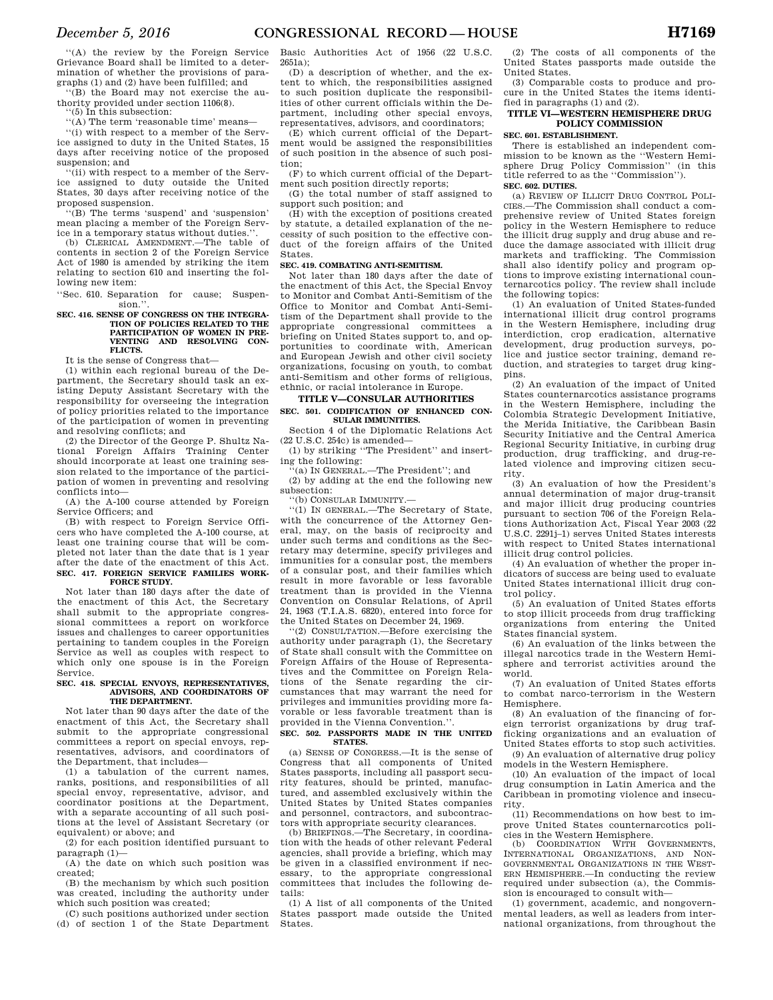''(A) the review by the Foreign Service Grievance Board shall be limited to a determination of whether the provisions of paragraphs (1) and (2) have been fulfilled; and

''(B) the Board may not exercise the authority provided under section 1106(8).

''(5) In this subsection:

''(A) The term 'reasonable time' means—

''(i) with respect to a member of the Service assigned to duty in the United States, 15 days after receiving notice of the proposed suspension; and

''(ii) with respect to a member of the Service assigned to duty outside the United States, 30 days after receiving notice of the proposed suspension.

(B) The terms 'suspend' and 'suspension' mean placing a member of the Foreign Service in a temporary status without duties.''.

(b) CLERICAL AMENDMENT.—The table of contents in section 2 of the Foreign Service Act of 1980 is amended by striking the item relating to section 610 and inserting the following new item:

''Sec. 610. Separation for cause; Suspen- $\sin^n$ 

### **SEC. 416. SENSE OF CONGRESS ON THE INTEGRA-TION OF POLICIES RELATED TO THE PARTICIPATION OF WOMEN IN PRE-VENTING AND RESOLVING CON-FLICTS.**

It is the sense of Congress that—

(1) within each regional bureau of the Department, the Secretary should task an existing Deputy Assistant Secretary with the responsibility for overseeing the integration of policy priorities related to the importance of the participation of women in preventing and resolving conflicts; and

(2) the Director of the George P. Shultz National Foreign Affairs Training Center should incorporate at least one training session related to the importance of the participation of women in preventing and resolving conflicts into—

(A) the A-100 course attended by Foreign Service Officers; and

(B) with respect to Foreign Service Officers who have completed the A-100 course, at least one training course that will be completed not later than the date that is 1 year after the date of the enactment of this Act. **SEC. 417. FOREIGN SERVICE FAMILIES WORK-FORCE STUDY.** 

Not later than 180 days after the date of the enactment of this Act, the Secretary shall submit to the appropriate congressional committees a report on workforce issues and challenges to career opportunities pertaining to tandem couples in the Foreign Service as well as couples with respect to which only one spouse is in the Foreign Service.

### **SEC. 418. SPECIAL ENVOYS, REPRESENTATIVES, ADVISORS, AND COORDINATORS OF THE DEPARTMENT.**

Not later than 90 days after the date of the enactment of this Act, the Secretary shall submit to the appropriate congressional committees a report on special envoys, representatives, advisors, and coordinators of the Department, that includes—

(1) a tabulation of the current names, ranks, positions, and responsibilities of all special envoy, representative, advisor, and coordinator positions at the Department, with a separate accounting of all such positions at the level of Assistant Secretary (or equivalent) or above; and

(2) for each position identified pursuant to paragraph (1)—

(A) the date on which such position was created;

(B) the mechanism by which such position was created, including the authority under which such position was created;

(C) such positions authorized under section (d) of section 1 of the State Department

Basic Authorities Act of 1956 (22 U.S.C. 2651a);

(D) a description of whether, and the extent to which, the responsibilities assigned to such position duplicate the responsibilities of other current officials within the Department, including other special envoys, representatives, advisors, and coordinators;

(E) which current official of the Department would be assigned the responsibilities of such position in the absence of such position;

(F) to which current official of the Department such position directly reports;

(G) the total number of staff assigned to support such position; and

(H) with the exception of positions created by statute, a detailed explanation of the necessity of such position to the effective conduct of the foreign affairs of the United **States**.

### **SEC. 419. COMBATING ANTI-SEMITISM.**

Not later than 180 days after the date of the enactment of this Act, the Special Envoy to Monitor and Combat Anti-Semitism of the Office to Monitor and Combat Anti-Semitism of the Department shall provide to the appropriate congressional committees a briefing on United States support to, and opportunities to coordinate with, American and European Jewish and other civil society organizations, focusing on youth, to combat anti-Semitism and other forms of religious, ethnic, or racial intolerance in Europe.

### **TITLE V—CONSULAR AUTHORITIES**

### **SEC. 501. CODIFICATION OF ENHANCED CON-SULAR IMMUNITIES.**

Section 4 of the Diplomatic Relations Act (22 U.S.C. 254c) is amended— (1) by striking ''The President'' and insert-

ing the following:

 $f(a)$  In GENERAL.—The President''; and

(2) by adding at the end the following new subsection:

''(b) CONSULAR IMMUNITY.—

''(1) IN GENERAL.—The Secretary of State, with the concurrence of the Attorney General, may, on the basis of reciprocity and under such terms and conditions as the Secretary may determine, specify privileges and immunities for a consular post, the members of a consular post, and their families which result in more favorable or less favorable treatment than is provided in the Vienna Convention on Consular Relations, of April 24, 1963 (T.I.A.S. 6820), entered into force for the United States on December 24, 1969.

''(2) CONSULTATION.—Before exercising the authority under paragraph (1), the Secretary of State shall consult with the Committee on Foreign Affairs of the House of Representatives and the Committee on Foreign Relations of the Senate regarding the circumstances that may warrant the need for privileges and immunities providing more favorable or less favorable treatment than is provided in the Vienna Convention.''.

### **SEC. 502. PASSPORTS MADE IN THE UNITED STATES.**

(a) SENSE OF CONGRESS.—It is the sense of Congress that all components of United States passports, including all passport security features, should be printed, manufactured, and assembled exclusively within the United States by United States companies and personnel, contractors, and subcontractors with appropriate security clearances.

(b) BRIEFINGS.—The Secretary, in coordination with the heads of other relevant Federal agencies, shall provide a briefing, which may be given in a classified environment if necessary, to the appropriate congressional committees that includes the following details:

(1) A list of all components of the United States passport made outside the United States.

(2) The costs of all components of the United States passports made outside the United States.

(3) Comparable costs to produce and procure in the United States the items identified in paragraphs (1) and (2).

### **TITLE VI—WESTERN HEMISPHERE DRUG POLICY COMMISSION**

**SEC. 601. ESTABLISHMENT.** 

There is established an independent commission to be known as the ''Western Hemisphere Drug Policy Commission'' (in this title referred to as the ''Commission''). **SEC. 602. DUTIES.** 

(a) REVIEW OF ILLICIT DRUG CONTROL POLI-CIES.—The Commission shall conduct a comprehensive review of United States foreign policy in the Western Hemisphere to reduce the illicit drug supply and drug abuse and reduce the damage associated with illicit drug markets and trafficking. The Commission shall also identify policy and program options to improve existing international counternarcotics policy. The review shall include the following topics:

(1) An evaluation of United States-funded international illicit drug control programs in the Western Hemisphere, including drug interdiction, crop eradication, alternative development, drug production surveys, police and justice sector training, demand reduction, and strategies to target drug kingpins.

(2) An evaluation of the impact of United States counternarcotics assistance programs in the Western Hemisphere, including the Colombia Strategic Development Initiative, the Merida Initiative, the Caribbean Basin Security Initiative and the Central America Regional Security Initiative, in curbing drug production, drug trafficking, and drug-re-lated violence and improving citizen security.

(3) An evaluation of how the President's annual determination of major drug-transit and major illicit drug producing countries pursuant to section 706 of the Foreign Relations Authorization Act, Fiscal Year 2003 (22 U.S.C. 2291j–1) serves United States interests with respect to United States international illicit drug control policies.

(4) An evaluation of whether the proper indicators of success are being used to evaluate United States international illicit drug control policy.

(5) An evaluation of United States efforts to stop illicit proceeds from drug trafficking organizations from entering the United States financial system.

(6) An evaluation of the links between the illegal narcotics trade in the Western Hemisphere and terrorist activities around the world.

(7) An evaluation of United States efforts to combat narco-terrorism in the Western Hemisphere.

(8) An evaluation of the financing of foreign terrorist organizations by drug trafficking organizations and an evaluation of United States efforts to stop such activities. (9) An evaluation of alternative drug policy models in the Western Hemisphere.

(10) An evaluation of the impact of local drug consumption in Latin America and the Caribbean in promoting violence and insecurity.

(11) Recommendations on how best to improve United States counternarcotics policies in the Western Hemisphere.

(b) COORDINATION WITH GOVERNMENTS, INTERNATIONAL ORGANIZATIONS, AND NON-GOVERNMENTAL ORGANIZATIONS IN THE WEST-ERN HEMISPHERE.—In conducting the review required under subsection (a), the Commission is encouraged to consult with—

(1) government, academic, and nongovernmental leaders, as well as leaders from international organizations, from throughout the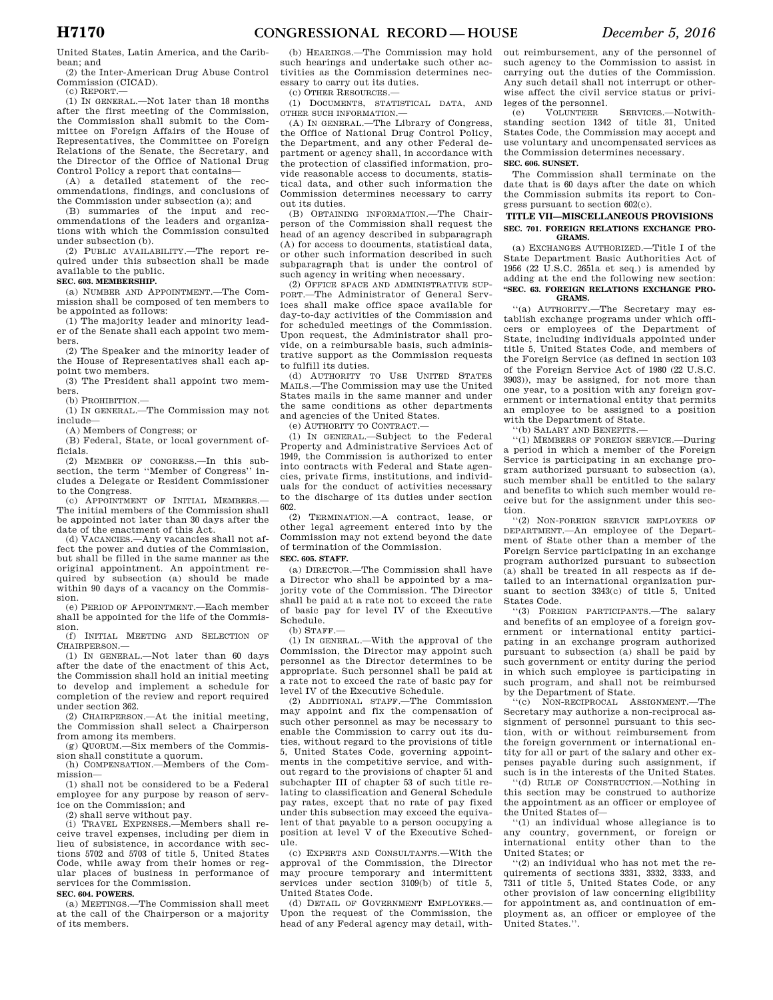United States, Latin America, and the Caribbean; and

(2) the Inter-American Drug Abuse Control Commission (CICAD).  $(c)$  REPORT $-$ 

(1) IN GENERAL.—Not later than 18 months after the first meeting of the Commission, the Commission shall submit to the Committee on Foreign Affairs of the House of Representatives, the Committee on Foreign Relations of the Senate, the Secretary, and the Director of the Office of National Drug Control Policy a report that contains—

(A) a detailed statement of the recommendations, findings, and conclusions of the Commission under subsection (a); and

(B) summaries of the input and recommendations of the leaders and organizations with which the Commission consulted under subsection (b).

(2) PUBLIC AVAILABILITY.—The report required under this subsection shall be made available to the public.

### **SEC. 603. MEMBERSHIP.**

(a) NUMBER AND APPOINTMENT —The Commission shall be composed of ten members to be appointed as follows:

(1) The majority leader and minority leader of the Senate shall each appoint two members.

(2) The Speaker and the minority leader of the House of Representatives shall each appoint two members.

(3) The President shall appoint two members.

(b) PROHIBITION.—

(1) IN GENERAL.—The Commission may not include—

(A) Members of Congress; or

(B) Federal, State, or local government officials.

(2) MEMBER OF CONGRESS.—In this subsection, the term "Member of Congress" includes a Delegate or Resident Commissioner to the Congress.

(c) APPOINTMENT OF INITIAL MEMBERS.— The initial members of the Commission shall be appointed not later than 30 days after the date of the enactment of this Act.

(d) VACANCIES.—Any vacancies shall not affect the power and duties of the Commission, but shall be filled in the same manner as the original appointment. An appointment required by subsection (a) should be made within 90 days of a vacancy on the Commission.

(e) PERIOD OF APPOINTMENT.—Each member shall be appointed for the life of the Commission.

(f) INITIAL MEETING AND SELECTION OF CHAIRPERSON.

(1) IN GENERAL.—Not later than 60 days after the date of the enactment of this Act, the Commission shall hold an initial meeting to develop and implement a schedule for completion of the review and report required under section 362.

(2) CHAIRPERSON.—At the initial meeting, the Commission shall select a Chairperson from among its members.

(g) QUORUM.—Six members of the Commission shall constitute a quorum.

(h) COMPENSATION.—Members of the Commission—

(1) shall not be considered to be a Federal employee for any purpose by reason of service on the Commission; and

(2) shall serve without pay.

(i) TRAVEL EXPENSES.—Members shall receive travel expenses, including per diem in lieu of subsistence, in accordance with sections 5702 and 5703 of title 5, United States Code, while away from their homes or regular places of business in performance of services for the Commission.

### **SEC. 604. POWERS.**

(a) MEETINGS.—The Commission shall meet at the call of the Chairperson or a majority of its members.

(b) HEARINGS.—The Commission may hold such hearings and undertake such other activities as the Commission determines necessary to carry out its duties.

(c) OTHER RESOURCES.—

(1) DOCUMENTS, STATISTICAL DATA, AND OTHER SUCH INFORMATION.—

(A) IN GENERAL.—The Library of Congress, the Office of National Drug Control Policy, the Department, and any other Federal department or agency shall, in accordance with the protection of classified information, provide reasonable access to documents, statistical data, and other such information the Commission determines necessary to carry out its duties.

(B) OBTAINING INFORMATION.—The Chairperson of the Commission shall request the head of an agency described in subparagraph (A) for access to documents, statistical data, or other such information described in such subparagraph that is under the control of such agency in writing when necessary.

(2) OFFICE SPACE AND ADMINISTRATIVE SUP-PORT.—The Administrator of General Services shall make office space available for day-to-day activities of the Commission and for scheduled meetings of the Commission. Upon request, the Administrator shall provide, on a reimbursable basis, such administrative support as the Commission requests to fulfill its duties.

(d) AUTHORITY TO USE UNITED STATES MAILS.—The Commission may use the United States mails in the same manner and under the same conditions as other departments and agencies of the United States.

(e) AUTHORITY TO CONTRACT.—

(1) IN GENERAL.—Subject to the Federal Property and Administrative Services Act of 1949, the Commission is authorized to enter into contracts with Federal and State agencies, private firms, institutions, and individuals for the conduct of activities necessary to the discharge of its duties under section 602.

(2) TERMINATION.—A contract, lease, or other legal agreement entered into by the Commission may not extend beyond the date of termination of the Commission.

### **SEC. 605. STAFF.**

(a) DIRECTOR.—The Commission shall have a Director who shall be appointed by a majority vote of the Commission. The Director shall be paid at a rate not to exceed the rate of basic pay for level IV of the Executive Schedule.

 $(b)$  STAFF.

(1) IN GENERAL.—With the approval of the Commission, the Director may appoint such personnel as the Director determines to be appropriate. Such personnel shall be paid at a rate not to exceed the rate of basic pay for level IV of the Executive Schedule.

(2) ADDITIONAL STAFF.—The Commission may appoint and fix the compensation of such other personnel as may be necessary to enable the Commission to carry out its duties, without regard to the provisions of title 5, United States Code, governing appointments in the competitive service, and without regard to the provisions of chapter 51 and subchapter III of chapter 53 of such title relating to classification and General Schedule pay rates, except that no rate of pay fixed under this subsection may exceed the equivalent of that payable to a person occupying a position at level V of the Executive Schedule.

(c) EXPERTS AND CONSULTANTS.—With the approval of the Commission, the Director may procure temporary and intermittent services under section 3109(b) of title 5, United States Code.

(d) DETAIL OF GOVERNMENT EMPLOYEES. Upon the request of the Commission, the head of any Federal agency may detail, with-

out reimbursement, any of the personnel of such agency to the Commission to assist in carrying out the duties of the Commission. Any such detail shall not interrupt or otherwise affect the civil service status or privileges of the personnel.<br>(e) VOLUNTEER

(e) VOLUNTEER SERVICES.—Notwithstanding section 1342 of title 31, United States Code, the Commission may accept and use voluntary and uncompensated services as the Commission determines necessary.

### **SEC. 606. SUNSET.**

The Commission shall terminate on the date that is 60 days after the date on which the Commission submits its report to Congress pursuant to section 602(c).

### **TITLE VII—MISCELLANEOUS PROVISIONS SEC. 701. FOREIGN RELATIONS EXCHANGE PRO-GRAMS.**

(a) EXCHANGES AUTHORIZED.—Title I of the State Department Basic Authorities Act of 1956 (22 U.S.C. 2651a et seq.) is amended by adding at the end the following new section: **''SEC. 63. FOREIGN RELATIONS EXCHANGE PRO-GRAMS.** 

''(a) AUTHORITY.—The Secretary may establish exchange programs under which officers or employees of the Department of State, including individuals appointed under title 5, United States Code, and members of the Foreign Service (as defined in section 103 of the Foreign Service Act of 1980 (22 U.S.C. 3903)), may be assigned, for not more than one year, to a position with any foreign government or international entity that permits an employee to be assigned to a position with the Department of State.

''(b) SALARY AND BENEFITS.—

''(1) MEMBERS OF FOREIGN SERVICE.—During a period in which a member of the Foreign Service is participating in an exchange program authorized pursuant to subsection (a), such member shall be entitled to the salary and benefits to which such member would receive but for the assignment under this section.

''(2) NON-FOREIGN SERVICE EMPLOYEES OF DEPARTMENT.—An employee of the Department of State other than a member of the Foreign Service participating in an exchange program authorized pursuant to subsection (a) shall be treated in all respects as if detailed to an international organization pursuant to section 3343(c) of title 5, United States Code.

''(3) FOREIGN PARTICIPANTS.—The salary and benefits of an employee of a foreign government or international entity participating in an exchange program authorized pursuant to subsection (a) shall be paid by such government or entity during the period in which such employee is participating in such program, and shall not be reimbursed by the Department of State.

''(c) NON-RECIPROCAL ASSIGNMENT.—The Secretary may authorize a non-reciprocal assignment of personnel pursuant to this section, with or without reimbursement from the foreign government or international entity for all or part of the salary and other expenses payable during such assignment, if such is in the interests of the United States.

''(d) RULE OF CONSTRUCTION.—Nothing in this section may be construed to authorize the appointment as an officer or employee of the United States of—

''(1) an individual whose allegiance is to any country, government, or foreign or international entity other than to the United States; or

''(2) an individual who has not met the requirements of sections 3331, 3332, 3333, and 7311 of title 5, United States Code, or any other provision of law concerning eligibility for appointment as, and continuation of employment as, an officer or employee of the United States.''.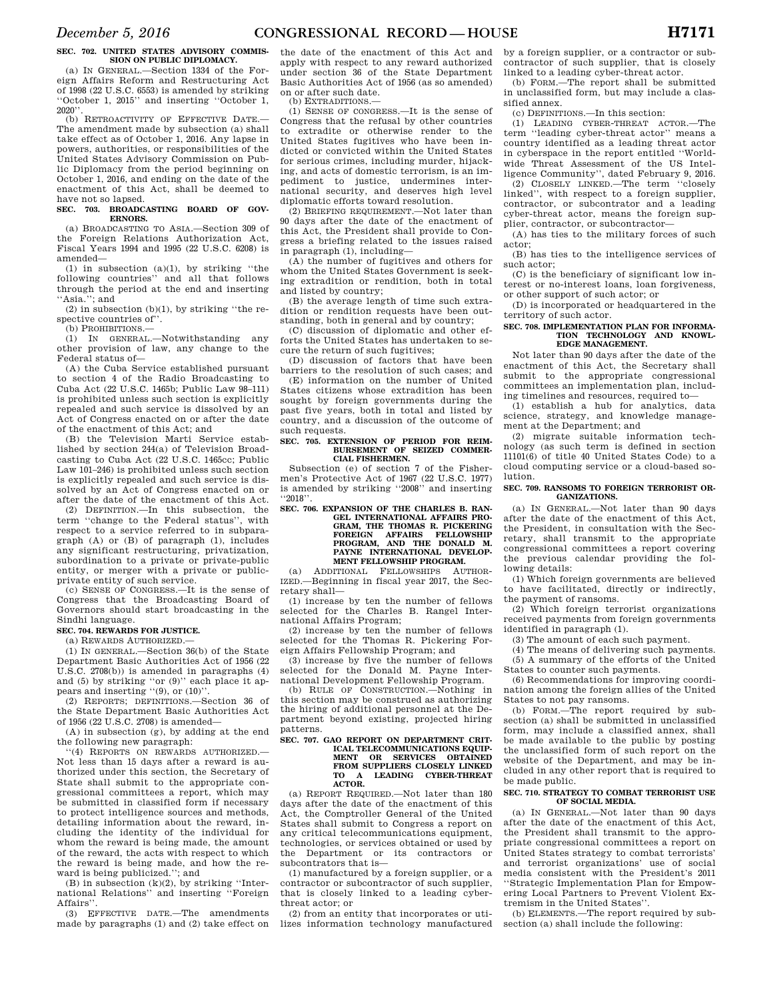### **SEC. 702. UNITED STATES ADVISORY COMMIS-SION ON PUBLIC DIPLOMACY.**

(a) IN GENERAL.—Section 1334 of the Foreign Affairs Reform and Restructuring Act of 1998 (22 U.S.C. 6553) is amended by striking ''October 1, 2015'' and inserting ''October 1,  $2020$ 

(b) RETROACTIVITY OF EFFECTIVE DATE. The amendment made by subsection (a) shall take effect as of October 1, 2016. Any lapse in powers, authorities, or responsibilities of the United States Advisory Commission on Public Diplomacy from the period beginning on October 1, 2016, and ending on the date of the enactment of this Act, shall be deemed to have not so lapsed.

### **SEC. 703. BROADCASTING BOARD OF GOV-ERNORS.**

(a) BROADCASTING TO ASIA.—Section 309 of the Foreign Relations Authorization Act, Fiscal Years 1994 and 1995 (22 U.S.C. 6208) is amended—

(1) in subsection (a)(1), by striking "the  $\,$ following countries'' and all that follows through the period at the end and inserting ''Asia.''; and

 $(2)$  in subsection  $(b)(1)$ , by striking "the respective countries of''.

(b) PROHIBITIONS.—

(1) IN GENERAL.—Notwithstanding any other provision of law, any change to the Federal status of—

(A) the Cuba Service established pursuant to section 4 of the Radio Broadcasting to Cuba Act (22 U.S.C. 1465b; Public Law 98–111) is prohibited unless such section is explicitly repealed and such service is dissolved by an Act of Congress enacted on or after the date of the enactment of this Act; and

(B) the Television Marti Service established by section 244(a) of Television Broadcasting to Cuba Act (22 U.S.C. 1465cc; Public Law 101–246) is prohibited unless such section is explicitly repealed and such service is dissolved by an Act of Congress enacted on or after the date of the enactment of this Act.

(2) DEFINITION.—In this subsection, the term ''change to the Federal status'', with respect to a service referred to in subparagraph (A) or (B) of paragraph (1), includes any significant restructuring, privatization, subordination to a private or private-public entity, or merger with a private or publicprivate entity of such service.

(c) SENSE OF CONGRESS.—It is the sense of Congress that the Broadcasting Board of Governors should start broadcasting in the Sindhi language.

### **SEC. 704. REWARDS FOR JUSTICE.**

(a) REWARDS AUTHORIZED.—

(1) IN GENERAL.—Section 36(b) of the State Department Basic Authorities Act of 1956 (22 U.S.C. 2708(b)) is amended in paragraphs (4) and (5) by striking ''or (9)'' each place it appears and inserting ''(9), or (10)''.

(2) REPORTS; DEFINITIONS.—Section 36 of the State Department Basic Authorities Act of 1956  $(22 \text{ H S C} 2708)$  is amended-

(A) in subsection (g), by adding at the end the following new paragraph:

''(4) REPORTS ON REWARDS AUTHORIZED.— Not less than 15 days after a reward is authorized under this section, the Secretary of State shall submit to the appropriate congressional committees a report, which may be submitted in classified form if necessary to protect intelligence sources and methods, detailing information about the reward, including the identity of the individual for whom the reward is being made, the amount of the reward, the acts with respect to which the reward is being made, and how the reward is being publicized.''; and

(B) in subsection (k)(2), by striking ''International Relations'' and inserting ''Foreign Affairs''.

(3) EFFECTIVE DATE.—The amendments made by paragraphs (1) and (2) take effect on

the date of the enactment of this Act and apply with respect to any reward authorized under section 36 of the State Department Basic Authorities Act of 1956 (as so amended) on or after such date.

### (b) EXTRADITIONS.—

(1) SENSE OF CONGRESS.—It is the sense of Congress that the refusal by other countries to extradite or otherwise render to the United States fugitives who have been indicted or convicted within the United States for serious crimes, including murder, hijacking, and acts of domestic terrorism, is an impediment to justice, undermines inter-national security, and deserves high level diplomatic efforts toward resolution.

(2) BRIEFING REQUIREMENT.—Not later than 90 days after the date of the enactment of this Act, the President shall provide to Congress a briefing related to the issues raised in paragraph (1), including—

(A) the number of fugitives and others for whom the United States Government is seeking extradition or rendition, both in total and listed by country;

(B) the average length of time such extradition or rendition requests have been outstanding, both in general and by country;

(C) discussion of diplomatic and other efforts the United States has undertaken to secure the return of such fugitives;

(D) discussion of factors that have been barriers to the resolution of such cases; and

(E) information on the number of United States citizens whose extradition has been sought by foreign governments during the past five years, both in total and listed by country, and a discussion of the outcome of such requests.

# **SEC. 705. EXTENSION OF PERIOD FOR REIM-BURSEMENT OF SEIZED COMMER-CIAL FISHERMEN.**

Subsection (e) of section 7 of the Fishermen's Protective Act of 1967 (22 U.S.C. 1977) is amended by striking ''2008'' and inserting ''2018''.

### SEC. 706. EXPANSION OF THE CHARLES B. RAN-**GEL INTERNATIONAL AFFAIRS PRO-GRAM, THE THOMAS R. PICKERING FOREIGN AFFAIRS FELLOWSHIP PROGRAM, AND THE DONALD M. PAYNE INTERNATIONAL DEVELOP-MENT FELLOWSHIP PROGRAM.**

(a) ADDITIONAL FELLOWSHIPS AUTHOR-IZED.—Beginning in fiscal year 2017, the Secretary shall—

(1) increase by ten the number of fellows selected for the Charles B. Rangel International Affairs Program;

(2) increase by ten the number of fellows selected for the Thomas R. Pickering Foreign Affairs Fellowship Program; and

(3) increase by five the number of fellows selected for the Donald M. Payne International Development Fellowship Program.

(b) RULE OF CONSTRUCTION.—Nothing in this section may be construed as authorizing the hiring of additional personnel at the Department beyond existing, projected hiring patterns.

### **SEC. 707. GAO REPORT ON DEPARTMENT CRIT-ICAL TELECOMMUNICATIONS EQUIP-MENT OR SERVICES OBTAINED FROM SUPPLIERS CLOSELY LINKED TO A LEADING CYBER-THREAT ACTOR.**

(a) REPORT REQUIRED.—Not later than 180 days after the date of the enactment of this Act, the Comptroller General of the United States shall submit to Congress a report on any critical telecommunications equipment, technologies, or services obtained or used by the Department or its subcontrators that is—

(1) manufactured by a foreign supplier, or a contractor or subcontractor of such supplier, that is closely linked to a leading cyberthreat actor; or

(2) from an entity that incorporates or utilizes information technology manufactured by a foreign supplier, or a contractor or subcontractor of such supplier, that is closely linked to a leading cyber-threat actor.

(b) FORM.—The report shall be submitted in unclassified form, but may include a classified annex.

(c) DEFINITIONS.—In this section:

(1) LEADING CYBER-THREAT ACTOR.—The term ''leading cyber-threat actor'' means a country identified as a leading threat actor in cyberspace in the report entitled ''Worldwide Threat Assessment of the US Intelligence Community'', dated February 9, 2016.

(2) CLOSELY LINKED.—The term ''closely linked'', with respect to a foreign supplier, contractor, or subcontrator and a leading cyber-threat actor, means the foreign supplier, contractor, or subcontractor—

(A) has ties to the military forces of such actor;

(B) has ties to the intelligence services of such actor;

(C) is the beneficiary of significant low interest or no-interest loans, loan forgiveness, or other support of such actor; or

(D) is incorporated or headquartered in the territory of such actor.

### **SEC. 708. IMPLEMENTATION PLAN FOR INFORMA-TION TECHNOLOGY AND KNOWL-EDGE MANAGEMENT.**

Not later than 90 days after the date of the enactment of this Act, the Secretary shall submit to the appropriate congressional committees an implementation plan, including timelines and resources, required to—

(1) establish a hub for analytics, data science, strategy, and knowledge management at the Department; and

(2) migrate suitable information technology (as such term is defined in section 11101(6) of title 40 United States Code) to a cloud computing service or a cloud-based solution.

### **SEC. 709. RANSOMS TO FOREIGN TERRORIST OR-GANIZATIONS.**

(a) IN GENERAL.—Not later than 90 days after the date of the enactment of this Act, the President, in consultation with the Secretary, shall transmit to the appropriate congressional committees a report covering the previous calendar providing the following details:

(1) Which foreign governments are believed to have facilitated, directly or indirectly, the payment of ransoms.

(2) Which foreign terrorist organizations received payments from foreign governments identified in paragraph (1).

(3) The amount of each such payment.

(4) The means of delivering such payments.

(5) A summary of the efforts of the United States to counter such payments.

(6) Recommendations for improving coordination among the foreign allies of the United States to not pay ransoms.

(b) FORM.—The report required by subsection (a) shall be submitted in unclassified form, may include a classified annex, shall be made available to the public by posting the unclassified form of such report on the website of the Department, and may be included in any other report that is required to be made public.

### **SEC. 710. STRATEGY TO COMBAT TERRORIST USE OF SOCIAL MEDIA.**

(a) IN GENERAL.—Not later than 90 days after the date of the enactment of this Act, the President shall transmit to the appropriate congressional committees a report on United States strategy to combat terrorists' and terrorist organizations' use of social media consistent with the President's 2011 ''Strategic Implementation Plan for Empowering Local Partners to Prevent Violent Extremism in the United States''.

(b) ELEMENTS.—The report required by subsection (a) shall include the following: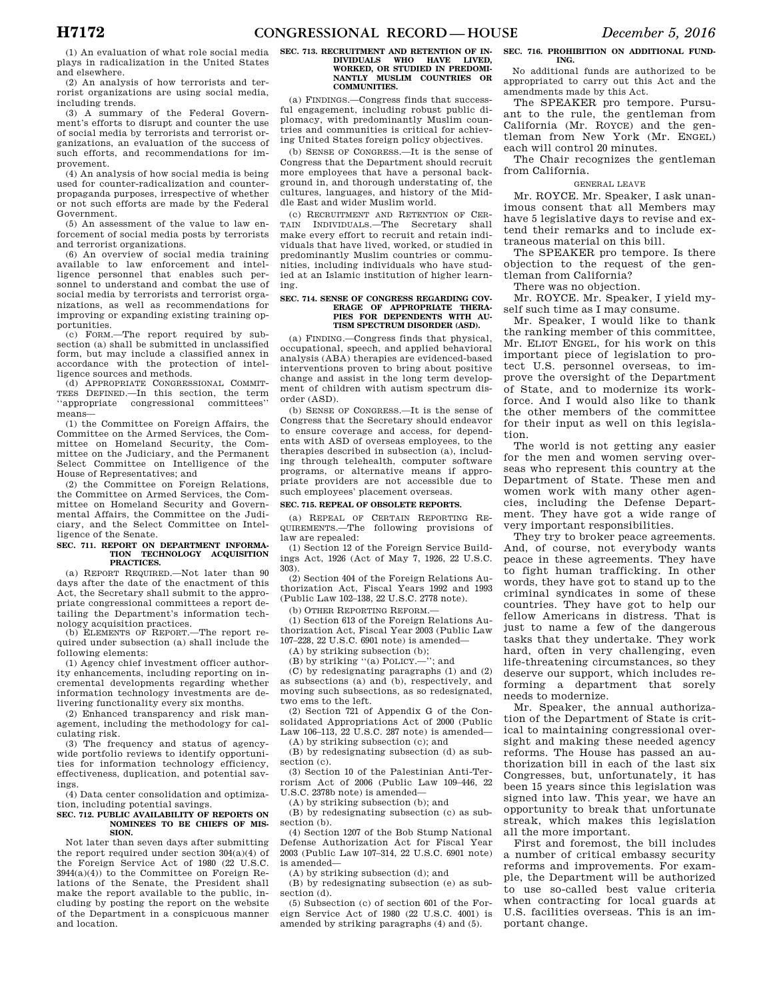(1) An evaluation of what role social media plays in radicalization in the United States and elsewhere.

(2) An analysis of how terrorists and terrorist organizations are using social media, including trends.

(3) A summary of the Federal Government's efforts to disrupt and counter the use of social media by terrorists and terrorist organizations, an evaluation of the success of such efforts, and recommendations for improvement.

(4) An analysis of how social media is being used for counter-radicalization and counterpropaganda purposes, irrespective of whether or not such efforts are made by the Federal Government.

(5) An assessment of the value to law enforcement of social media posts by terrorists and terrorist organizations.

(6) An overview of social media training available to law enforcement and intelligence personnel that enables such personnel to understand and combat the use of social media by terrorists and terrorist organizations, as well as recommendations for improving or expanding existing training opportunities.

(c) FORM.—The report required by subsection (a) shall be submitted in unclassified form, but may include a classified annex in accordance with the protection of intelligence sources and methods.

(d) APPROPRIATE CONGRESSIONAL COMMIT-TEES DEFINED.—In this section, the term ''appropriate congressional committees'' means—

(1) the Committee on Foreign Affairs, the Committee on the Armed Services, the Committee on Homeland Security, the Committee on the Judiciary, and the Permanent Select Committee on Intelligence of the House of Representatives; and

(2) the Committee on Foreign Relations, the Committee on Armed Services, the Committee on Homeland Security and Governmental Affairs, the Committee on the Judiciary, and the Select Committee on Intelligence of the Senate.

### **SEC. 711. REPORT ON DEPARTMENT INFORMA-TION TECHNOLOGY ACQUISITION PRACTICES.**

(a) REPORT REQUIRED.—Not later than 90 days after the date of the enactment of this Act, the Secretary shall submit to the appropriate congressional committees a report detailing the Department's information tech-

nology acquisition practices. (b) ELEMENTS OF REPORT.—The report required under subsection (a) shall include the following elements:

(1) Agency chief investment officer authority enhancements, including reporting on incremental developments regarding whether information technology investments are delivering functionality every six months.

(2) Enhanced transparency and risk management, including the methodology for calculating risk.

(3) The frequency and status of agencywide portfolio reviews to identify opportunities for information technology efficiency, effectiveness, duplication, and potential savings.

(4) Data center consolidation and optimization, including potential savings.

### **SEC. 712. PUBLIC AVAILABILITY OF REPORTS ON NOMINEES TO BE CHIEFS OF MIS-SION.**

Not later than seven days after submitting the report required under section 304(a)(4) of the Foreign Service Act of 1980 (22 U.S.C.  $3944(a)(4)$  to the Committee on Foreign Relations of the Senate, the President shall make the report available to the public, including by posting the report on the website of the Department in a conspicuous manner and location.

# **SEC. 713. RECRUITMENT AND RETENTION OF IN-DIVIDUALS WHO HAVE LIVED, WORKED, OR STUDIED IN PREDOMI-NANTLY MUSLIM COUNTRIES OR COMMUNITIES.**

(a) FINDINGS.—Congress finds that successful engagement, including robust public diplomacy, with predominantly Muslim countries and communities is critical for achieving United States foreign policy objectives.

(b) SENSE OF CONGRESS.—It is the sense of Congress that the Department should recruit more employees that have a personal background in, and thorough understating of, the cultures, languages, and history of the Middle East and wider Muslim world.

(c) RECRUITMENT AND RETENTION OF CER-TAIN INDIVIDUALS.—The Secretary shall make every effort to recruit and retain individuals that have lived, worked, or studied in predominantly Muslim countries or communities, including individuals who have studied at an Islamic institution of higher learning.

### **SEC. 714. SENSE OF CONGRESS REGARDING COV-ERAGE OF APPROPRIATE THERA-PIES FOR DEPENDENTS WITH AU-TISM SPECTRUM DISORDER (ASD).**

(a) FINDING.—Congress finds that physical, occupational, speech, and applied behavioral analysis (ABA) therapies are evidenced-based interventions proven to bring about positive change and assist in the long term development of children with autism spectrum disorder (ASD).

(b) SENSE OF CONGRESS.—It is the sense of Congress that the Secretary should endeavor to ensure coverage and access, for dependents with ASD of overseas employees, to the therapies described in subsection (a), including through telehealth, computer software programs, or alternative means if appropriate providers are not accessible due to such employees' placement overseas.

### **SEC. 715. REPEAL OF OBSOLETE REPORTS.**

(a) REPEAL OF CERTAIN REPORTING RE-QUIREMENTS.—The following provisions of law are repealed:

(1) Section 12 of the Foreign Service Buildings Act, 1926 (Act of May 7, 1926, 22 U.S.C. 303).

(2) Section 404 of the Foreign Relations Authorization Act, Fiscal Years 1992 and 1993 (Public Law 102–138, 22 U.S.C. 2778 note).

(b) OTHER REPORTING REFORM.—

(1) Section 613 of the Foreign Relations Authorization Act, Fiscal Year 2003 (Public Law 107–228, 22 U.S.C. 6901 note) is amended—

(A) by striking subsection (b); (B) by striking ''(a) POLICY.—''; and

(C) by redesignating paragraphs (1) and (2) as subsections (a) and (b), respectively, and moving such subsections, as so redesignated, two ems to the left.

(2) Section 721 of Appendix G of the Consolidated Appropriations Act of 2000 (Public Law 106–113, 22 U.S.C. 287 note) is amended—

(A) by striking subsection (c); and (B) by redesignating subsection (d) as subsection (c).

(3) Section 10 of the Palestinian Anti-Terrorism Act of 2006 (Public Law 109–446, 22 U.S.C. 2378b note) is amended—

(A) by striking subsection (b); and

(B) by redesignating subsection (c) as subsection (b).

(4) Section 1207 of the Bob Stump National Defense Authorization Act for Fiscal Year 2003 (Public Law 107–314, 22 U.S.C. 6901 note) is amended—

(A) by striking subsection (d); and (B) by redesignating subsection (e) as sub-

section (d). (5) Subsection (c) of section 601 of the For-

eign Service Act of 1980 (22 U.S.C. 4001) is amended by striking paragraphs (4) and (5).

### **SEC. 716. PROHIBITION ON ADDITIONAL FUND-ING.**

No additional funds are authorized to be appropriated to carry out this Act and the amendments made by this Act.

The SPEAKER pro tempore. Pursuant to the rule, the gentleman from California (Mr. ROYCE) and the gentleman from New York (Mr. ENGEL) each will control 20 minutes.

The Chair recognizes the gentleman from California.

### GENERAL LEAVE

Mr. ROYCE. Mr. Speaker, I ask unanimous consent that all Members may have 5 legislative days to revise and extend their remarks and to include extraneous material on this bill.

The SPEAKER pro tempore. Is there objection to the request of the gentleman from California?

There was no objection.

Mr. ROYCE. Mr. Speaker, I yield myself such time as I may consume.

Mr. Speaker, I would like to thank the ranking member of this committee, Mr. ELIOT ENGEL, for his work on this important piece of legislation to protect U.S. personnel overseas, to improve the oversight of the Department of State, and to modernize its workforce. And I would also like to thank the other members of the committee for their input as well on this legislation.

The world is not getting any easier for the men and women serving overseas who represent this country at the Department of State. These men and women work with many other agencies, including the Defense Department. They have got a wide range of very important responsibilities.

They try to broker peace agreements. And, of course, not everybody wants peace in these agreements. They have to fight human trafficking. In other words, they have got to stand up to the criminal syndicates in some of these countries. They have got to help our fellow Americans in distress. That is just to name a few of the dangerous tasks that they undertake. They work hard, often in very challenging, even life-threatening circumstances, so they deserve our support, which includes reforming a department that sorely needs to modernize.

Mr. Speaker, the annual authorization of the Department of State is critical to maintaining congressional oversight and making these needed agency reforms. The House has passed an authorization bill in each of the last six Congresses, but, unfortunately, it has been 15 years since this legislation was signed into law. This year, we have an opportunity to break that unfortunate streak, which makes this legislation all the more important.

First and foremost, the bill includes a number of critical embassy security reforms and improvements. For example, the Department will be authorized to use so-called best value criteria when contracting for local guards at U.S. facilities overseas. This is an important change.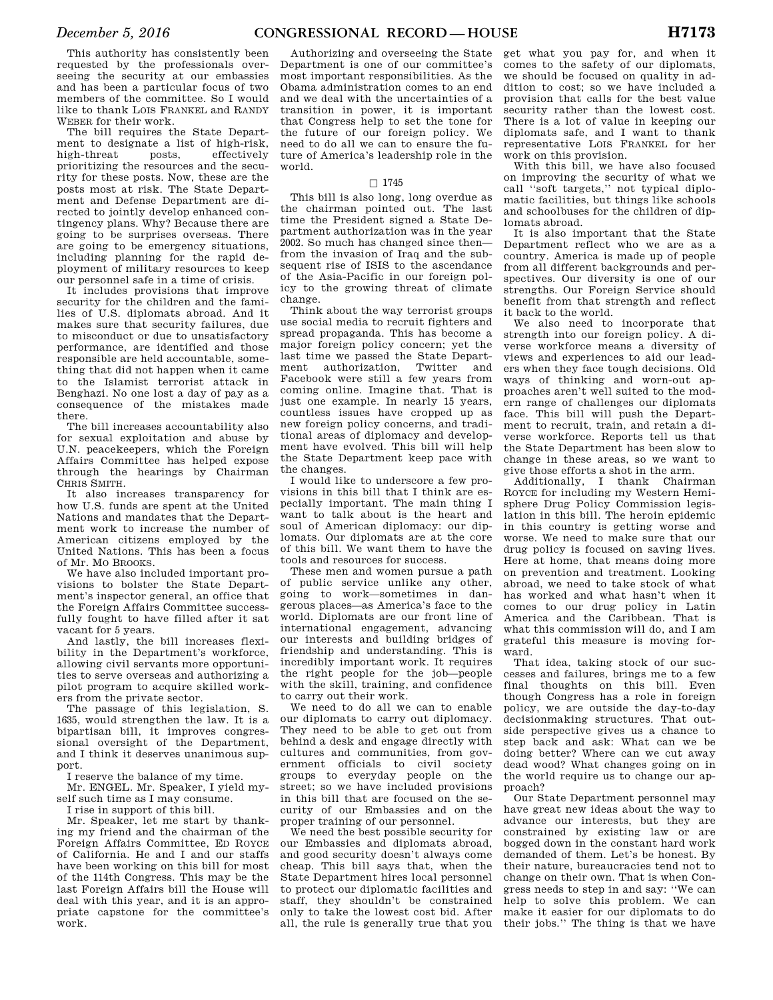This authority has consistently been requested by the professionals overseeing the security at our embassies and has been a particular focus of two members of the committee. So I would like to thank LOIS FRANKEL and RANDY WEBER for their work.

The bill requires the State Department to designate a list of high-risk, high-threat posts, effectively prioritizing the resources and the security for these posts. Now, these are the posts most at risk. The State Department and Defense Department are directed to jointly develop enhanced contingency plans. Why? Because there are going to be surprises overseas. There are going to be emergency situations, including planning for the rapid deployment of military resources to keep our personnel safe in a time of crisis.

It includes provisions that improve security for the children and the families of U.S. diplomats abroad. And it makes sure that security failures, due to misconduct or due to unsatisfactory performance, are identified and those responsible are held accountable, something that did not happen when it came to the Islamist terrorist attack in Benghazi. No one lost a day of pay as a consequence of the mistakes made there.

The bill increases accountability also for sexual exploitation and abuse by U.N. peacekeepers, which the Foreign Affairs Committee has helped expose through the hearings by Chairman CHRIS SMITH.

It also increases transparency for how U.S. funds are spent at the United Nations and mandates that the Department work to increase the number of American citizens employed by the United Nations. This has been a focus of Mr. MO BROOKS.

We have also included important provisions to bolster the State Department's inspector general, an office that the Foreign Affairs Committee successfully fought to have filled after it sat vacant for 5 years.

And lastly, the bill increases flexibility in the Department's workforce, allowing civil servants more opportunities to serve overseas and authorizing a pilot program to acquire skilled workers from the private sector.

The passage of this legislation, S. 1635, would strengthen the law. It is a bipartisan bill, it improves congressional oversight of the Department, and I think it deserves unanimous support.

I reserve the balance of my time.

Mr. ENGEL. Mr. Speaker, I yield myself such time as I may consume.

I rise in support of this bill.

Mr. Speaker, let me start by thanking my friend and the chairman of the Foreign Affairs Committee, ED ROYCE of California. He and I and our staffs have been working on this bill for most of the 114th Congress. This may be the last Foreign Affairs bill the House will deal with this year, and it is an appropriate capstone for the committee's work.

Authorizing and overseeing the State Department is one of our committee's most important responsibilities. As the Obama administration comes to an end and we deal with the uncertainties of a transition in power, it is important that Congress help to set the tone for the future of our foreign policy. We need to do all we can to ensure the future of America's leadership role in the world.

### $\Box$  1745

This bill is also long, long overdue as the chairman pointed out. The last time the President signed a State Department authorization was in the year 2002. So much has changed since then from the invasion of Iraq and the subsequent rise of ISIS to the ascendance of the Asia-Pacific in our foreign policy to the growing threat of climate change.

Think about the way terrorist groups use social media to recruit fighters and spread propaganda. This has become a major foreign policy concern; yet the last time we passed the State Department authorization, Twitter and Facebook were still a few years from coming online. Imagine that. That is just one example. In nearly 15 years, countless issues have cropped up as new foreign policy concerns, and traditional areas of diplomacy and development have evolved. This bill will help the State Department keep pace with the changes.

I would like to underscore a few provisions in this bill that I think are especially important. The main thing I want to talk about is the heart and soul of American diplomacy: our diplomats. Our diplomats are at the core of this bill. We want them to have the tools and resources for success.

These men and women pursue a path of public service unlike any other, going to work—sometimes in dangerous places—as America's face to the world. Diplomats are our front line of international engagement, advancing our interests and building bridges of friendship and understanding. This is incredibly important work. It requires the right people for the job—people with the skill, training, and confidence to carry out their work.

We need to do all we can to enable our diplomats to carry out diplomacy. They need to be able to get out from behind a desk and engage directly with cultures and communities, from government officials to civil society groups to everyday people on the street; so we have included provisions in this bill that are focused on the security of our Embassies and on the proper training of our personnel.

We need the best possible security for our Embassies and diplomats abroad, and good security doesn't always come cheap. This bill says that, when the State Department hires local personnel to protect our diplomatic facilities and staff, they shouldn't be constrained only to take the lowest cost bid. After all, the rule is generally true that you

get what you pay for, and when it comes to the safety of our diplomats, we should be focused on quality in addition to cost; so we have included a provision that calls for the best value security rather than the lowest cost. There is a lot of value in keeping our diplomats safe, and I want to thank representative LOIS FRANKEL for her work on this provision.

With this bill, we have also focused on improving the security of what we call ''soft targets,'' not typical diplomatic facilities, but things like schools and schoolbuses for the children of diplomats abroad.

It is also important that the State Department reflect who we are as a country. America is made up of people from all different backgrounds and perspectives. Our diversity is one of our strengths. Our Foreign Service should benefit from that strength and reflect it back to the world.

We also need to incorporate that strength into our foreign policy. A diverse workforce means a diversity of views and experiences to aid our leaders when they face tough decisions. Old ways of thinking and worn-out approaches aren't well suited to the modern range of challenges our diplomats face. This bill will push the Department to recruit, train, and retain a diverse workforce. Reports tell us that the State Department has been slow to change in these areas, so we want to give those efforts a shot in the arm.

Additionally, I thank Chairman ROYCE for including my Western Hemisphere Drug Policy Commission legislation in this bill. The heroin epidemic in this country is getting worse and worse. We need to make sure that our drug policy is focused on saving lives. Here at home, that means doing more on prevention and treatment. Looking abroad, we need to take stock of what has worked and what hasn't when it comes to our drug policy in Latin America and the Caribbean. That is what this commission will do, and I am grateful this measure is moving forward.

That idea, taking stock of our successes and failures, brings me to a few final thoughts on this bill. Even though Congress has a role in foreign policy, we are outside the day-to-day decisionmaking structures. That outside perspective gives us a chance to step back and ask: What can we be doing better? Where can we cut away dead wood? What changes going on in the world require us to change our approach?

Our State Department personnel may have great new ideas about the way to advance our interests, but they are constrained by existing law or are bogged down in the constant hard work demanded of them. Let's be honest. By their nature, bureaucracies tend not to change on their own. That is when Congress needs to step in and say: ''We can help to solve this problem. We can make it easier for our diplomats to do their jobs.'' The thing is that we have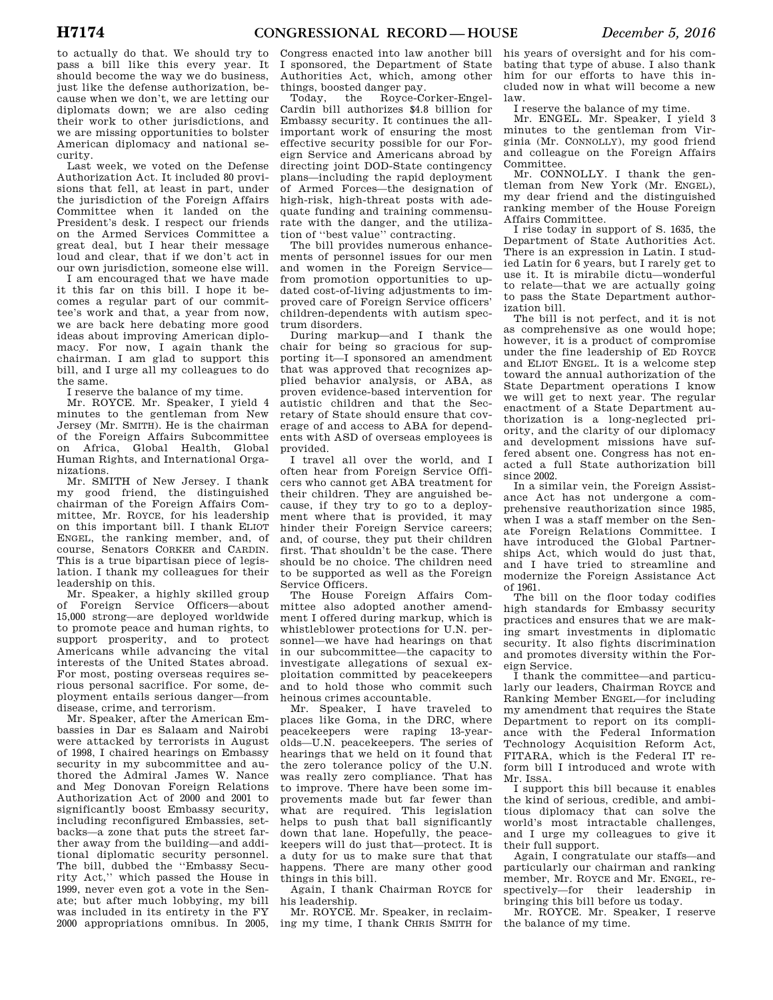to actually do that. We should try to pass a bill like this every year. It should become the way we do business, just like the defense authorization, because when we don't, we are letting our diplomats down; we are also ceding their work to other jurisdictions, and we are missing opportunities to bolster American diplomacy and national security.

Last week, we voted on the Defense Authorization Act. It included 80 provisions that fell, at least in part, under the jurisdiction of the Foreign Affairs Committee when it landed on the President's desk. I respect our friends on the Armed Services Committee a great deal, but I hear their message loud and clear, that if we don't act in our own jurisdiction, someone else will.

I am encouraged that we have made it this far on this bill. I hope it becomes a regular part of our committee's work and that, a year from now, we are back here debating more good ideas about improving American diplomacy. For now, I again thank the chairman. I am glad to support this bill, and I urge all my colleagues to do the same.

I reserve the balance of my time.

Mr. ROYCE. Mr. Speaker, I yield 4 minutes to the gentleman from New Jersey (Mr. SMITH). He is the chairman of the Foreign Affairs Subcommittee on Africa, Global Health, Global Human Rights, and International Organizations.

Mr. SMITH of New Jersey. I thank my good friend, the distinguished chairman of the Foreign Affairs Committee, Mr. ROYCE, for his leadership on this important bill. I thank ELIOT ENGEL, the ranking member, and, of course, Senators CORKER and CARDIN. This is a true bipartisan piece of legislation. I thank my colleagues for their leadership on this.

Mr. Speaker, a highly skilled group of Foreign Service Officers—about 15,000 strong—are deployed worldwide to promote peace and human rights, to support prosperity, and to protect Americans while advancing the vital interests of the United States abroad. For most, posting overseas requires serious personal sacrifice. For some, deployment entails serious danger—from disease, crime, and terrorism.

Mr. Speaker, after the American Embassies in Dar es Salaam and Nairobi were attacked by terrorists in August of 1998, I chaired hearings on Embassy security in my subcommittee and authored the Admiral James W. Nance and Meg Donovan Foreign Relations Authorization Act of 2000 and 2001 to significantly boost Embassy security, including reconfigured Embassies, setbacks—a zone that puts the street farther away from the building—and additional diplomatic security personnel. The bill, dubbed the ''Embassy Security Act,'' which passed the House in 1999, never even got a vote in the Senate; but after much lobbying, my bill was included in its entirety in the FY 2000 appropriations omnibus. In 2005,

Congress enacted into law another bill I sponsored, the Department of State Authorities Act, which, among other things, boosted danger pay.

Today, the Royce-Corker-Engel-Cardin bill authorizes \$4.8 billion for Embassy security. It continues the allimportant work of ensuring the most effective security possible for our Foreign Service and Americans abroad by directing joint DOD-State contingency plans—including the rapid deployment of Armed Forces—the designation of high-risk, high-threat posts with adequate funding and training commensurate with the danger, and the utilization of ''best value'' contracting.

The bill provides numerous enhancements of personnel issues for our men and women in the Foreign Service from promotion opportunities to updated cost-of-living adjustments to improved care of Foreign Service officers' children-dependents with autism spectrum disorders.

During markup—and I thank the chair for being so gracious for supporting it—I sponsored an amendment that was approved that recognizes applied behavior analysis, or ABA, as proven evidence-based intervention for autistic children and that the Secretary of State should ensure that coverage of and access to ABA for dependents with ASD of overseas employees is provided.

I travel all over the world, and I often hear from Foreign Service Officers who cannot get ABA treatment for their children. They are anguished because, if they try to go to a deployment where that is provided, it may hinder their Foreign Service careers; and, of course, they put their children first. That shouldn't be the case. There should be no choice. The children need to be supported as well as the Foreign Service Officers.

The House Foreign Affairs Committee also adopted another amendment I offered during markup, which is whistleblower protections for U.N. personnel—we have had hearings on that in our subcommittee—the capacity to investigate allegations of sexual exploitation committed by peacekeepers and to hold those who commit such heinous crimes accountable.

Mr. Speaker, I have traveled to places like Goma, in the DRC, where peacekeepers were raping 13-yearolds—U.N. peacekeepers. The series of hearings that we held on it found that the zero tolerance policy of the U.N. was really zero compliance. That has to improve. There have been some improvements made but far fewer than what are required. This legislation helps to push that ball significantly down that lane. Hopefully, the peacekeepers will do just that—protect. It is a duty for us to make sure that that happens. There are many other good things in this bill.

Again, I thank Chairman ROYCE for his leadership.

Mr. ROYCE. Mr. Speaker, in reclaiming my time, I thank CHRIS SMITH for his years of oversight and for his combating that type of abuse. I also thank him for our efforts to have this included now in what will become a new law.

I reserve the balance of my time.

Mr. ENGEL. Mr. Speaker, I yield 3 minutes to the gentleman from Virginia (Mr. CONNOLLY), my good friend and colleague on the Foreign Affairs Committee.

Mr. CONNOLLY. I thank the gentleman from New York (Mr. ENGEL), my dear friend and the distinguished ranking member of the House Foreign Affairs Committee.

I rise today in support of S. 1635, the Department of State Authorities Act. There is an expression in Latin. I studied Latin for 6 years, but I rarely get to use it. It is mirabile dictu—wonderful to relate—that we are actually going to pass the State Department authorization bill.

The bill is not perfect, and it is not as comprehensive as one would hope; however, it is a product of compromise under the fine leadership of ED ROYCE and ELIOT ENGEL. It is a welcome step toward the annual authorization of the State Department operations I know we will get to next year. The regular enactment of a State Department authorization is a long-neglected priority, and the clarity of our diplomacy and development missions have suffered absent one. Congress has not enacted a full State authorization bill since 2002.

In a similar vein, the Foreign Assistance Act has not undergone a comprehensive reauthorization since 1985, when I was a staff member on the Senate Foreign Relations Committee. I have introduced the Global Partnerships Act, which would do just that, and I have tried to streamline and modernize the Foreign Assistance Act of 1961.

The bill on the floor today codifies high standards for Embassy security practices and ensures that we are making smart investments in diplomatic security. It also fights discrimination and promotes diversity within the Foreign Service.

I thank the committee—and particularly our leaders, Chairman ROYCE and Ranking Member ENGEL—for including my amendment that requires the State Department to report on its compliance with the Federal Information Technology Acquisition Reform Act, FITARA, which is the Federal IT reform bill I introduced and wrote with Mr. ISSA.

I support this bill because it enables the kind of serious, credible, and ambitious diplomacy that can solve the world's most intractable challenges, and I urge my colleagues to give it their full support.

Again, I congratulate our staffs—and particularly our chairman and ranking member, Mr. ROYCE and Mr. ENGEL, respectively—for their leadership in bringing this bill before us today.

Mr. ROYCE. Mr. Speaker, I reserve the balance of my time.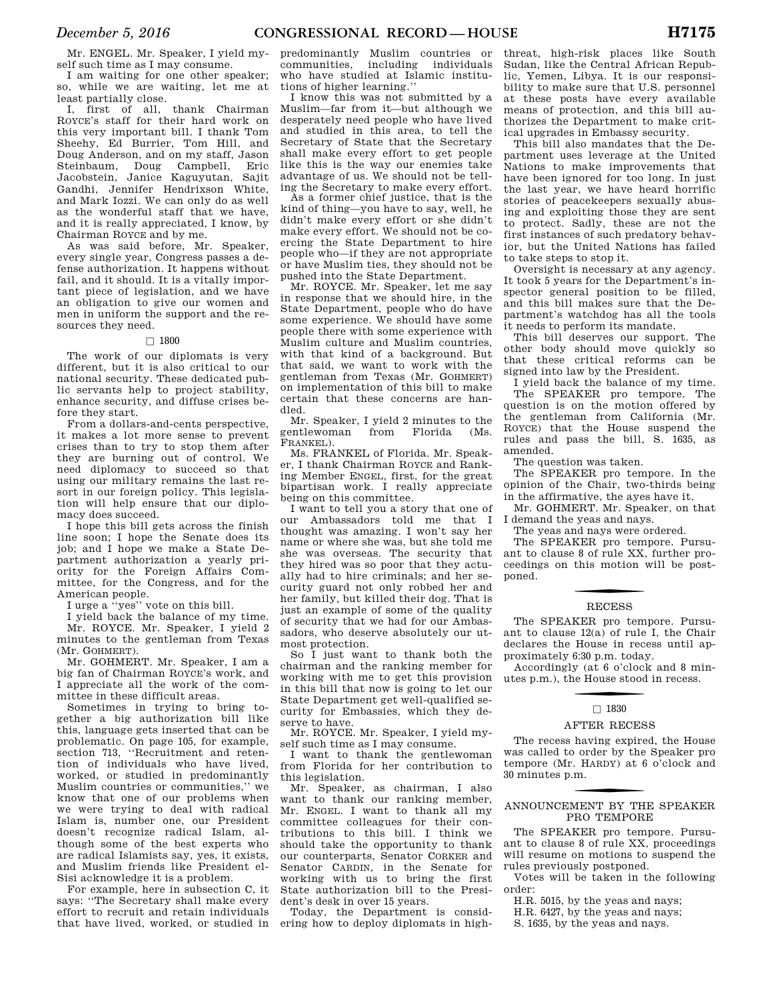Mr. ENGEL. Mr. Speaker, I yield myself such time as I may consume.

I am waiting for one other speaker; so, while we are waiting, let me at least partially close.

I, first of all, thank Chairman ROYCE's staff for their hard work on this very important bill. I thank Tom Sheehy, Ed Burrier, Tom Hill, and Doug Anderson, and on my staff, Jason Steinbaum, Doug Campbell, Eric Jacobstein, Janice Kaguyutan, Sajit Gandhi, Jennifer Hendrixson White, and Mark Iozzi. We can only do as well as the wonderful staff that we have, and it is really appreciated, I know, by Chairman ROYCE and by me.

As was said before, Mr. Speaker, every single year, Congress passes a defense authorization. It happens without fail, and it should. It is a vitally important piece of legislation, and we have an obligation to give our women and men in uniform the support and the resources they need.

### $\Box$  1800

The work of our diplomats is very different, but it is also critical to our national security. These dedicated public servants help to project stability, enhance security, and diffuse crises before they start.

From a dollars-and-cents perspective, it makes a lot more sense to prevent crises than to try to stop them after they are burning out of control. We need diplomacy to succeed so that using our military remains the last resort in our foreign policy. This legislation will help ensure that our diplomacy does succeed.

I hope this bill gets across the finish line soon; I hope the Senate does its job; and I hope we make a State Department authorization a yearly priority for the Foreign Affairs Committee, for the Congress, and for the American people.

I urge a ''yes'' vote on this bill.

I yield back the balance of my time. Mr. ROYCE. Mr. Speaker, I yield 2 minutes to the gentleman from Texas (Mr. GOHMERT).

Mr. GOHMERT. Mr. Speaker, I am a big fan of Chairman ROYCE's work, and I appreciate all the work of the committee in these difficult areas.

Sometimes in trying to bring together a big authorization bill like this, language gets inserted that can be problematic. On page 105, for example, section 713, ''Recruitment and retention of individuals who have lived, worked, or studied in predominantly Muslim countries or communities,'' we know that one of our problems when we were trying to deal with radical Islam is, number one, our President doesn't recognize radical Islam, although some of the best experts who are radical Islamists say, yes, it exists, and Muslim friends like President el-Sisi acknowledge it is a problem.

For example, here in subsection C, it says: ''The Secretary shall make every effort to recruit and retain individuals that have lived, worked, or studied in

predominantly Muslim countries or communities, including individuals who have studied at Islamic institutions of higher learning.''

I know this was not submitted by a Muslim—far from it—but although we desperately need people who have lived and studied in this area, to tell the Secretary of State that the Secretary shall make every effort to get people like this is the way our enemies take advantage of us. We should not be telling the Secretary to make every effort.

As a former chief justice, that is the kind of thing—you have to say, well, he didn't make every effort or she didn't make every effort. We should not be coercing the State Department to hire people who—if they are not appropriate or have Muslim ties, they should not be pushed into the State Department.

Mr. ROYCE. Mr. Speaker, let me say in response that we should hire, in the State Department, people who do have some experience. We should have some people there with some experience with Muslim culture and Muslim countries, with that kind of a background. But that said, we want to work with the gentleman from Texas (Mr. GOHMERT) on implementation of this bill to make certain that these concerns are handled.

Mr. Speaker, I yield 2 minutes to the gentlewoman from Florida (Ms. FRANKEL).

Ms. FRANKEL of Florida. Mr. Speaker, I thank Chairman ROYCE and Ranking Member ENGEL, first, for the great bipartisan work. I really appreciate being on this committee.

I want to tell you a story that one of our Ambassadors told me that I thought was amazing. I won't say her name or where she was, but she told me she was overseas. The security that they hired was so poor that they actually had to hire criminals; and her security guard not only robbed her and her family, but killed their dog. That is just an example of some of the quality of security that we had for our Ambassadors, who deserve absolutely our utmost protection.

So I just want to thank both the chairman and the ranking member for working with me to get this provision in this bill that now is going to let our State Department get well-qualified security for Embassies, which they deserve to have.

Mr. ROYCE. Mr. Speaker, I yield myself such time as I may consume.

I want to thank the gentlewoman from Florida for her contribution to this legislation.

Mr. Speaker, as chairman, I also want to thank our ranking member, Mr. ENGEL. I want to thank all my committee colleagues for their contributions to this bill. I think we should take the opportunity to thank our counterparts, Senator CORKER and Senator CARDIN, in the Senate for working with us to bring the first State authorization bill to the President's desk in over 15 years.

Today, the Department is considering how to deploy diplomats in high-

threat, high-risk places like South Sudan, like the Central African Republic, Yemen, Libya. It is our responsibility to make sure that U.S. personnel at these posts have every available means of protection, and this bill authorizes the Department to make critical upgrades in Embassy security.

This bill also mandates that the Department uses leverage at the United Nations to make improvements that have been ignored for too long. In just the last year, we have heard horrific stories of peacekeepers sexually abusing and exploiting those they are sent to protect. Sadly, these are not the first instances of such predatory behavior, but the United Nations has failed to take steps to stop it.

Oversight is necessary at any agency. It took 5 years for the Department's inspector general position to be filled, and this bill makes sure that the Department's watchdog has all the tools it needs to perform its mandate.

This bill deserves our support. The other body should move quickly so that these critical reforms can be signed into law by the President.

I yield back the balance of my time. The SPEAKER pro tempore. The question is on the motion offered by the gentleman from California (Mr. ROYCE) that the House suspend the rules and pass the bill, S. 1635, as amended.

The question was taken.

The SPEAKER pro tempore. In the opinion of the Chair, two-thirds being in the affirmative, the ayes have it.

Mr. GOHMERT. Mr. Speaker, on that I demand the yeas and nays.

The yeas and nays were ordered.

The SPEAKER pro tempore. Pursuant to clause 8 of rule XX, further proceedings on this motion will be postponed.

# **RECESS**

The SPEAKER pro tempore. Pursuant to clause 12(a) of rule I, the Chair declares the House in recess until approximately 6:30 p.m. today.

Accordingly (at 6 o'clock and 8 minutes p.m.), the House stood in recess.

# $\square$  1830

### AFTER RECESS

The recess having expired, the House was called to order by the Speaker pro tempore (Mr. HARDY) at 6 o'clock and 30 minutes p.m.

# ANNOUNCEMENT BY THE SPEAKER PRO TEMPORE

The SPEAKER pro tempore. Pursuant to clause 8 of rule XX, proceedings will resume on motions to suspend the rules previously postponed.

Votes will be taken in the following order:

H.R. 5015, by the yeas and nays;

H.R. 6427, by the yeas and nays;

S. 1635, by the yeas and nays.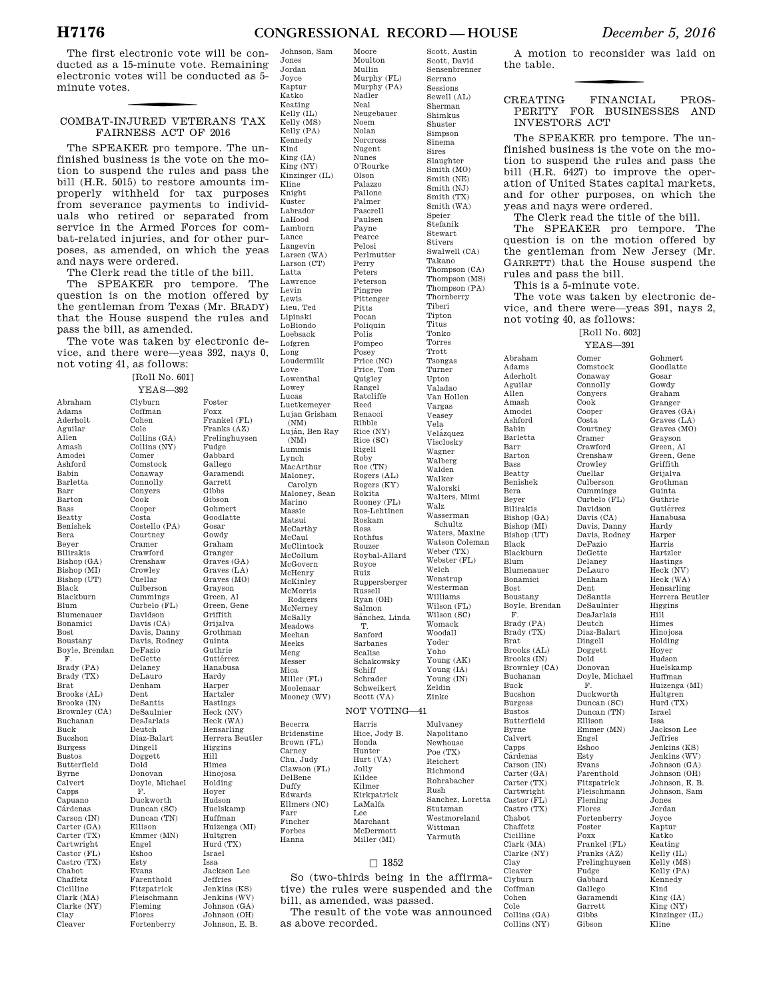### **H7176 CONGRESSIONAL RECORD — HOUSE** *December 5, 2016*

The first electronic vote will be conducted as a 15-minute vote. Remaining electronic votes will be conducted as 5 minute votes.

# f COMBAT-INJURED VETERANS TAX FAIRNESS ACT OF 2016

The SPEAKER pro tempore. The unfinished business is the vote on the motion to suspend the rules and pass the bill (H.R. 5015) to restore amounts improperly withheld for tax purposes from severance payments to individuals who retired or separated from service in the Armed Forces for combat-related injuries, and for other purposes, as amended, on which the yeas and nays were ordered.

The Clerk read the title of the bill.

The SPEAKER pro tempore. The question is on the motion offered by the gentleman from Texas (Mr. BRADY) that the House suspend the rules and pass the bill, as amended.

The vote was taken by electronic device, and there were—yeas 392, nays 0, not voting 41, as follows:

[Roll No. 601]

Cole

F.

Flores Fortenberry

Johnson (OH) Johnson, E. B.

Abraham Adams Aderholt Aguilar Allen Amash Amodei Ashford Babin Barletta Barr Barton Bass Beatty Benishek Bera Beyer Bilirakis Bishop (GA) Bishop (MI) Bishop (UT) Black Blackburn Blum Blumenauer Bonamici Bost Boustany Boyle, Brendan F. Brady (PA) Brady (TX) Brat Brooks (AL) Brooks (IN) Brownley (CA) Buchanan Buck Bucshon Burgess Bustos Butterfield Byrne Calvert Capps Capuano Cardenas Carson (IN) Carter (GA) Carter (TX) Cartwright Castor (FL) Castro (TX) Chabot Chaffetz Cicilline Clark (MA) Clarke (NY) Clay Cleaver

YEAS—392 Clyburn Coffman Cohen Collins (GA) Collins (NY) Comer Comstock Conaway Connolly Conyers Cook Cooper Costa Costello (PA) Courtney Cramer Crawford Crenshaw Crowley Cuellar Culberson Cummings Curbelo (FL) Davidson Davis (CA) Davis, Danny Davis, Rodney DeFazio DeGette Delaney DeLauro Denham Dent DeSantis DeSaulnier DesJarlais Deutch Diaz-Balart Dingell Doggett Dold Donovan Doyle, Michael Duckworth Duncan (SC) Duncan (TN) Ellison Emmer (MN) Engel Eshoo Esty Evans Farenthold Fitzpatrick Fleischmann Fleming Foster Foxx Frankel (FL) Franks (AZ) Frelinghuysen Fudge Gabbard Gallego Garamendi Garrett Gibbs Gibson Gohmert Goodlatte Gosar Gowdy Graham Granger Graves (GA) Graves (LA) Graves (MO) Grayson Green, Al Green, Gene Griffith Grijalva Grothman Guinta Guthrie Gutiérrez Hanabusa Hardy Harper Hartzler Hastings Heck (NV) Heck (WA) Hensarling Herrera Beutler Higgins Hill Himes Hinojosa Holding Hoyer Hudson Huelskamp Huffman Huizenga (MI) Hultgren Hurd (TX) Israel Issa Jackson Lee Jeffries Jenkins (KS) Jenkins (WV) Johnson (GA)

Johnson, Sam Jones Jordan Joyce Kaptur Katko Keating Kelly (IL) Kelly (MS) Kelly (PA) Kennedy Kind King (IA) King (NY) Kinzinger (IL) Kline Knight Kuster Labrador LaHood Lamborn Lance Langevin Larsen (WA) Larson (CT) Latta Lawrence Levin Lewis Lieu, Ted Lipinski LoBiondo Loebsack Lofgren Long Loudermilk Love Lowenthal Lowey Lucas Luetkemeyer  $(NM)$ (NM) Lummis Lynch MacArthur Maloney, Carolyn Maloney, Sean Marino Massie Matsui McCarthy McCaul McClintock McCollum McGovern McHenry McKinley McMorris Rodgers McNerney McSally Meadows Meehan Meeks Meng Messer Mica Miller (FL) Moolenaar Mooney (WV) Becerra Bridenstine Brown (FL) Carney Chu, Judy Clawson (FL) DelBene Duffy Edwards Ellmers (NC) Farr Fincher Forbes Hanna

Lujan Grisham Luján, Ben Ray Mullin Nadler Neal Noem Nolan Nugent Nunes Olson Palmer Payne Pearce Pelosi Perry Peters Pitts Pocan Polis Quigley Rangel Reed Ribble Rigell Roby Rokita Ross Rouzer Royce Ruiz Russell T. Schiff Harris Honda Hunter Jolly Kildee Kilmer Lee

Moore Moulton Murphy (FL) Murphy (PA) Neugebauer Norcross O'Rourke Palazzo Pallone Pascrell Paulsen Perlmutter Peterson Pingree Pittenger Poliquin Pompeo Posey Price (NC) Price, Tom Ratcliffe Renacci Rice (NY) Rice (SC) Roe (TN) Rogers (AL) Rogers (KY) Rooney (FL) Ros-Lehtinen Roskam Rothfus Roybal-Allard Ruppersberger Ryan (OH) Salmon Sánchez, Linda Sanford Sarbanes Scalise Schakowsky Schrader Schweikert Scott (VA) Scott, Austin NOT VOTING—41 Hice, Jody B. Hurt (VA) Kirkpatrick LaMalfa Marchant McDermott Miller (MI)

Scott, David Sensenbrenner Serrano Sessions Sewell (AL) Sherman Shimkus Shuster Simpson Sinema Sires Slaughter Smith (MO) Smith (NE) Smith (NJ) Smith (TX) Smith (WA) Speier Stefanik Stewart Stivers Swalwell (CA) Takano Thompson (CA) Thompson (MS) Thompson (PA) Thornberry Tiberi Tipton Titus Tonko Torres Trott Tsongas Turner Upton Valadao Van Hollen Vargas Veasey Vela Velázquez Visclosky Wagner Walberg Walden Walker Walorski Walters, Mimi Walz Wasserman Schultz Waters, Maxine Watson Coleman Weber (TX) Webster (FL) Welch Wenstrup Westerman Williams Wilson (FL) Wilson (SC) Womack Woodall Yoder Yoho Young (AK) Young (IA) Young (IN) Zeldin Zinke Mulvaney Napolitano Newhouse Poe (TX) Reichert Richmond Rohrabacher Rush Sanchez, Loretta Stutzman Westmoreland Wittman Yarmuth

### $\Box$  1852

So (two-thirds being in the affirmative) the rules were suspended and the bill, as amended, was passed.

The result of the vote was announced as above recorded.

A motion to reconsider was laid on the table.

### CREATING FINANCIAL PROS-<br>PERITY FOR BUSINESSES AND PERITY FOR BUSINESSES INVESTORS ACT

The SPEAKER pro tempore. The unfinished business is the vote on the motion to suspend the rules and pass the bill (H.R. 6427) to improve the operation of United States capital markets, and for other purposes, on which the yeas and nays were ordered.

The Clerk read the title of the bill.

The SPEAKER pro tempore. The question is on the motion offered by the gentleman from New Jersey (Mr. GARRETT) that the House suspend the rules and pass the bill.

This is a 5-minute vote.

Comer Comstock Conaway Connolly Conyers Cook Cooper Costa Courtney Cramer Crawford Crenshaw Crowley Cuellar Culberson Cummings Curbelo (FL) Davidson Davis (CA) Davis, Danny Davis, Rodney DeFazio DeGette Delaney DeLauro Denham Dent DeSantis DeSaulnier DesJarlais Deutch Diaz-Balart Dingell Doggett Dold Donovan Doyle, Michael F. Duckworth Duncan (SC) Duncan (TN) Ellison Emmer (MN) Engel Eshoo Esty Evans Farenthold Fitzpatrick Fleischmann Fleming Flores Fortenberry Foster Foxx Frankel (FL) Franks (AZ) Frelinghuysen Fudge Gabbard Gallego Garamendi Garrett Gibbs Gibson

Abraham

The vote was taken by electronic device, and there were—yeas 391, nays 2, not voting 40, as follows:

> [Roll No. 602] YEAS—391

Adams Aderholt Aguilar Allen Amash Amodei Ashford Babin Barletta Barr Barton Bass Beatty Benishek Bera Beyer Bilirakis Bishop (GA) Bishop (MI) Bishop (UT) Black Blackburn Blum Blumenauer Bonamici Bost Boustany Boyle, Brendan F. Brady (PA) Brady (TX) Brat Brooks (AL) Brooks (IN) Brownley (CA) Buchanan Buck Bucshon Burgess Bustos Butterfield Byrne Calvert Capps Cárdenas Carson (IN) Carter (GA) Carter (TX) Cartwright Castor (FL) Castro (TX) Chabot Chaffetz Cicilline Clark (MA) Clarke (NY) Clay Cleaver Clyburn Coffman Cohen Cole  $Collins (GA)$ Collins (NY)

Gohmert Goodlatte Gosar Gowdy Graham Granger Graves (GA) Graves (LA) Graves (MO) Grayson Green, Al Green, Gene Griffith Grijalva Grothman Guinta Guthrie Gutiérrez Hanabusa Hardy Harper Harris Hartzler Hastings Heck (NV) Heck (WA) Hensarling Herrera Beutler Higgins Hill Himes Hinojosa Holding Hoyer Hudson Huelskamp Huffman Huizenga (MI) Hultgren Hurd (TX) Israel Issa Jackson Lee Jeffries Jenkins (KS) Jenkins (WV) Johnson (GA) Johnson (OH) Johnson, E. B. Johnson, Sam Jones Jordan Joyce Kaptur Katko Keating Kelly (IL) Kelly (MS) Kelly (PA) Kennedy Kind King (IA) King (NY) Kinzinger (IL)

Kline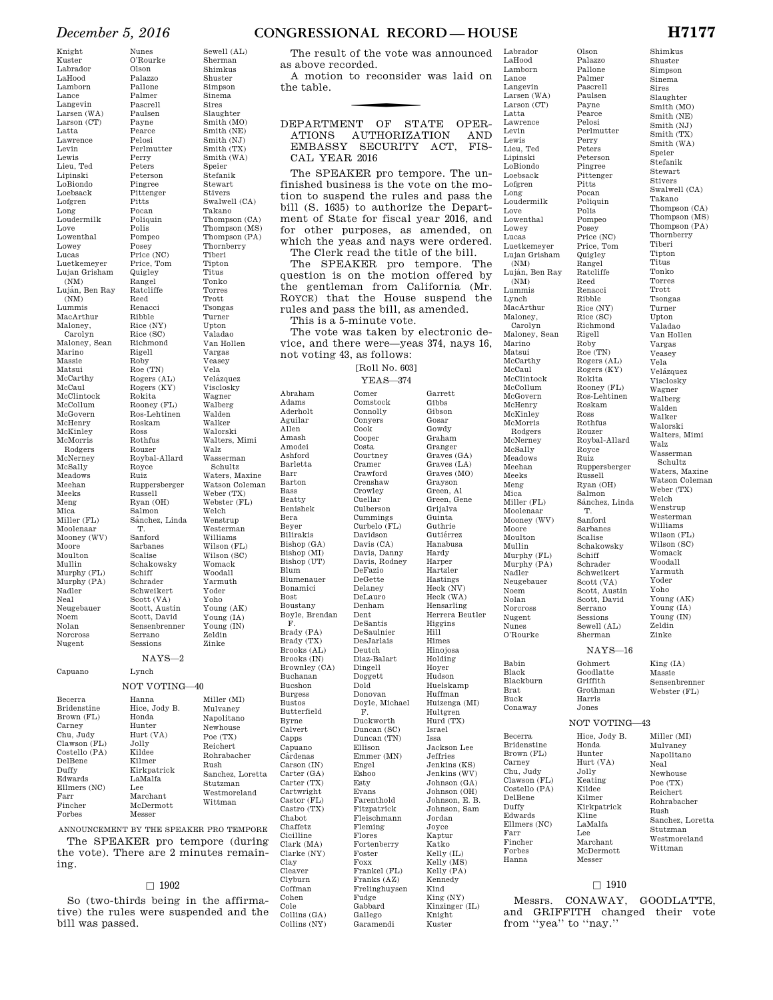# *December 5, 2016* **CONGRESSIONAL RECORD — HOUSE H7177**

Knight Kuster Labrador LaHood Lamborn **Lance** Langevin Larsen (WA) Larson (CT) Latta Lawrence Levin Lewis Lieu, Ted Lipinski LoBiondo Loebsack Lofgren Long Loudermilk Love Lowenthal Lowey Lucas Luetkemeyer Lujan Grisham (NM) Luján, Ben Ray  $(NM)$ Lummis MacArthur Maloney, Carolyn Maloney, Sean Marino Massie Matsui McCarthy McCaul McClintock McCollum McGovern McHenry McKinley McMorris Rodgers McNerney McSally Meadows Meehan Meeks Meng Mica Miller (FL) Moolenaar Mooney (WV) Moore Moulton Mullin Murphy (FL) Murphy (PA) Nadler Neal Neugebauer Noem Nolan Norcross Nugent Capuano Lynch Becerra

Bridenstine Brown (FL) Carney Chu, Judy Clawson (FL) Costello (PA) DelBene Duffy Edwards Ellmers (NC) Farr Fincher Forbes

Nunes

Sewell (AL)

Olson Palazzo Pallone Palmer Pascrell Paulsen Payne Pearce Pelosi

Perry Peters

Pingree

Pitts Pocan

Polis Pompeo

Quigley Rangel Ratcliffe Reed Renacci Ribble

Rigell

Rokita

Roskam Ross Rothfus Rouzer

Royce Ruiz

Russell

Salmon

T. Sanford

Scalise

Schiff

Serrano Sessions

Hanna

Honda Hunter

Jolly Kildee Kilmer

LaMalfa Lee

Messer

O'Rourke Perlmutter Peterson Pittenger Poliquin Posey Price (NC) Price, Tom Rice (NY) Rice (SC) Richmond Roby Roe (TN) Rogers (AL) Rogers (KY) Rooney (FL) Ros-Lehtinen Roybal-Allard Ruppersberger Ryan (OH) Sánchez, Linda Sarbanes Schakowsky Schrader Schweikert Scott (VA) Scott, Austin Scott, David Sensenbrenner Sherman Shimkus Shuster Simpson Sinema Sires Slaughter Smith (MO) Smith (NE) Smith (NJ) Smith (TX) Smith (WA) Speier Stefanik Stewart Stivers Swalwell (CA) Takano Thompson (CA) Thompson (MS) Thompson (PA) Thornberry Tiberi Tipton Titus Tonko Torres Trott Tsongas Turner Upton Valadao Van Hollen Vargas Veasey Vela Velázquez Visclosky Wagner Walberg Walden Walker Walorski Walters, Mimi Walz Wasserman Schultz Waters, Maxine Watson Coleman Weber (TX) Webster (FL) Welch Wenstrup Westerman Williams Wilson (FL) Wilson (SC) Womack Woodall Yarmuth Yoder Yoho Young (AK) Young (IA) Young (IN) Zeldin Zinke NAYS—2 NOT VOTING—40 Hice, Jody B. Hurt (VA) Kirkpatrick Marchant McDermott Miller (MI) Mulvaney Napolitano Newhouse Poe (TX) Reichert Rohrabacher Rush Sanchez, Loretta Stutzman Westmoreland Wittman

ANNOUNCEMENT BY THE SPEAKER PRO TEMPORE The SPEAKER pro tempore (during the vote). There are 2 minutes remaining.

### $\Box$  1902

So (two-thirds being in the affirmative) the rules were suspended and the bill was passed.

The result of the vote was announced as above recorded.

A motion to reconsider was laid on the table.

DEPARTMENT OF STATE OPER-ATIONS AUTHORIZATION AND EMBASSY SECURITY ACT, FIS-CAL YEAR 2016

The SPEAKER pro tempore. The unfinished business is the vote on the motion to suspend the rules and pass the bill (S. 1635) to authorize the Department of State for fiscal year 2016, and for other purposes, as amended, on which the yeas and nays were ordered.

The Clerk read the title of the bill. The SPEAKER pro tempore. The question is on the motion offered by the gentleman from California (Mr. ROYCE) that the House suspend the rules and pass the bill, as amended.

This is a 5-minute vote.

Abraham Adams Aderholt Aguilar Allen Amash Amodei Ashford Barletta Barr Barton Bass Beatty Benishek Bera Beyer Bilirakis

Blum

F. Brady (PA) Brady (TX)

Bonamici Bost Boustany

Brooks (IN)

Buchanan Bucshon Burgess Bustos Butterfield Byrne Calvert Capps Capuano Cardenas Carson (IN)

Carter (TX) Cartwright Castor (FL) Castro (TX) Chabot Chaffetz Cicilline Clark (MA) Clarke (NY) Clay Cleaver Clyburn Coffman Cohen Cole

The vote was taken by electronic device, and there were—yeas 374, nays 16, not voting 43, as follows:

[Roll No. 603]

### YEAS—374 Bishop (GA) Bishop (MI) Bishop (UT) Blumenauer Boyle, Brendan Brooks (AL) Brownley (CA) Carter (GA) Collins (GA) Collins (NY) Comer Comstock Connolly Conyers Cook Cooper Costa Courtney Cramer Crawford Crenshaw Crowley Cuellar Culberson Cummings Curbelo (FL) Davidson Davis (CA) Davis, Danny Davis, Rodney DeFazio DeGette Delaney DeLauro Denham Dent DeSantis DeSaulnier DesJarlais Deutch Diaz-Balart Dingell Doggett Dold Donovan Doyle, Michael F. Duckworth Duncan (SC) Duncan (TN) Ellison Emmer (MN) Engel Eshoo Esty Evans Farenthold Fitzpatrick Fleischmann Fleming Flores Fortenberry Foster Foxx Frankel (FL) Franks (AZ) Frelinghuysen Fudge Gabbard Gallego Garamendi

Garrett Gibbs Gibson Gosar Gowdy Graham Granger Graves (GA) Graves (LA) Graves (MO) Grayson Green, Al Green, Gene Grijalva Guinta Guthrie Gutiérrez Hanabusa Hardy Harper Hartzler Hastings Heck (NV) Heck (WA) Hensarling Herrera Beutler Higgins Hill Himes Hinojosa Holding Hoyer Hudson Huelskamp Huffman Huizenga (MI) Hultgren Hurd (TX) Israel Issa Jackson Lee Jeffries Jenkins (KS) Jenkins (WV) Johnson (GA) Johnson (OH) Johnson, E. B. Johnson, Sam Jordan Joyce Kaptur Katko Kelly (IL) Kelly (MS) Kelly (PA) Kennedy Kind King (NY) Kinzinger (IL) Knight Kuster Hanna

Labrador LaHood Lamborn Lance Langevin Larsen (WA) Larson (CT) Latta Lawrence Levin Lewis Lieu, Ted Lipinski LoBiondo Loebsack Lofgren Long Loudermilk Love Lowenthal Lowey Lucas Luetkemeyer Lujan Grisham (NM) Luján, Ben Ray (NM) Lummis Lynch MacArthur Maloney, Carolyn Maloney, Sean Marino Matsui McCarthy McCaul McClintock McCollum McGovern McHenry McKinley McMorris Rodgers McNerney McSally Meadows Meehan Meeks Meng Mica Miller (FL) Moolenaar Mooney (WV) Moore Moulton Mullin Murphy (FL) Murphy (PA) Nadler Neugebauer Noem Nolan Norcross Nugent Nunes O'Rourke Babin Black Blackburn Brat Buck Conaway Becerra Bridenstine

Brown (FL) Carney Chu, Judy Clawson (FL) Costello (PA) DelBene Duffy Edwards Ellmers (NC) Farr Fincher Forbes

Shimkus Shuster Simpson Sinema Sires Slaughter Smith (MO) Smith (NE) Smith (NJ) Smith (TX) Smith (WA) Speier Stefanik Stewart Stivers Swalwell (CA) Takano Thompson (CA) Thompson (MS) Thompson (PA) Thornberry Tiberi Tipton Titus Tonko Torres Trott Tsongas

Turner Upton Valadao Van Hollen Vargas Veasey Vela Velázquez Visclosky Wagner Walberg Walden Walker Walorski Walters, Mimi Walz Wasserman Schultz Waters, Maxine Watson Coleman Weber (TX) Welch Wenstrup Westerman Williams Wilson (FL) Wilson (SC) Womack Woodall Yarmuth Yoder Yoho Young (AK) Young (IA) Young (IN) Zeldin Zinke

NAYS—16 Gohmert

Goodlatte Griffith Grothman Harris Jones

Honda Hunter Hurt (VA) Jolly Keating Kildee Kilmer Kirkpatrick Kline LaMalfa Lee Marchant McDermott Messer

King (IA) Massie Sensenbrenner Webster (FL)

### NOT VOTING—43 Hice, Jody B.

Miller (MI) Mulvaney Napolitano Neal Newhouse Poe (TX) Reichert Rohrabacher Rush Sanchez, Loretta Stutzman Westmoreland Wittman

 $\Box$  1910

Messrs. CONAWAY, GOODLATTE, and GRIFFITH changed their vote from ''yea'' to ''nay.''

Olson Palazzo Pallone Palmer Pascrell Paulsen Payne Pearce Pelosi Perlmutter Perry Peters Peterson Pingree Pittenger Pitts Pocan Poliquin Polis Pompeo Posey Price (NC) Price, Tom **Quigley** Rangel Ratcliffe Reed Renacci Ribble Rice (NY) Rice (SC) Richmond Rigell Roby Roe (TN) Rogers (AL) Rogers (KY) Rokita Rooney (FL) Ros-Lehtinen Roskam Ross  $D$ othfus Rouzer Roybal-Allard Royce Ruiz Ruppersberger Russell Ryan (OH) Salmon Sa´nchez, Linda T. Sanford Sarbanes Scalise Schakowsky Schiff Schrader Schweikert Scott (VA) Scott, Austin Scott, David Serrano Sessions Sewell (AL) Sherman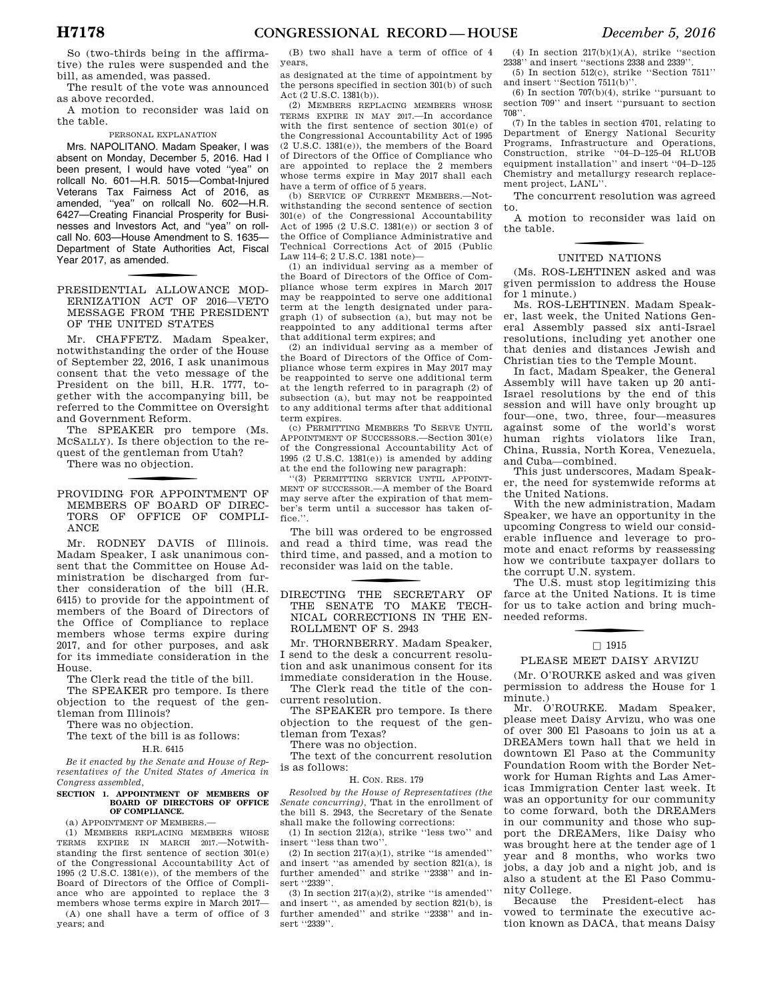So (two-thirds being in the affirmative) the rules were suspended and the bill, as amended, was passed.

The result of the vote was announced as above recorded.

A motion to reconsider was laid on the table.

### PERSONAL EXPLANATION

Mrs. NAPOLITANO. Madam Speaker, I was absent on Monday, December 5, 2016. Had I been present, I would have voted ''yea'' on rollcall No. 601—H.R. 5015—Combat-Injured Veterans Tax Fairness Act of 2016, as amended, ''yea'' on rollcall No. 602—H.R. 6427—Creating Financial Prosperity for Businesses and Investors Act, and ''yea'' on rollcall No. 603—House Amendment to S. 1635— Department of State Authorities Act, Fiscal Year 2017, as amended.

f PRESIDENTIAL ALLOWANCE MOD-ERNIZATION ACT OF 2016—VETO MESSAGE FROM THE PRESIDENT OF THE UNITED STATES

Mr. CHAFFETZ. Madam Speaker, notwithstanding the order of the House of September 22, 2016, I ask unanimous consent that the veto message of the President on the bill, H.R. 1777, together with the accompanying bill, be referred to the Committee on Oversight and Government Reform.

The SPEAKER pro tempore (Ms. MCSALLY). Is there objection to the request of the gentleman from Utah?

There was no objection.

f PROVIDING FOR APPOINTMENT OF MEMBERS OF BOARD OF DIREC-TORS OF OFFICE OF COMPLI-**ANCE** 

Mr. RODNEY DAVIS of Illinois. Madam Speaker, I ask unanimous consent that the Committee on House Administration be discharged from further consideration of the bill (H.R. 6415) to provide for the appointment of members of the Board of Directors of the Office of Compliance to replace members whose terms expire during 2017, and for other purposes, and ask for its immediate consideration in the House.

The Clerk read the title of the bill.

The SPEAKER pro tempore. Is there objection to the request of the gentleman from Illinois?

There was no objection.

The text of the bill is as follows:

### H.R. 6415

*Be it enacted by the Senate and House of Representatives of the United States of America in Congress assembled,* 

### **SECTION 1. APPOINTMENT OF MEMBERS OF BOARD OF DIRECTORS OF OFFICE OF COMPLIANCE.**

(a) APPOINTMENT OF MEMBERS.—

(1) MEMBERS REPLACING MEMBERS WHOSE TERMS EXPIRE IN MARCH 2017.—Notwithstanding the first sentence of section 301(e) of the Congressional Accountability Act of 1995 (2 U.S.C. 1381(e)), of the members of the Board of Directors of the Office of Compliance who are appointed to replace the 3 members whose terms expire in March 2017—

(A) one shall have a term of office of 3 years; and

(B) two shall have a term of office of 4 years,

as designated at the time of appointment by the persons specified in section 301(b) of such Act (2 U.S.C. 1381(b)).

(2) MEMBERS REPLACING MEMBERS WHOSE TERMS EXPIRE IN MAY 2017.—In accordance with the first sentence of section 301(e) of the Congressional Accountability Act of 1995 (2 U.S.C. 1381(e)), the members of the Board of Directors of the Office of Compliance who are appointed to replace the 2 members whose terms expire in May 2017 shall each have a term of office of 5 years.

(b) SERVICE OF CURRENT MEMBERS.—Notwithstanding the second sentence of section 301(e) of the Congressional Accountability Act of 1995 (2 U.S.C. 1381(e)) or section 3 of the Office of Compliance Administrative and Technical Corrections Act of 2015 (Public Law 114–6; 2 U.S.C. 1381 note)—

(1) an individual serving as a member of the Board of Directors of the Office of Compliance whose term expires in March 2017 may be reappointed to serve one additional term at the length designated under paragraph (1) of subsection (a), but may not be reappointed to any additional terms after that additional term expires; and

(2) an individual serving as a member of the Board of Directors of the Office of Compliance whose term expires in May 2017 may be reappointed to serve one additional term at the length referred to in paragraph (2) of subsection (a), but may not be reappointed to any additional terms after that additional term expires.

(c) PERMITTING MEMBERS TO SERVE UNTIL APPOINTMENT OF SUCCESSORS.—Section 301(e) of the Congressional Accountability Act of 1995 (2 U.S.C. 1381(e)) is amended by adding at the end the following new paragraph:

''(3) PERMITTING SERVICE UNTIL APPOINT-MENT OF SUCCESSOR.—A member of the Board may serve after the expiration of that member's term until a successor has taken office.

The bill was ordered to be engrossed and read a third time, was read the third time, and passed, and a motion to reconsider was laid on the table.

DIRECTING THE SECRETARY OF THE SENATE TO MAKE TECH-NICAL CORRECTIONS IN THE EN-ROLLMENT OF S. 2943

Mr. THORNBERRY. Madam Speaker, I send to the desk a concurrent resolution and ask unanimous consent for its immediate consideration in the House.

The Clerk read the title of the concurrent resolution.

The SPEAKER pro tempore. Is there objection to the request of the gentleman from Texas?

There was no objection.

The text of the concurrent resolution is as follows:

### H. CON. RES. 179

*Resolved by the House of Representatives (the Senate concurring),* That in the enrollment of the bill S. 2943, the Secretary of the Senate shall make the following corrections:

(1) In section 212(a), strike ''less two'' and  $\,$ insert ''less than two''.

 $(2)$  In section  $217(a)(1)$ , strike "is amended" and insert ''as amended by section 821(a), is further amended" and strike "2338" and insert "2339".

(3) In section  $217(a)(2)$ , strike "is amended" and insert '', as amended by section 821(b), is further amended'' and strike ''2338'' and insert "2339".

(4) In section  $217(b)(1)(A)$ , strike "section 2338'' and insert ''sections 2338 and 2339''. (5) In section 512(c), strike ''Section 7511''

and insert ''Section 7511(b)''.

(6) In section 707(b)(4), strike ''pursuant to section 709'' and insert ''pursuant to section 708''.

(7) In the tables in section 4701, relating to Department of Energy National Security Programs, Infrastructure and Operations, Construction, strike ''04–D–125–04 RLUOB equipment installation'' and insert ''04–D–125 Chemistry and metallurgy research replacement project, LANL''.

The concurrent resolution was agreed to.

A motion to reconsider was laid on the table.

# UNITED NATIONS

(Ms. ROS-LEHTINEN asked and was given permission to address the House for 1 minute.)

Ms. ROS-LEHTINEN. Madam Speaker, last week, the United Nations General Assembly passed six anti-Israel resolutions, including yet another one that denies and distances Jewish and Christian ties to the Temple Mount.

In fact, Madam Speaker, the General Assembly will have taken up 20 anti-Israel resolutions by the end of this session and will have only brought up four—one, two, three, four—measures against some of the world's worst human rights violators like Iran, China, Russia, North Korea, Venezuela, and Cuba—combined.

This just underscores, Madam Speaker, the need for systemwide reforms at the United Nations.

With the new administration, Madam Speaker, we have an opportunity in the upcoming Congress to wield our considerable influence and leverage to promote and enact reforms by reassessing how we contribute taxpayer dollars to the corrupt U.N. system.

The U.S. must stop legitimizing this farce at the United Nations. It is time for us to take action and bring muchneeded reforms.

# $\Box$  1915

### PLEASE MEET DAISY ARVIZU

(Mr. O'ROURKE asked and was given permission to address the House for 1 minute.)

Mr. O'ROURKE. Madam Speaker, please meet Daisy Arvizu, who was one of over 300 El Pasoans to join us at a DREAMers town hall that we held in downtown El Paso at the Community Foundation Room with the Border Network for Human Rights and Las Americas Immigration Center last week. It was an opportunity for our community to come forward, both the DREAMers in our community and those who support the DREAMers, like Daisy who was brought here at the tender age of 1 year and 8 months, who works two jobs, a day job and a night job, and is also a student at the El Paso Community College.

Because the President-elect has vowed to terminate the executive action known as DACA, that means Daisy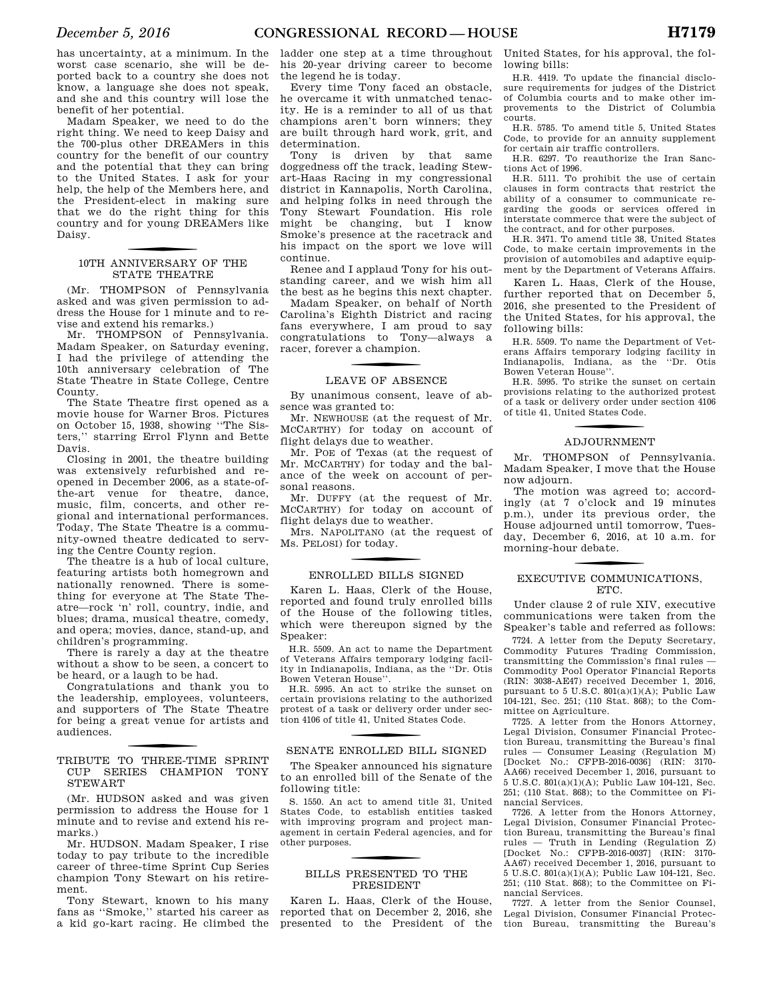has uncertainty, at a minimum. In the worst case scenario, she will be deported back to a country she does not know, a language she does not speak, and she and this country will lose the benefit of her potential.

Madam Speaker, we need to do the right thing. We need to keep Daisy and the 700-plus other DREAMers in this country for the benefit of our country and the potential that they can bring to the United States. I ask for your help, the help of the Members here, and the President-elect in making sure that we do the right thing for this country and for young DREAMers like Daisy.

# 10TH ANNIVERSARY OF THE STATE THEATRE

(Mr. THOMPSON of Pennsylvania asked and was given permission to address the House for 1 minute and to revise and extend his remarks.)

Mr. THOMPSON of Pennsylvania. Madam Speaker, on Saturday evening, I had the privilege of attending the 10th anniversary celebration of The State Theatre in State College, Centre County.

The State Theatre first opened as a movie house for Warner Bros. Pictures on October 15, 1938, showing ''The Sisters,'' starring Errol Flynn and Bette Davis.

Closing in 2001, the theatre building was extensively refurbished and reopened in December 2006, as a state-ofthe-art venue for theatre, dance, music, film, concerts, and other regional and international performances. Today, The State Theatre is a community-owned theatre dedicated to serving the Centre County region.

The theatre is a hub of local culture, featuring artists both homegrown and nationally renowned. There is something for everyone at The State Theatre—rock 'n' roll, country, indie, and blues; drama, musical theatre, comedy, and opera; movies, dance, stand-up, and children's programming.

There is rarely a day at the theatre without a show to be seen, a concert to be heard, or a laugh to be had.

Congratulations and thank you to the leadership, employees, volunteers, and supporters of The State Theatre for being a great venue for artists and audiences.

f TRIBUTE TO THREE-TIME SPRINT CUP SERIES CHAMPION TONY STEWART

(Mr. HUDSON asked and was given permission to address the House for 1 minute and to revise and extend his remarks.)

Mr. HUDSON. Madam Speaker, I rise today to pay tribute to the incredible career of three-time Sprint Cup Series champion Tony Stewart on his retirement.

Tony Stewart, known to his many fans as ''Smoke,'' started his career as a kid go-kart racing. He climbed the

ladder one step at a time throughout his 20-year driving career to become the legend he is today.

Every time Tony faced an obstacle, he overcame it with unmatched tenacity. He is a reminder to all of us that champions aren't born winners; they are built through hard work, grit, and determination.

Tony is driven by that same doggedness off the track, leading Stewart-Haas Racing in my congressional district in Kannapolis, North Carolina, and helping folks in need through the Tony Stewart Foundation. His role might be changing, but I know Smoke's presence at the racetrack and his impact on the sport we love will continue.

Renee and I applaud Tony for his outstanding career, and we wish him all the best as he begins this next chapter.

Madam Speaker, on behalf of North Carolina's Eighth District and racing fans everywhere, I am proud to say congratulations to Tony—always a racer, forever a champion.

# LEAVE OF ABSENCE

By unanimous consent, leave of absence was granted to:

Mr. NEWHOUSE (at the request of Mr. MCCARTHY) for today on account of flight delays due to weather.

Mr. POE of Texas (at the request of Mr. MCCARTHY) for today and the balance of the week on account of personal reasons.

Mr. DUFFY (at the request of Mr. MCCARTHY) for today on account of flight delays due to weather.

Mrs. NAPOLITANO (at the request of Ms. PELOSI) for today.

# f ENROLLED BILLS SIGNED

Karen L. Haas, Clerk of the House, reported and found truly enrolled bills of the House of the following titles, which were thereupon signed by the Speaker:

H.R. 5509. An act to name the Department of Veterans Affairs temporary lodging facility in Indianapolis, Indiana, as the ''Dr. Otis Bowen Veteran House''.

H.R. 5995. An act to strike the sunset on certain provisions relating to the authorized protest of a task or delivery order under section 4106 of title 41, United States Code.

# f SENATE ENROLLED BILL SIGNED

The Speaker announced his signature to an enrolled bill of the Senate of the following title:

S. 1550. An act to amend title 31, United States Code, to establish entities tasked with improving program and project management in certain Federal agencies, and for other purposes.

# BILLS PRESENTED TO THE PRESIDENT

Karen L. Haas, Clerk of the House, reported that on December 2, 2016, she presented to the President of the United States, for his approval, the following bills:

H.R. 4419. To update the financial disclosure requirements for judges of the District of Columbia courts and to make other improvements to the District of Columbia courts.

H.R. 5785. To amend title 5, United States Code, to provide for an annuity supplement for certain air traffic controllers.

H.R. 6297. To reauthorize the Iran Sanctions Act of 1996.

H.R. 5111. To prohibit the use of certain clauses in form contracts that restrict the ability of a consumer to communicate regarding the goods or services offered in interstate commerce that were the subject of the contract, and for other purposes.

H.R. 3471. To amend title 38, United States Code, to make certain improvements in the provision of automobiles and adaptive equipment by the Department of Veterans Affairs.

Karen L. Haas, Clerk of the House, further reported that on December 5, 2016, she presented to the President of the United States, for his approval, the following bills:

H.R. 5509. To name the Department of Veterans Affairs temporary lodging facility in Indianapolis, Indiana, as the ''Dr. Otis Bowen Veteran House''.

H.R. 5995. To strike the sunset on certain provisions relating to the authorized protest of a task or delivery order under section 4106 of title 41, United States Code.

# f ADJOURNMENT

Mr. THOMPSON of Pennsylvania. Madam Speaker, I move that the House now adjourn.

The motion was agreed to; accordingly (at 7 o'clock and 19 minutes p.m.), under its previous order, the House adjourned until tomorrow, Tuesday, December 6, 2016, at 10 a.m. for morning-hour debate.

# EXECUTIVE COMMUNICATIONS, ETC.

Under clause 2 of rule XIV, executive communications were taken from the Speaker's table and referred as follows:

7724. A letter from the Deputy Secretary, Commodity Futures Trading Commission, transmitting the Commission's final rules — Commodity Pool Operator Financial Reports (RIN: 3038-AE47) received December 1, 2016, pursuant to 5 U.S.C. 801(a)(1)(A); Public Law 104-121, Sec. 251; (110 Stat. 868); to the Committee on Agriculture.

7725. A letter from the Honors Attorney, Legal Division, Consumer Financial Protection Bureau, transmitting the Bureau's final rules — Consumer Leasing (Regulation M) [Docket No.: CFPB-2016-0036] (RIN: 3170- AA66) received December 1, 2016, pursuant to 5 U.S.C. 801(a)(1)(A); Public Law 104-121, Sec. 251; (110 Stat. 868); to the Committee on Financial Services.

7726. A letter from the Honors Attorney, Legal Division, Consumer Financial Protection Bureau, transmitting the Bureau's final rules — Truth in Lending (Regulation Z) [Docket No.: CFPB-2016-0037] (RIN: 3170- AA67) received December 1, 2016, pursuant to 5 U.S.C. 801(a)(1)(A); Public Law 104-121, Sec. 251; (110 Stat. 868); to the Committee on Financial Services.

7727. A letter from the Senior Counsel, Legal Division, Consumer Financial Protection Bureau, transmitting the Bureau's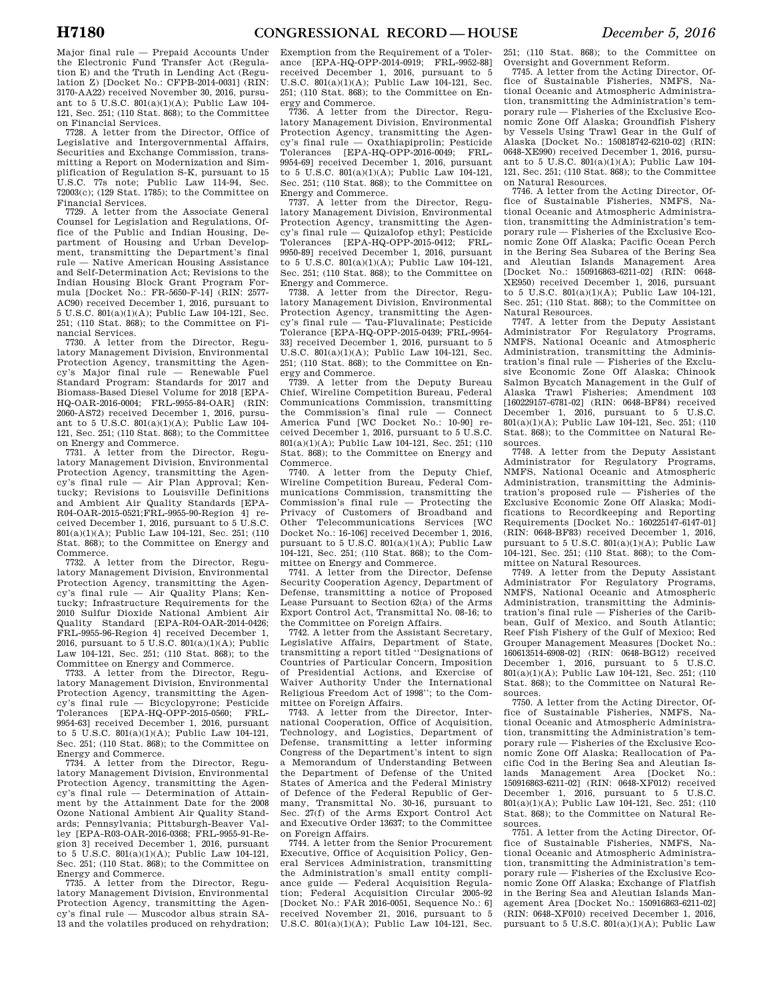Major final rule — Prepaid Accounts Under the Electronic Fund Transfer Act (Regulation E) and the Truth in Lending Act (Regulation Z) [Docket No.: CFPB-2014-0031] (RIN: 3170-AA22) received November 30, 2016, pursuant to 5 U.S.C. 801(a)(1)(A); Public Law 104- 121, Sec. 251; (110 Stat. 868); to the Committee on Financial Services.

7728. A letter from the Director, Office of Legislative and Intergovernmental Affairs, Securities and Exchange Commission, transmitting a Report on Modernization and Simplification of Regulation S-K, pursuant to 15 U.S.C. 77s note; Public Law 114-94, Sec. 72003(c); (129 Stat. 1785); to the Committee on Financial Services.

7729. A letter from the Associate General Counsel for Legislation and Regulations, Office of the Public and Indian Housing, Department of Housing and Urban Development, transmitting the Department's final rule — Native American Housing Assistance and Self-Determination Act; Revisions to the Indian Housing Block Grant Program Formula [Docket No.: FR-5650-F-14] (RIN: 2577- AC90) received December 1, 2016, pursuant to 5 U.S.C. 801(a)(1)(A); Public Law 104-121, Sec. 251; (110 Stat. 868); to the Committee on Financial Services.

7730. A letter from the Director, Regulatory Management Division, Environmental Protection Agency, transmitting the Agency's Major final rule — Renewable Fuel Standard Program: Standards for 2017 and Biomass-Based Diesel Volume for 2018 [EPA-HQ-OAR-2016-0004; FRL-9955-84-OAR] (RIN: 2060-AS72) received December 1, 2016, pursuant to 5 U.S.C. 801(a)(1)(A); Public Law 104- 121, Sec. 251; (110 Stat. 868); to the Committee on Energy and Commerce.

7731. A letter from the Director, Regulatory Management Division, Environmental Protection Agency, transmitting the Agency's final rule — Air Plan Approval; Kentucky; Revisions to Louisville Definitions and Ambient Air Quality Standards [EPA-R04-OAR-2015-0521;FRL-9955-90-Region 4] received December 1, 2016, pursuant to 5 U.S.C. 801(a)(1)(A); Public Law 104-121, Sec. 251; (110 Stat. 868); to the Committee on Energy and Commerce.

7732. A letter from the Director, Regulatory Management Division, Environmental Protection Agency, transmitting the Agency's final rule — Air Quality Plans; Kentucky; Infrastructure Requirements for the 2010 Sulfur Dioxide National Ambient Air Quality Standard [EPA-R04-OAR-2014-0426; FRL-9955-96-Region 4] received December 1, 2016, pursuant to 5 U.S.C.  $801(a)(1)(A)$ ; Public Law 104-121, Sec. 251; (110 Stat. 868); to the Committee on Energy and Commerce.

7733. A letter from the Director, Regulatory Management Division, Environmental Protection Agency, transmitting the Agency's final rule — Bicyclopyrone; Pesticide Tolerances [EPA-HQ-OPP-2015-0560; FRL-9954-63] received December 1, 2016, pursuant to 5 U.S.C. 801(a)(1)(A); Public Law 104-121, Sec. 251; (110 Stat. 868); to the Committee on Energy and Commerce.

7734. A letter from the Director, Regulatory Management Division, Environmental Protection Agency, transmitting the Agency's final rule — Determination of Attainment by the Attainment Date for the 2008 Ozone National Ambient Air Quality Standards; Pennsylvania; Pittsburgh-Beaver Valley [EPA-R03-OAR-2016-0368; FRL-9955-91-Region 3] received December 1, 2016, pursuant to 5 U.S.C. 801(a)(1)(A); Public Law 104-121, Sec. 251; (110 Stat. 868); to the Committee on Energy and Commerce.

7735. A letter from the Director, Regulatory Management Division, Environmental Protection Agency, transmitting the Agency's final rule — Muscodor albus strain SA-13 and the volatiles produced on rehydration;

Exemption from the Requirement of a Tolerance [EPA-HQ-OPP-2014-0919; FRL-9952-88] received December 1, 2016, pursuant to 5 U.S.C. 801(a)(1)(A); Public Law 104-121, Sec. 251; (110 Stat. 868); to the Committee on Energy and Commerce.

7736. A letter from the Director, Regulatory Management Division, Environmental Protection Agency, transmitting the Agency's final rule — Oxathiapiprolin; Pesticide Tolerances [EPA-HQ-OPP-2016-0049; FRL-9954-69] received December 1, 2016, pursuant to 5 U.S.C. 801(a)(1)(A); Public Law 104-121, Sec. 251; (110 Stat. 868); to the Committee on Energy and Commerce.

7737. A letter from the Director, Regulatory Management Division, Environmental Protection Agency, transmitting the Agency's final rule — Quizalofop ethyl; Pesticide Tolerances [EPA-HQ-OPP-2015-0412; FRL-9950-89] received December 1, 2016, pursuant to 5 U.S.C. 801(a)(1)(A); Public Law 104-121, Sec. 251; (110 Stat. 868); to the Committee on Energy and Commerce.

7738. A letter from the Director, Regulatory Management Division, Environmental Protection Agency, transmitting the Agency's final rule — Tau-Fluvalinate; Pesticide Tolerance [EPA-HQ-OPP-2015-0439; FRL-9954- 33] received December 1, 2016, pursuant to 5 U.S.C. 801(a)(1)(A); Public Law 104-121, Sec. 251; (110 Stat. 868); to the Committee on Energy and Commerce.

7739. A letter from the Deputy Bureau Chief, Wireline Competition Bureau, Federal Communications Commission, transmitting the Commission's final rule — Connect America Fund [WC Docket No.: 10-90] received December 1, 2016, pursuant to 5 U.S.C. 801(a)(1)(A); Public Law 104-121, Sec. 251; (110 Stat. 868); to the Committee on Energy and Commerce.

7740. A letter from the Deputy Chief, Wireline Competition Bureau, Federal Communications Commission, transmitting the Commission's final rule — Protecting the Privacy of Customers of Broadband and Other Telecommunications Services [WC Docket No.: 16-106] received December 1, 2016, pursuant to 5 U.S.C. 801(a)(1)(A); Public Law 104-121, Sec. 251; (110 Stat. 868); to the Committee on Energy and Commerce.

7741. A letter from the Director, Defense Security Cooperation Agency, Department of Defense, transmitting a notice of Proposed Lease Pursuant to Section 62(a) of the Arms Export Control Act, Transmittal No. 08-16; to the Committee on Foreign Affairs.

7742. A letter from the Assistant Secretary, Legislative Affairs, Department of State, transmitting a report titled ''Designations of Countries of Particular Concern, Imposition of Presidential Actions, and Exercise of Waiver Authority Under the International Religious Freedom Act of 1998''; to the Committee on Foreign Affairs.

7743. A letter from the Director, International Cooperation, Office of Acquisition, Technology, and Logistics, Department of Defense, transmitting a letter informing Congress of the Department's intent to sign a Memorandum of Understanding Between the Department of Defense of the United States of America and the Federal Ministry of Defence of the Federal Republic of Germany, Transmittal No. 30-16, pursuant to Sec. 27(f) of the Arms Export Control Act and Executive Order 13637; to the Committee on Foreign Affairs.

7744. A letter from the Senior Procurement Executive, Office of Acquisition Policy, General Services Administration, transmitting the Administration's small entity compliance guide — Federal Acquisition Regulation: Federal Acquisition Circular 2005-92 Federal Acquisition Circular 2005-92 [Docket No.: FAR 2016-0051, Sequence No.: 6] received November 21, 2016, pursuant to 5 U.S.C. 801(a)(1)(A); Public Law 104-121, Sec.

251; (110 Stat. 868); to the Committee on Oversight and Government Reform.

7745. A letter from the Acting Director, Office of Sustainable Fisheries, NMFS, National Oceanic and Atmospheric Administration, transmitting the Administration's temporary rule — Fisheries of the Exclusive Economic Zone Off Alaska; Groundfish Fishery by Vessels Using Trawl Gear in the Gulf of Alaska [Docket No.: 150818742-6210-02] (RIN: 0648-XE990) received December 1, 2016, pursuant to 5 U.S.C. 801(a)(1)(A); Public Law 104- 121, Sec. 251; (110 Stat. 868); to the Committee on Natural Resources.

7746. A letter from the Acting Director, Office of Sustainable Fisheries, NMFS, National Oceanic and Atmospheric Administration, transmitting the Administration's temporary rule — Fisheries of the Exclusive Economic Zone Off Alaska; Pacific Ocean Perch in the Bering Sea Subarea of the Bering Sea and Aleutian Islands Management Area [Docket No.: 150916863-6211-02] (RIN: 0648- XE950) received December 1, 2016, pursuant to 5 U.S.C. 801(a)(1)(A); Public Law 104-121, Sec. 251; (110 Stat. 868); to the Committee on Natural Resources.

7747. A letter from the Deputy Assistant Administrator For Regulatory Programs, NMFS, National Oceanic and Atmospheric Administration, transmitting the Administration's final rule — Fisheries of the Exclusive Economic Zone Off Alaska; Chinook Salmon Bycatch Management in the Gulf of Alaska Trawl Fisheries; Amendment 103 [160229157-6781-02] (RIN: 0648-BF84) received December 1, 2016, pursuant to 5 U.S.C. 801(a)(1)(A); Public Law 104-121, Sec. 251; (110 Stat. 868); to the Committee on Natural Resources.

7748. A letter from the Deputy Assistant Administrator for Regulatory Programs, NMFS, National Oceanic and Atmospheric Administration, transmitting the Administration's proposed rule — Fisheries of the Exclusive Economic Zone Off Alaska; Modifications to Recordkeeping and Reporting Requirements [Docket No.: 160225147-6147-01] (RIN: 0648-BF83) received December 1, 2016, pursuant to 5 U.S.C. 801(a)(1)(A); Public Law 104-121, Sec. 251; (110 Stat. 868); to the Committee on Natural Resources.

7749. A letter from the Deputy Assistant Administrator For Regulatory Programs, NMFS, National Oceanic and Atmospheric Administration, transmitting the Administration's final rule — Fisheries of the Caribbean, Gulf of Mexico, and South Atlantic; Reef Fish Fishery of the Gulf of Mexico; Red Grouper Management Measures [Docket No.: 160613514-6908-02] (RIN: 0648-BG12) received December 1, 2016, pursuant to 5 U.S.C. 801(a)(1)(A); Public Law 104-121, Sec. 251; (110 Stat. 868); to the Committee on Natural Resources.

7750. A letter from the Acting Director, Office of Sustainable Fisheries, NMFS, National Oceanic and Atmospheric Administration, transmitting the Administration's temporary rule — Fisheries of the Exclusive Economic Zone Off Alaska; Reallocation of Pacific Cod in the Bering Sea and Aleutian Islands Management Area [Docket No.: 150916863-6211-02] (RIN: 0648-XF012) received December 1, 2016, pursuant to 5 U.S.C. 801(a)(1)(A); Public Law 104-121, Sec. 251; (110 Stat. 868); to the Committee on Natural Resources.

7751. A letter from the Acting Director, Office of Sustainable Fisheries, NMFS, National Oceanic and Atmospheric Administration, transmitting the Administration's temporary rule — Fisheries of the Exclusive Economic Zone Off Alaska; Exchange of Flatfish in the Bering Sea and Aleutian Islands Management Area [Docket No.: 150916863-6211-02] (RIN: 0648-XF010) received December 1, 2016, pursuant to 5 U.S.C.  $801(a)(1)(A)$ ; Public Law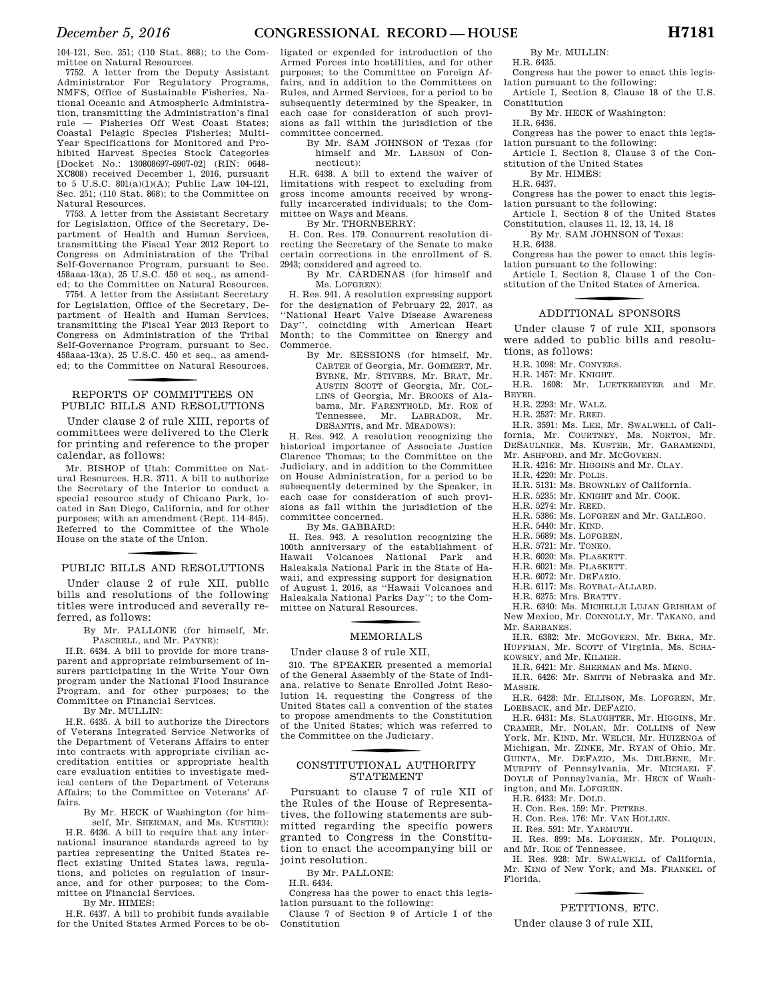104-121, Sec. 251; (110 Stat. 868); to the Committee on Natural Resources.

7752. A letter from the Deputy Assistant Administrator For Regulatory Programs, NMFS, Office of Sustainable Fisheries, National Oceanic and Atmospheric Administration, transmitting the Administration's final rule — Fisheries Off West Coast States; Coastal Pelagic Species Fisheries; Multi-Year Specifications for Monitored and Prohibited Harvest Species Stock Categories [Docket No.: 130808697-6907-02] (RIN: 0648- XC808) received December 1, 2016, pursuant to 5 U.S.C. 801(a)(1)(A); Public Law 104-121, Sec. 251; (110 Stat. 868); to the Committee on Natural Resources.

7753. A letter from the Assistant Secretary for Legislation, Office of the Secretary, Department of Health and Human Services, transmitting the Fiscal Year 2012 Report to Congress on Administration of the Tribal Self-Governance Program, pursuant to Sec. 458aaa-13(a), 25 U.S.C. 450 et seq., as amended; to the Committee on Natural Resources.

7754. A letter from the Assistant Secretary for Legislation, Office of the Secretary, Department of Health and Human Services, transmitting the Fiscal Year 2013 Report to Congress on Administration of the Tribal Self-Governance Program, pursuant to Sec. 458aaa-13(a), 25 U.S.C. 450 et seq., as amended; to the Committee on Natural Resources.

# f REPORTS OF COMMITTEES ON PUBLIC BILLS AND RESOLUTIONS

Under clause 2 of rule XIII, reports of committees were delivered to the Clerk for printing and reference to the proper calendar, as follows:

Mr. BISHOP of Utah: Committee on Natural Resources. H.R. 3711. A bill to authorize the Secretary of the Interior to conduct a special resource study of Chicano Park, located in San Diego, California, and for other purposes; with an amendment (Rept. 114–845). Referred to the Committee of the Whole House on the state of the Union.

# PUBLIC BILLS AND RESOLUTIONS

Under clause 2 of rule XII, public bills and resolutions of the following titles were introduced and severally referred, as follows:

> By Mr. PALLONE (for himself, Mr. PASCRELL, and Mr. PAYNE):

H.R. 6434. A bill to provide for more transparent and appropriate reimbursement of insurers participating in the Write Your Own program under the National Flood Insurance Program, and for other purposes; to the Committee on Financial Services.

By Mr. MULLIN:

H.R. 6435. A bill to authorize the Directors of Veterans Integrated Service Networks of the Department of Veterans Affairs to enter into contracts with appropriate civilian accreditation entities or appropriate health care evaluation entities to investigate medical centers of the Department of Veterans Affairs; to the Committee on Veterans' Affairs.

By Mr. HECK of Washington (for himself, Mr. SHERMAN, and Ms. KUSTER): H.R. 6436. A bill to require that any international insurance standards agreed to by parties representing the United States reflect existing United States laws, regulations, and policies on regulation of insurance, and for other purposes; to the Committee on Financial Services.

By Mr. HIMES:

H.R. 6437. A bill to prohibit funds available for the United States Armed Forces to be obligated or expended for introduction of the Armed Forces into hostilities, and for other purposes; to the Committee on Foreign Affairs, and in addition to the Committees on Rules, and Armed Services, for a period to be subsequently determined by the Speaker, in each case for consideration of such provisions as fall within the jurisdiction of the committee concerned.

By Mr. SAM JOHNSON of Texas (for himself and Mr. LARSON of Connecticut):

H.R. 6438. A bill to extend the waiver of limitations with respect to excluding from gross income amounts received by wrongfully incarcerated individuals; to the Committee on Ways and Means.

By Mr. THORNBERRY:

H. Con. Res. 179. Concurrent resolution directing the Secretary of the Senate to make certain corrections in the enrollment of S. 2943; considered and agreed to.

By Mr. CARDENAS (for himself and Ms. LOFGREN):

H. Res. 941. A resolution expressing support for the designation of February 22, 2017, as ''National Heart Valve Disease Awareness Day'', coinciding with American Heart Month; to the Committee on Energy and Commerce.

By Mr. SESSIONS (for himself, Mr. CARTER of Georgia, Mr. GOHMERT, Mr. BYRNE, Mr. STIVERS, Mr. BRAT, Mr. AUSTIN SCOTT of Georgia, Mr. COL-LINS of Georgia, Mr. BROOKS of Alabama, Mr. FARENTHOLD, Mr. ROE of Tennessee, Mr. LABRADOR, Mr. DESANTIS, and Mr. MEADOWS):

H. Res. 942. A resolution recognizing the historical importance of Associate Justice Clarence Thomas; to the Committee on the Judiciary, and in addition to the Committee on House Administration, for a period to be subsequently determined by the Speaker, in each case for consideration of such provisions as fall within the jurisdiction of the committee concerned.

By Ms. GABBARD:

H. Res. 943. A resolution recognizing the 100th anniversary of the establishment of Hawaii Volcanoes National Park and Haleakala National Park in the State of Hawaii, and expressing support for designation of August 1, 2016, as ''Hawaii Volcanoes and Haleakala National Parks Day''; to the Committee on Natural Resources.

# **MEMORIALS**

### Under clause 3 of rule XII,

310. The SPEAKER presented a memorial of the General Assembly of the State of Indiana, relative to Senate Enrolled Joint Resolution 14, requesting the Congress of the United States call a convention of the states to propose amendments to the Constitution of the United States; which was referred to the Committee on the Judiciary.

# CONSTITUTIONAL AUTHORITY **STATEMENT**

Pursuant to clause 7 of rule XII of the Rules of the House of Representatives, the following statements are submitted regarding the specific powers granted to Congress in the Constitution to enact the accompanying bill or joint resolution.

By Mr. PALLONE:

H.R. 6434.

Congress has the power to enact this legislation pursuant to the following:

Clause 7 of Section 9 of Article I of the Constitution

By Mr. MULLIN:

H.R. 6435.

Congress has the power to enact this legislation pursuant to the following:

Article I, Section 8, Clause 18 of the U.S. Constitution

By Mr. HECK of Washington:

H.R. 6436.

Congress has the power to enact this legislation pursuant to the following:

Article I, Section 8, Clause 3 of the Constitution of the United States

By Mr. HIMES:

### H.R. 6437.

Congress has the power to enact this legislation pursuant to the following:

Article I, Section 8 of the United States Constitution, clauses 11, 12, 13, 14, 18

By Mr. SAM JOHNSON of Texas:

H.R. 6438.

Congress has the power to enact this legislation pursuant to the following:

Article I, Section 8, Clause 1 of the Constitution of the United States of America.

# f ADDITIONAL SPONSORS

Under clause 7 of rule XII, sponsors were added to public bills and resolutions, as follows:

- H.R. 1098: Mr. CONYERS.
- H.R. 1457: Mr. KNIGHT.

H.R. 1608: Mr. LUETKEMEYER and Mr. BEYER.

- H.R. 2293: Mr. WALZ.
- H.R. 2537: Mr. REED.

H.R. 3591: Ms. LEE, Mr. SWALWELL of California, Mr. COURTNEY, Ms. NORTON, Mr. DESAULNIER, Ms. KUSTER, Mr. GARAMENDI,

- Mr. ASHFORD, and Mr. MCGOVERN.
	- H.R. 4216: Mr. HIGGINS and Mr. CLAY.
	- H.R. 4220: Mr. POLIS.
	- H.R. 5131: Ms. BROWNLEY of California.
	- H.R. 5235: Mr. KNIGHT and Mr. COOK.
	- H.R. 5274: Mr. REED.
	- H.R. 5386: Ms. LOFGREN and Mr. GALLEGO.
	- H.R. 5440: Mr. KIND. H.R. 5689: Ms. LOFGREN.
	- H.R. 5721: Mr. TONKO.
	- H.R. 6020: Ms. PLASKETT.
	- H.R. 6021: Ms. PLASKETT.
	- H.R. 6072: Mr. DEFAZIO.
	- H.R. 6117: Ms. ROYBAL-ALLARD.
- H.R. 6275: Mrs. BEATTY.

H.R. 6340: Ms. MICHELLE LUJAN GRISHAM of New Mexico, Mr. CONNOLLY, Mr. TAKANO, and Mr. SARBANES.

H.R. 6382: Mr. MCGOVERN, Mr. BERA, Mr. HUFFMAN, Mr. SCOTT of Virginia, Ms. SCHA-KOWSKY, and Mr. KILMER.

H.R. 6421: Mr. SHERMAN and Ms. MENG.

H.R. 6426: Mr. SMITH of Nebraska and Mr. MASSIE.

H.R. 6428: Mr. ELLISON, Ms. LOFGREN, Mr.

LOEBSACK, and Mr. DEFAZIO. H.R. 6431: Ms. SLAUGHTER, Mr. HIGGINS, Mr.

CRAMER, Mr. NOLAN, Mr. COLLINS of New York, Mr. KIND, Mr. WELCH, Mr. HUIZENGA of Michigan, Mr. ZINKE, Mr. RYAN of Ohio, Mr. GUINTA, Mr. DEFAZIO, Ms. DELBENE, Mr. MURPHY of Pennsylvania, Mr. MICHAEL F. DOYLE of Pennsylvania, Mr. HECK of Washington, and Ms. LOFGREN.

H.R. 6433: Mr. DOLD.

- H. Con. Res. 159: Mr. PETERS.
- H. Con. Res. 176: Mr. VAN HOLLEN.
- H. Res. 591: Mr. YARMUTH.

H. Res. 899: Ms. LOFGREN, Mr. POLIQUIN, and Mr. ROE of Tennessee.

H. Res. 928: Mr. SWALWELL of California, Mr. KING of New York, and Ms. FRANKEL of Florida.

# PETITIONS, ETC.

Under clause 3 of rule XII,